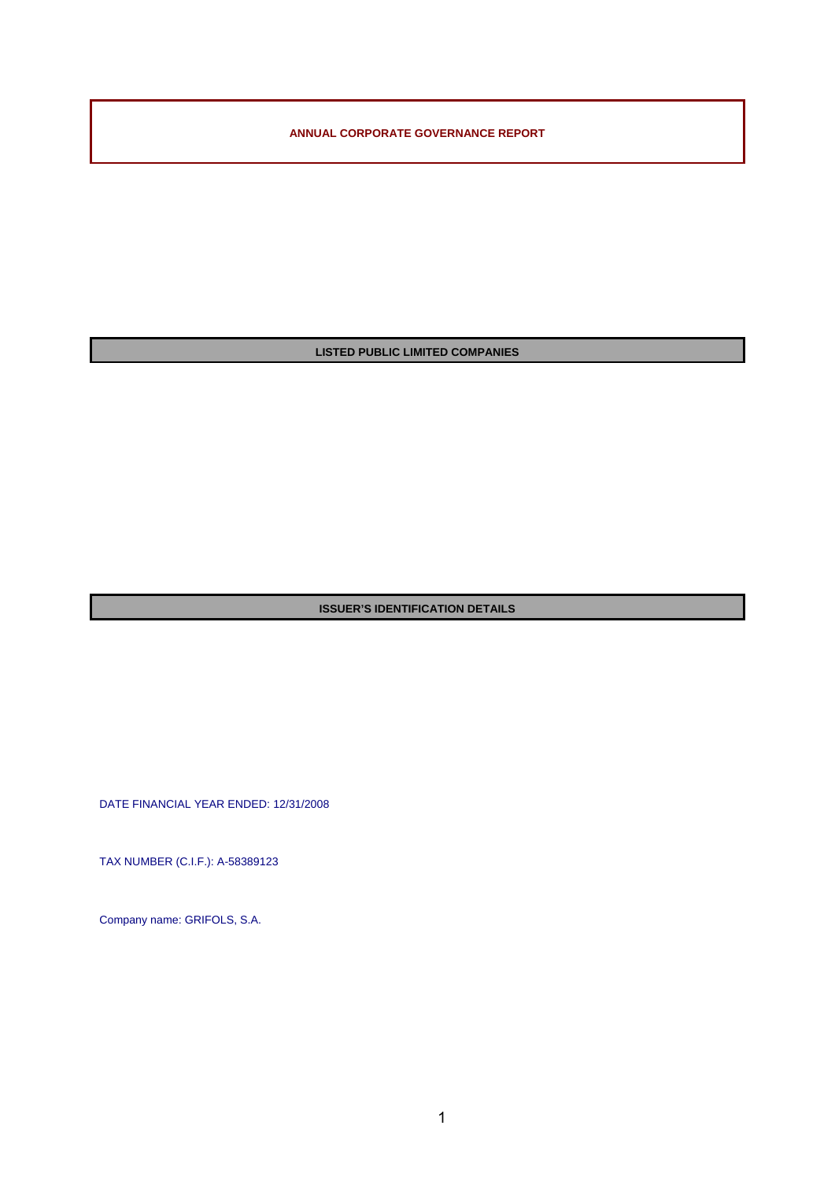**ANNUAL CORPORATE GOVERNANCE REPORT** 

**LISTED PUBLIC LIMITED COMPANIES** 

**ISSUER'S IDENTIFICATION DETAILS**

DATE FINANCIAL YEAR ENDED: 12/31/2008

TAX NUMBER (C.I.F.): A-58389123

Company name: GRIFOLS, S.A.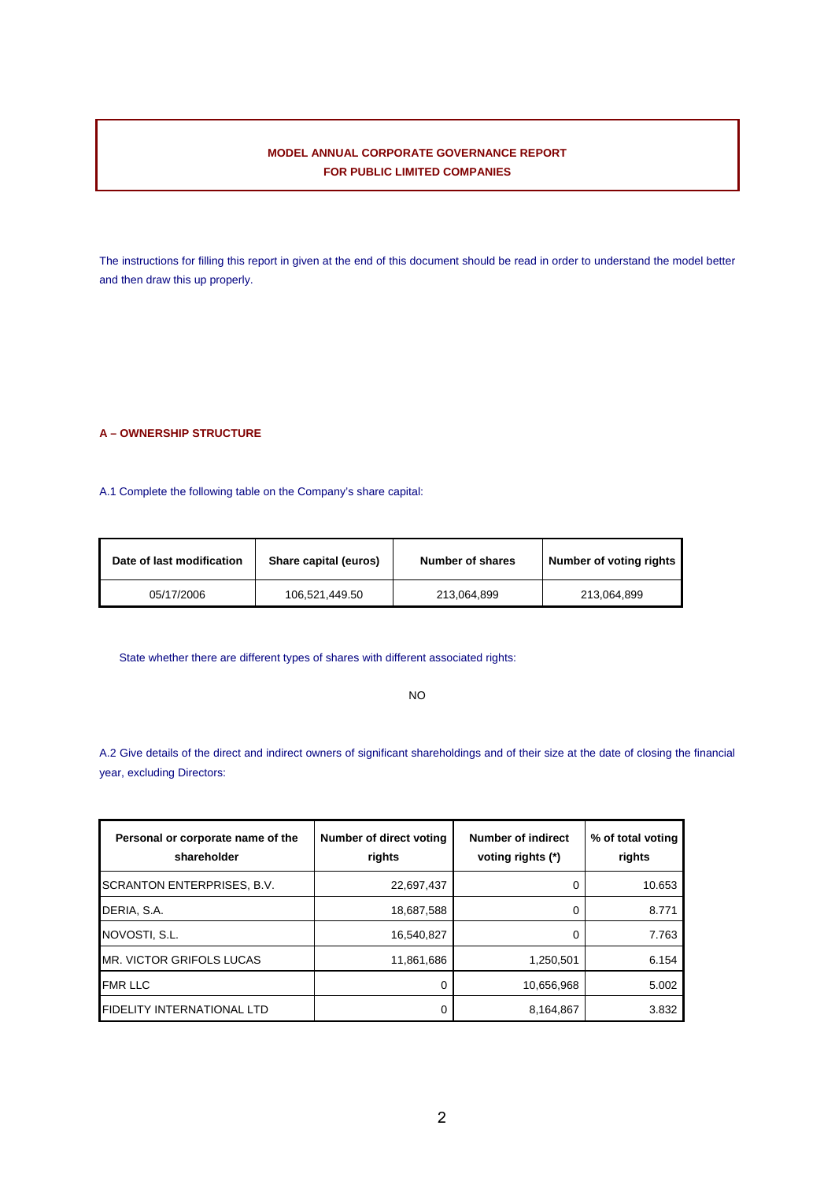# **MODEL ANNUAL CORPORATE GOVERNANCE REPORT FOR PUBLIC LIMITED COMPANIES**

The instructions for filling this report in given at the end of this document should be read in order to understand the model better and then draw this up properly.

# **A – OWNERSHIP STRUCTURE**

A.1 Complete the following table on the Company's share capital:

| Date of last modification | Share capital (euros) | <b>Number of shares</b> | Number of voting rights |
|---------------------------|-----------------------|-------------------------|-------------------------|
| 05/17/2006                | 106.521.449.50        | 213.064.899             | 213.064.899             |

State whether there are different types of shares with different associated rights:

# NO

A.2 Give details of the direct and indirect owners of significant shareholdings and of their size at the date of closing the financial year, excluding Directors:

| Personal or corporate name of the<br>shareholder | Number of direct voting<br>rights | <b>Number of indirect</b><br>voting rights (*) | % of total voting<br>rights |
|--------------------------------------------------|-----------------------------------|------------------------------------------------|-----------------------------|
| <b>SCRANTON ENTERPRISES, B.V.</b>                | 22,697,437                        |                                                | 10.653                      |
| DERIA, S.A.                                      | 18,687,588                        |                                                | 8.771                       |
| NOVOSTI, S.L.                                    | 16,540,827                        |                                                | 7.763                       |
| MR. VICTOR GRIFOLS LUCAS                         | 11,861,686                        | 1,250,501                                      | 6.154                       |
| <b>FMR LLC</b>                                   | 0                                 | 10,656,968                                     | 5.002                       |
| <b>FIDELITY INTERNATIONAL LTD</b>                | 0                                 | 8,164,867                                      | 3.832                       |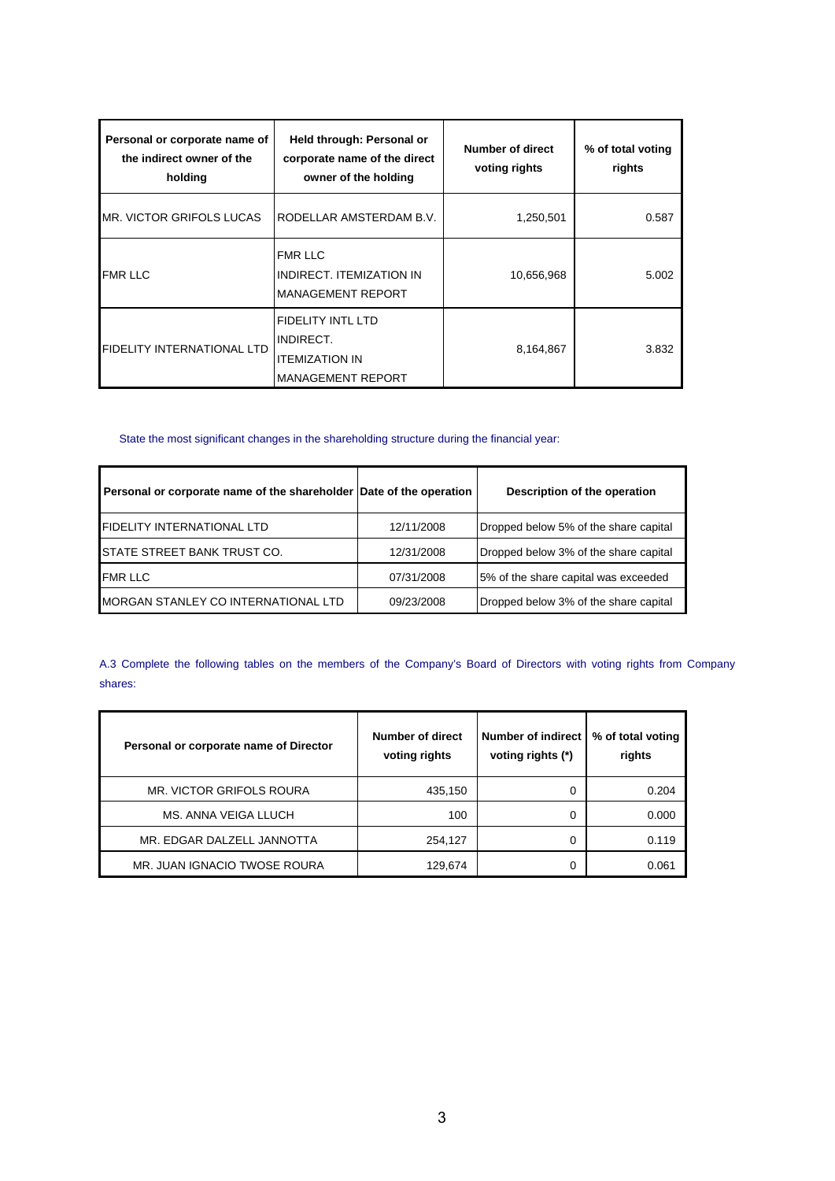| Personal or corporate name of<br>the indirect owner of the<br>holding | Held through: Personal or<br>corporate name of the direct<br>owner of the holding          | Number of direct<br>voting rights | % of total voting<br>rights |
|-----------------------------------------------------------------------|--------------------------------------------------------------------------------------------|-----------------------------------|-----------------------------|
| <b>IMR. VICTOR GRIFOLS LUCAS</b>                                      | RODELLAR AMSTERDAM B.V.                                                                    | 1,250,501                         | 0.587                       |
| <b>FMR LLC</b>                                                        | <b>FMR LLC</b><br>INDIRECT. ITEMIZATION IN<br><b>MANAGEMENT REPORT</b>                     | 10,656,968                        | 5.002                       |
| <b>FIDELITY INTERNATIONAL LTD</b>                                     | <b>FIDELITY INTL LTD</b><br>INDIRECT.<br><b>ITEMIZATION IN</b><br><b>MANAGEMENT REPORT</b> | 8,164,867                         | 3.832                       |

# State the most significant changes in the shareholding structure during the financial year:

| Personal or corporate name of the shareholder Date of the operation |            | Description of the operation          |
|---------------------------------------------------------------------|------------|---------------------------------------|
| <b>FIDELITY INTERNATIONAL LTD</b>                                   | 12/11/2008 | Dropped below 5% of the share capital |
| <b>ISTATE STREET BANK TRUST CO.</b>                                 | 12/31/2008 | Dropped below 3% of the share capital |
| <b>FMR LLC</b>                                                      | 07/31/2008 | 5% of the share capital was exceeded  |
| <b>IMORGAN STANLEY CO INTERNATIONAL LTD</b>                         | 09/23/2008 | Dropped below 3% of the share capital |

A.3 Complete the following tables on the members of the Company's Board of Directors with voting rights from Company shares:

| Personal or corporate name of Director | Number of direct<br>voting rights | Number of indirect<br>voting rights (*) | % of total voting<br>rights |
|----------------------------------------|-----------------------------------|-----------------------------------------|-----------------------------|
| MR. VICTOR GRIFOLS ROURA               | 435,150                           | 0                                       | 0.204                       |
| MS. ANNA VEIGA LLUCH                   | 100                               | 0                                       | 0.000                       |
| MR. EDGAR DALZELL JANNOTTA             | 254,127                           | 0                                       | 0.119                       |
| MR. JUAN IGNACIO TWOSE ROURA           | 129,674                           | 0                                       | 0.061                       |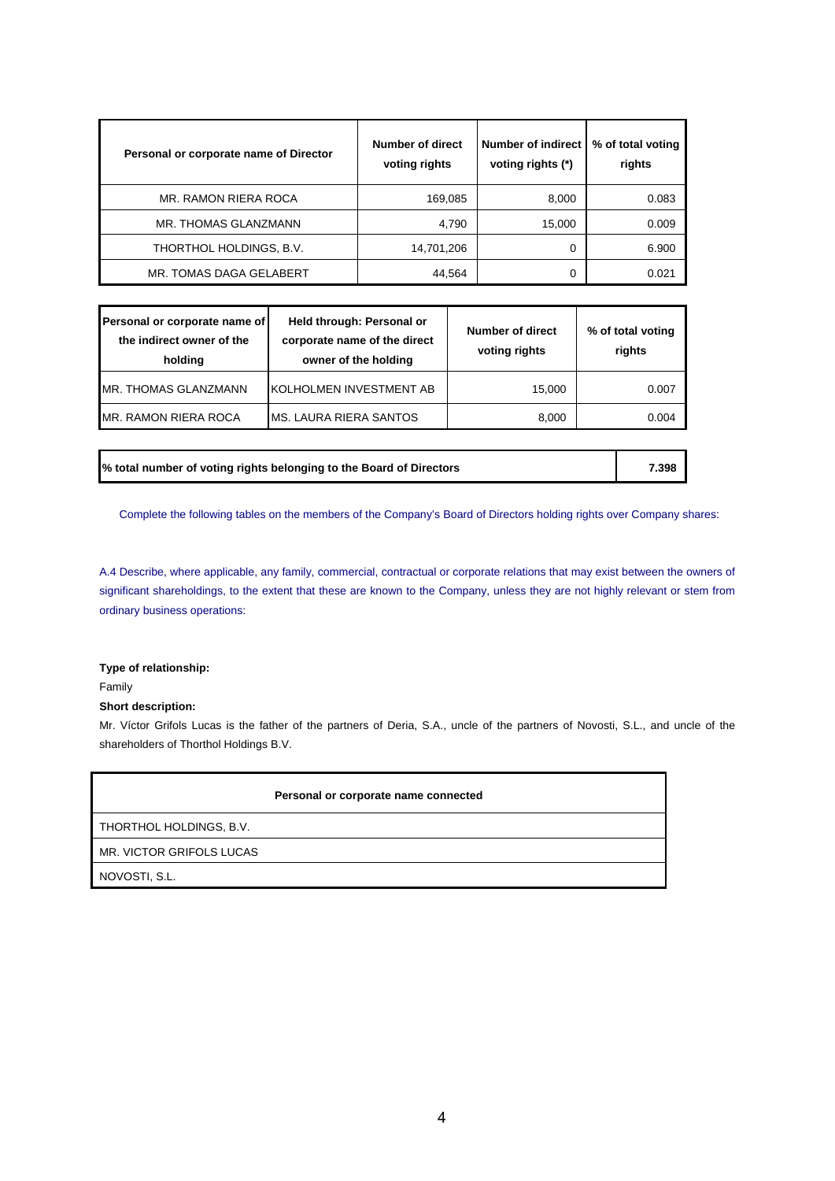| Personal or corporate name of Director | Number of direct<br>voting rights | Number of indirect<br>voting rights (*) | % of total voting<br>rights |
|----------------------------------------|-----------------------------------|-----------------------------------------|-----------------------------|
| MR. RAMON RIERA ROCA                   | 169,085                           | 8,000                                   | 0.083                       |
| MR. THOMAS GLANZMANN                   | 4,790                             | 15,000                                  | 0.009                       |
| THORTHOL HOLDINGS, B.V.                | 14,701,206                        | 0                                       | 6.900                       |
| MR. TOMAS DAGA GELABERT                | 44,564                            | 0                                       | 0.021                       |

| Personal or corporate name of<br>the indirect owner of the<br>holding | Held through: Personal or<br>corporate name of the direct<br>owner of the holding | Number of direct<br>voting rights | % of total voting<br>rights |
|-----------------------------------------------------------------------|-----------------------------------------------------------------------------------|-----------------------------------|-----------------------------|
| <b>IMR. THOMAS GLANZMANN</b>                                          | <b>IKOLHOLMEN INVESTMENT AB</b>                                                   | 15,000                            | 0.007                       |
| IMR. RAMON RIERA ROCA                                                 | IMS. LAURA RIERA SANTOS                                                           | 8,000                             | 0.004                       |

**% total number of voting rights belonging to the Board of Directors 7.398** 

Complete the following tables on the members of the Company's Board of Directors holding rights over Company shares:

A.4 Describe, where applicable, any family, commercial, contractual or corporate relations that may exist between the owners of significant shareholdings, to the extent that these are known to the Company, unless they are not highly relevant or stem from ordinary business operations:

# **Type of relationship:**

Family

# **Short description:**

Mr. Víctor Grifols Lucas is the father of the partners of Deria, S.A., uncle of the partners of Novosti, S.L., and uncle of the shareholders of Thorthol Holdings B.V.

|                          | Personal or corporate name connected |
|--------------------------|--------------------------------------|
| THORTHOL HOLDINGS, B.V.  |                                      |
| MR. VICTOR GRIFOLS LUCAS |                                      |
| NOVOSTI, S.L.            |                                      |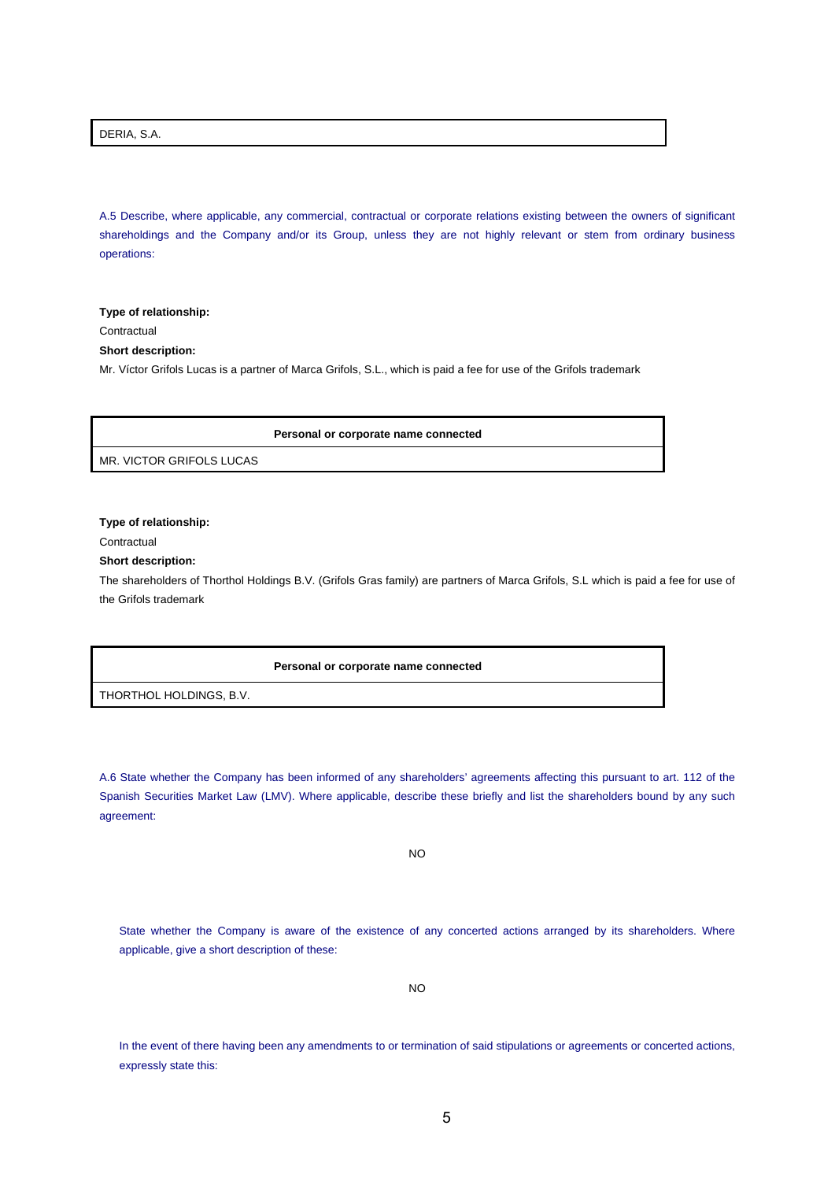DERIA, S.A.

A.5 Describe, where applicable, any commercial, contractual or corporate relations existing between the owners of significant shareholdings and the Company and/or its Group, unless they are not highly relevant or stem from ordinary business operations:

**Type of relationship:** 

**Contractual** 

**Short description:** 

Mr. Víctor Grifols Lucas is a partner of Marca Grifols, S.L., which is paid a fee for use of the Grifols trademark

**Personal or corporate name connected**

MR. VICTOR GRIFOLS LUCAS

**Type of relationship:** 

**Contractual** 

**Short description:** 

The shareholders of Thorthol Holdings B.V. (Grifols Gras family) are partners of Marca Grifols, S.L which is paid a fee for use of the Grifols trademark

**Personal or corporate name connected**

THORTHOL HOLDINGS, B.V.

A.6 State whether the Company has been informed of any shareholders' agreements affecting this pursuant to art. 112 of the Spanish Securities Market Law (LMV). Where applicable, describe these briefly and list the shareholders bound by any such agreement:

NO

State whether the Company is aware of the existence of any concerted actions arranged by its shareholders. Where applicable, give a short description of these:

NO

In the event of there having been any amendments to or termination of said stipulations or agreements or concerted actions, expressly state this: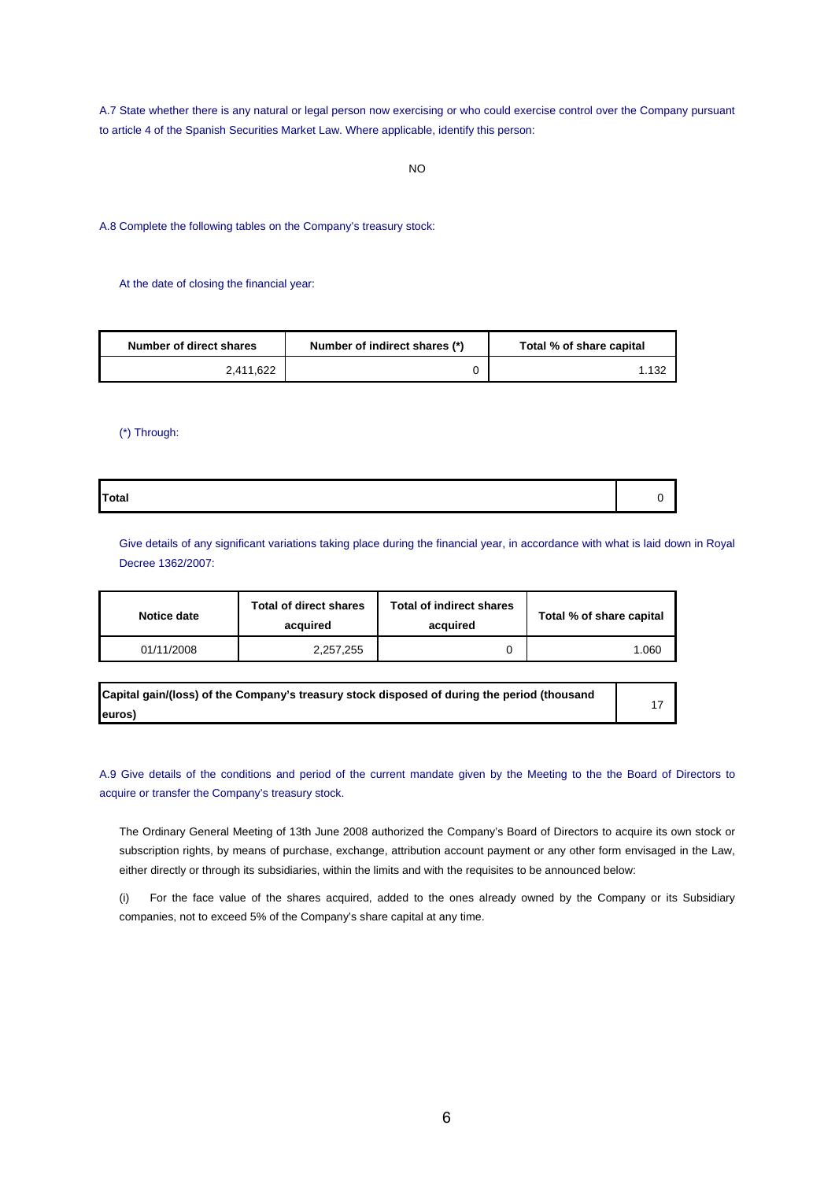A.7 State whether there is any natural or legal person now exercising or who could exercise control over the Company pursuant to article 4 of the Spanish Securities Market Law. Where applicable, identify this person:

A.8 Complete the following tables on the Company's treasury stock:

At the date of closing the financial year:

| Number of direct shares | Number of indirect shares (*) | Total % of share capital |
|-------------------------|-------------------------------|--------------------------|
| 2.411.622               |                               | 1.132                    |

(\*) Through:

**Total** 0

Give details of any significant variations taking place during the financial year, in accordance with what is laid down in Royal Decree 1362/2007:

| Notice date | Total of direct shares<br>acquired | <b>Total of indirect shares</b><br>acquired | Total % of share capital |
|-------------|------------------------------------|---------------------------------------------|--------------------------|
| 01/11/2008  | 2,257,255                          |                                             | 1.060                    |

| Capital gain/(loss) of the Company's treasury stock disposed of during the period (thousand |
|---------------------------------------------------------------------------------------------|
| euros)                                                                                      |

17

A.9 Give details of the conditions and period of the current mandate given by the Meeting to the the Board of Directors to acquire or transfer the Company's treasury stock.

The Ordinary General Meeting of 13th June 2008 authorized the Company's Board of Directors to acquire its own stock or subscription rights, by means of purchase, exchange, attribution account payment or any other form envisaged in the Law, either directly or through its subsidiaries, within the limits and with the requisites to be announced below:

(i) For the face value of the shares acquired, added to the ones already owned by the Company or its Subsidiary companies, not to exceed 5% of the Company's share capital at any time.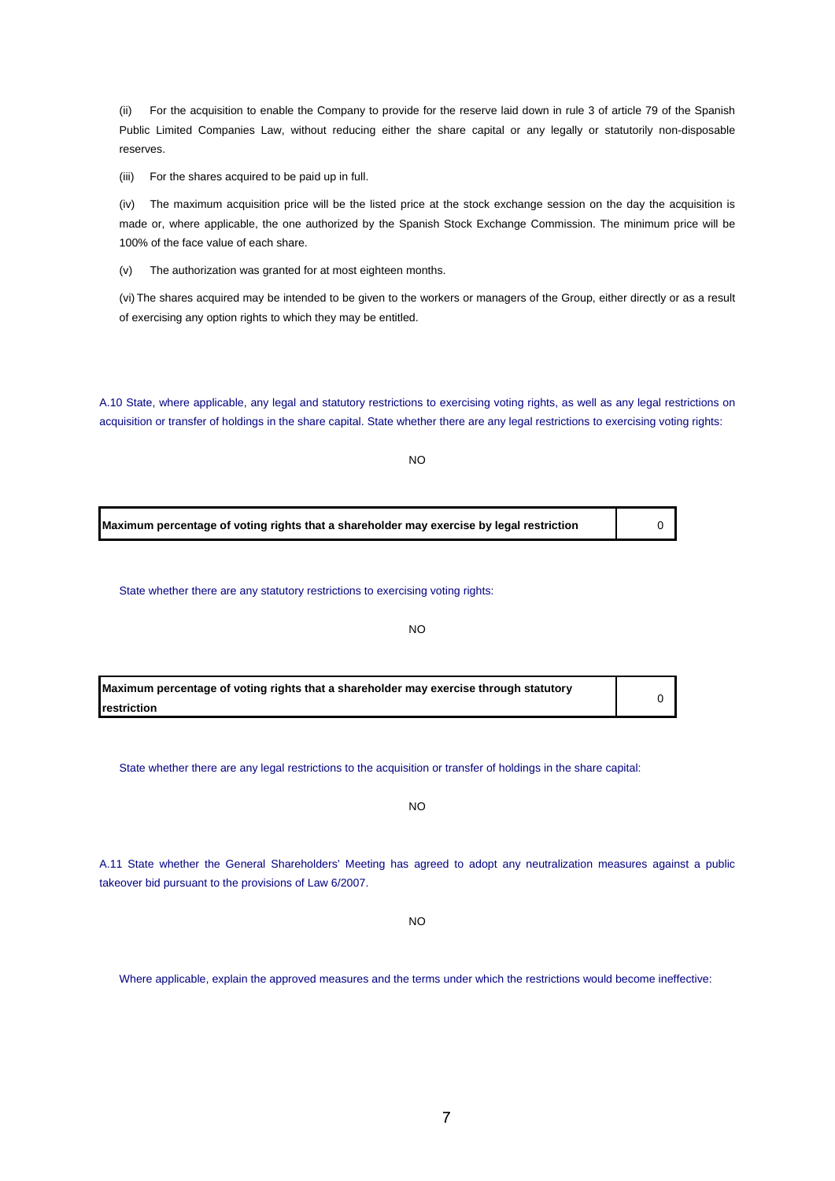(ii) For the acquisition to enable the Company to provide for the reserve laid down in rule 3 of article 79 of the Spanish Public Limited Companies Law, without reducing either the share capital or any legally or statutorily non-disposable reserves.

(iii) For the shares acquired to be paid up in full.

(iv) The maximum acquisition price will be the listed price at the stock exchange session on the day the acquisition is made or, where applicable, the one authorized by the Spanish Stock Exchange Commission. The minimum price will be 100% of the face value of each share.

(v) The authorization was granted for at most eighteen months.

(vi) The shares acquired may be intended to be given to the workers or managers of the Group, either directly or as a result of exercising any option rights to which they may be entitled.

A.10 State, where applicable, any legal and statutory restrictions to exercising voting rights, as well as any legal restrictions on acquisition or transfer of holdings in the share capital. State whether there are any legal restrictions to exercising voting rights:

| I<br>۰.<br>v |  |
|--------------|--|
|--------------|--|

**Maximum percentage of voting rights that a shareholder may exercise by legal restriction** 0

State whether there are any statutory restrictions to exercising voting rights:

NO

0

**Maximum percentage of voting rights that a shareholder may exercise through statutory restriction**

State whether there are any legal restrictions to the acquisition or transfer of holdings in the share capital:

 $N<sub>O</sub>$ 

A.11 State whether the General Shareholders' Meeting has agreed to adopt any neutralization measures against a public takeover bid pursuant to the provisions of Law 6/2007.

NO

Where applicable, explain the approved measures and the terms under which the restrictions would become ineffective: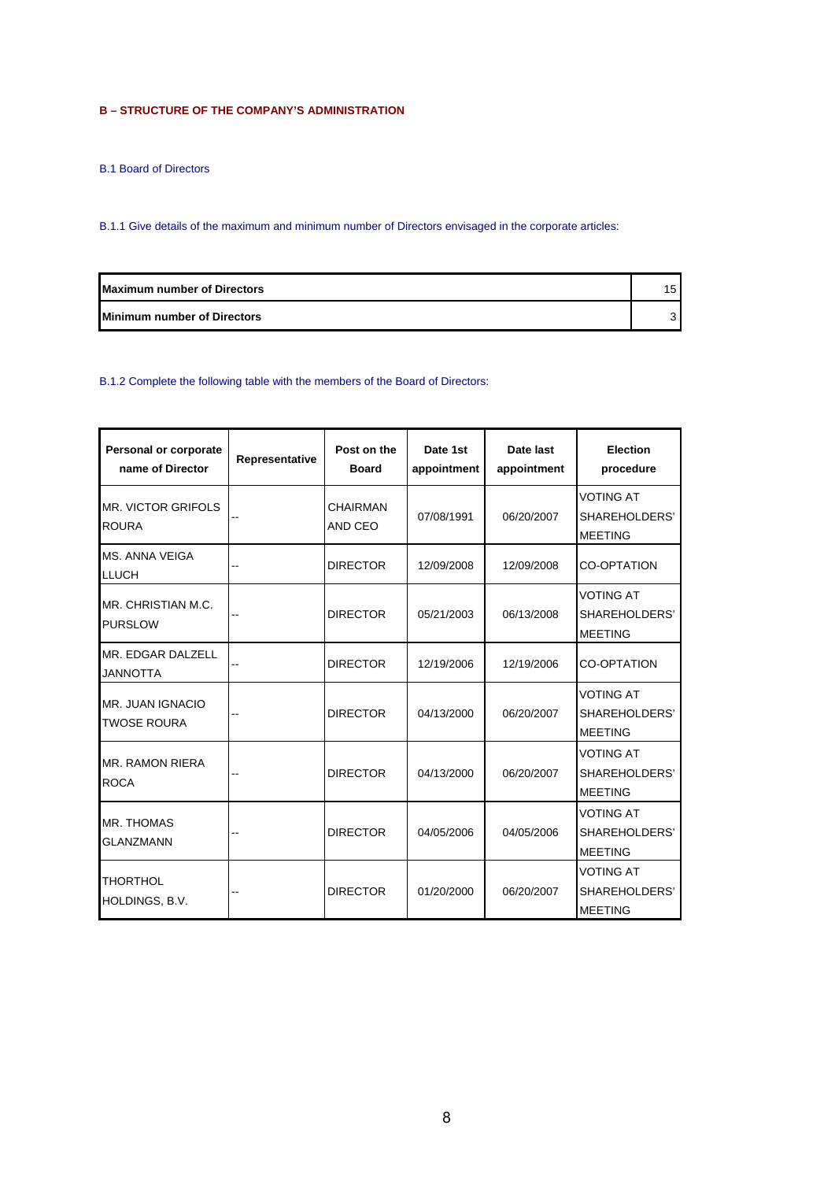# **B – STRUCTURE OF THE COMPANY'S ADMINISTRATION**

B.1 Board of Directors

B.1.1 Give details of the maximum and minimum number of Directors envisaged in the corporate articles:

| <b>Maximum number of Directors</b> | 15. |
|------------------------------------|-----|
| <b>Minimum number of Directors</b> |     |

# B.1.2 Complete the following table with the members of the Board of Directors:

| Personal or corporate<br>name of Director | Representative | Post on the<br><b>Board</b> | Date 1st<br>appointment | Date last<br>appointment | <b>Election</b><br>procedure                        |
|-------------------------------------------|----------------|-----------------------------|-------------------------|--------------------------|-----------------------------------------------------|
| <b>MR. VICTOR GRIFOLS</b><br><b>ROURA</b> |                | <b>CHAIRMAN</b><br>AND CEO  | 07/08/1991              | 06/20/2007               | <b>VOTING AT</b><br>SHAREHOLDERS'<br><b>MEETING</b> |
| <b>MS. ANNA VEIGA</b><br><b>LLUCH</b>     |                | <b>DIRECTOR</b>             | 12/09/2008              | 12/09/2008               | <b>CO-OPTATION</b>                                  |
| MR. CHRISTIAN M.C.<br><b>PURSLOW</b>      |                | <b>DIRECTOR</b>             | 05/21/2003              | 06/13/2008               | <b>VOTING AT</b><br>SHAREHOLDERS'<br><b>MEETING</b> |
| MR. EDGAR DALZELL<br><b>JANNOTTA</b>      |                | <b>DIRECTOR</b>             | 12/19/2006              | 12/19/2006               | <b>CO-OPTATION</b>                                  |
| MR. JUAN IGNACIO<br><b>TWOSE ROURA</b>    |                | <b>DIRECTOR</b>             | 04/13/2000              | 06/20/2007               | <b>VOTING AT</b><br>SHAREHOLDERS'<br><b>MEETING</b> |
| MR. RAMON RIERA<br><b>ROCA</b>            |                | <b>DIRECTOR</b>             | 04/13/2000              | 06/20/2007               | <b>VOTING AT</b><br>SHAREHOLDERS'<br><b>MEETING</b> |
| MR. THOMAS<br><b>GLANZMANN</b>            |                | <b>DIRECTOR</b>             | 04/05/2006              | 04/05/2006               | <b>VOTING AT</b><br>SHAREHOLDERS'<br><b>MEETING</b> |
| <b>THORTHOL</b><br>HOLDINGS, B.V.         |                | <b>DIRECTOR</b>             | 01/20/2000              | 06/20/2007               | <b>VOTING AT</b><br>SHAREHOLDERS'<br><b>MEETING</b> |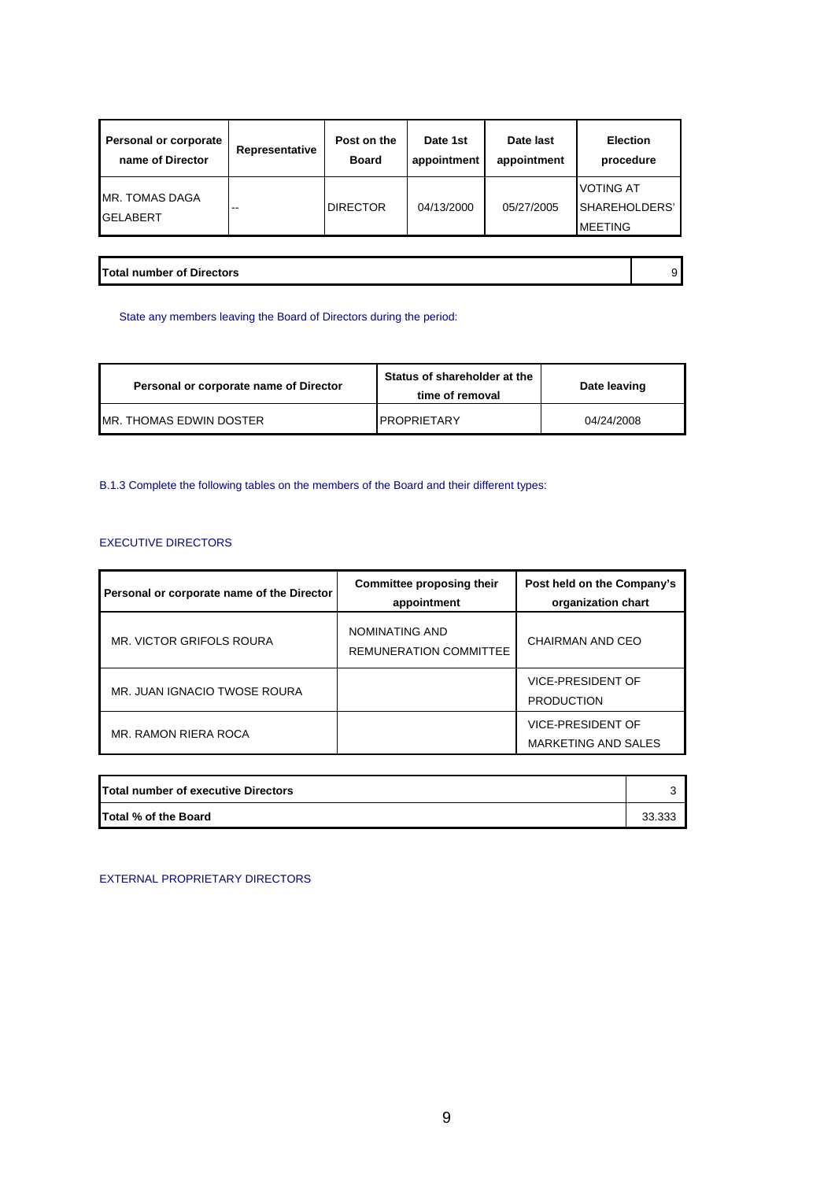| Personal or corporate                    | Representative | Post on the     | Date 1st    | Date last   | <b>Election</b>                                       |
|------------------------------------------|----------------|-----------------|-------------|-------------|-------------------------------------------------------|
| name of Director                         |                | <b>Board</b>    | appointment | appointment | procedure                                             |
| <b>MR. TOMAS DAGA</b><br><b>GELABERT</b> | --             | <b>DIRECTOR</b> | 04/13/2000  | 05/27/2005  | <b>VOTING AT</b><br>ISHAREHOLDERS'<br><b>IMEETING</b> |

**Total number of Directors** 9

State any members leaving the Board of Directors during the period:

| Personal or corporate name of Director | Status of shareholder at the<br>time of removal | Date leaving |
|----------------------------------------|-------------------------------------------------|--------------|
| IMR. THOMAS EDWIN DOSTER               | <b>PROPRIETARY</b>                              | 04/24/2008   |

B.1.3 Complete the following tables on the members of the Board and their different types:

# EXECUTIVE DIRECTORS

| Personal or corporate name of the Director | Committee proposing their<br>appointment        | Post held on the Company's<br>organization chart       |
|--------------------------------------------|-------------------------------------------------|--------------------------------------------------------|
| MR. VICTOR GRIFOLS ROURA                   | NOMINATING AND<br><b>REMUNERATION COMMITTEE</b> | CHAIRMAN AND CEO                                       |
| MR. JUAN IGNACIO TWOSE ROURA               |                                                 | <b>VICE-PRESIDENT OF</b><br><b>PRODUCTION</b>          |
| MR. RAMON RIERA ROCA                       |                                                 | <b>VICE-PRESIDENT OF</b><br><b>MARKETING AND SALES</b> |

| Total number of executive Directors |        |
|-------------------------------------|--------|
| Total % of the Board                | 33.333 |

EXTERNAL PROPRIETARY DIRECTORS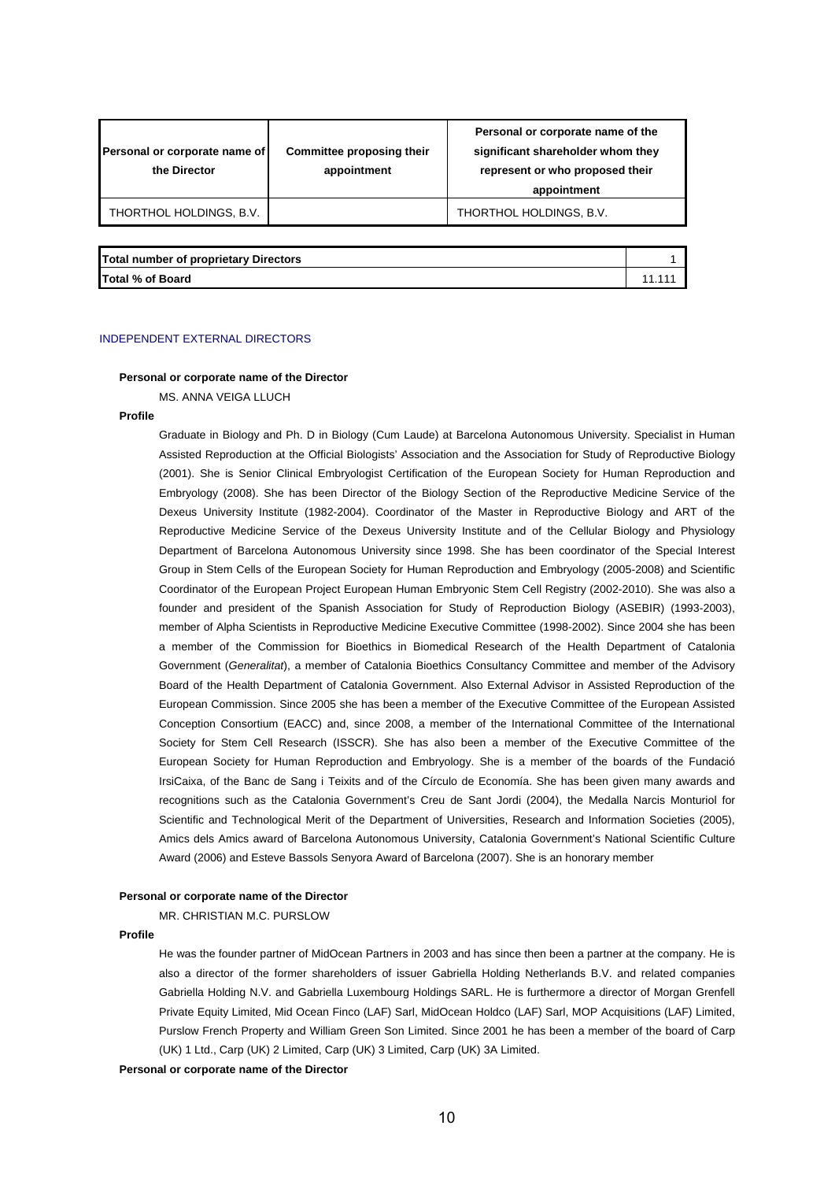| Personal or corporate name of<br>the Director | Committee proposing their<br>appointment | Personal or corporate name of the<br>significant shareholder whom they<br>represent or who proposed their<br>appointment |
|-----------------------------------------------|------------------------------------------|--------------------------------------------------------------------------------------------------------------------------|
| THORTHOL HOLDINGS, B.V.                       |                                          | THORTHOL HOLDINGS, B.V.                                                                                                  |
|                                               |                                          |                                                                                                                          |

### **Total number of proprietary Directors**

**Total % of Board** 11.111

#### INDEPENDENT EXTERNAL DIRECTORS

#### **Personal or corporate name of the Director**

MS. ANNA VEIGA LLUCH

#### **Profile**

Graduate in Biology and Ph. D in Biology (Cum Laude) at Barcelona Autonomous University. Specialist in Human Assisted Reproduction at the Official Biologists' Association and the Association for Study of Reproductive Biology (2001). She is Senior Clinical Embryologist Certification of the European Society for Human Reproduction and Embryology (2008). She has been Director of the Biology Section of the Reproductive Medicine Service of the Dexeus University Institute (1982-2004). Coordinator of the Master in Reproductive Biology and ART of the Reproductive Medicine Service of the Dexeus University Institute and of the Cellular Biology and Physiology Department of Barcelona Autonomous University since 1998. She has been coordinator of the Special Interest Group in Stem Cells of the European Society for Human Reproduction and Embryology (2005-2008) and Scientific Coordinator of the European Project European Human Embryonic Stem Cell Registry (2002-2010). She was also a founder and president of the Spanish Association for Study of Reproduction Biology (ASEBIR) (1993-2003), member of Alpha Scientists in Reproductive Medicine Executive Committee (1998-2002). Since 2004 she has been a member of the Commission for Bioethics in Biomedical Research of the Health Department of Catalonia Government (*Generalitat*), a member of Catalonia Bioethics Consultancy Committee and member of the Advisory Board of the Health Department of Catalonia Government. Also External Advisor in Assisted Reproduction of the European Commission. Since 2005 she has been a member of the Executive Committee of the European Assisted Conception Consortium (EACC) and, since 2008, a member of the International Committee of the International Society for Stem Cell Research (ISSCR). She has also been a member of the Executive Committee of the European Society for Human Reproduction and Embryology. She is a member of the boards of the Fundació IrsiCaixa, of the Banc de Sang i Teixits and of the Círculo de Economía. She has been given many awards and recognitions such as the Catalonia Government's Creu de Sant Jordi (2004), the Medalla Narcis Monturiol for Scientific and Technological Merit of the Department of Universities, Research and Information Societies (2005), Amics dels Amics award of Barcelona Autonomous University, Catalonia Government's National Scientific Culture Award (2006) and Esteve Bassols Senyora Award of Barcelona (2007). She is an honorary member

#### **Personal or corporate name of the Director**

MR. CHRISTIAN M.C. PURSLOW

### **Profile**

He was the founder partner of MidOcean Partners in 2003 and has since then been a partner at the company. He is also a director of the former shareholders of issuer Gabriella Holding Netherlands B.V. and related companies Gabriella Holding N.V. and Gabriella Luxembourg Holdings SARL. He is furthermore a director of Morgan Grenfell Private Equity Limited, Mid Ocean Finco (LAF) Sarl, MidOcean Holdco (LAF) Sarl, MOP Acquisitions (LAF) Limited, Purslow French Property and William Green Son Limited. Since 2001 he has been a member of the board of Carp (UK) 1 Ltd., Carp (UK) 2 Limited, Carp (UK) 3 Limited, Carp (UK) 3A Limited.

**Personal or corporate name of the Director**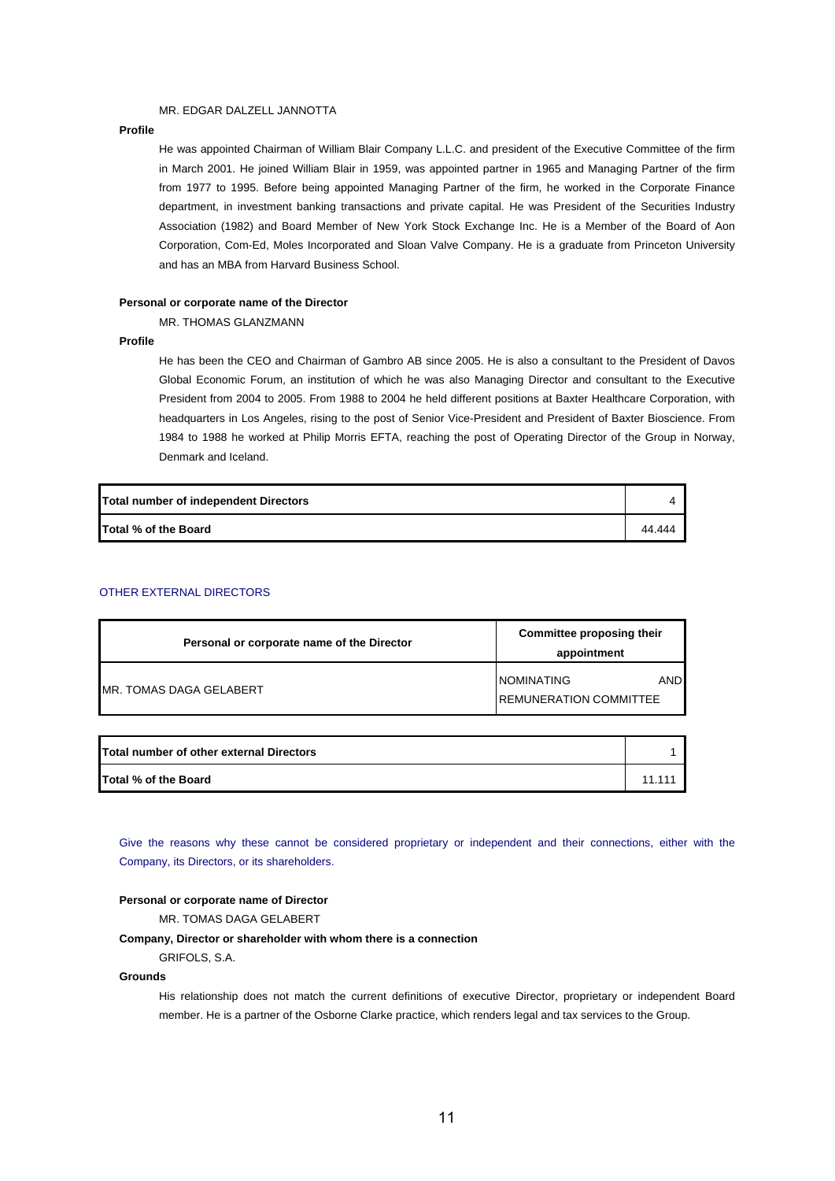## MR. EDGAR DALZELL JANNOTTA

#### **Profile**

He was appointed Chairman of William Blair Company L.L.C. and president of the Executive Committee of the firm in March 2001. He joined William Blair in 1959, was appointed partner in 1965 and Managing Partner of the firm from 1977 to 1995. Before being appointed Managing Partner of the firm, he worked in the Corporate Finance department, in investment banking transactions and private capital. He was President of the Securities Industry Association (1982) and Board Member of New York Stock Exchange Inc. He is a Member of the Board of Aon Corporation, Com-Ed, Moles Incorporated and Sloan Valve Company. He is a graduate from Princeton University and has an MBA from Harvard Business School.

# **Personal or corporate name of the Director**

# MR. THOMAS GLANZMANN

## **Profile**

He has been the CEO and Chairman of Gambro AB since 2005. He is also a consultant to the President of Davos Global Economic Forum, an institution of which he was also Managing Director and consultant to the Executive President from 2004 to 2005. From 1988 to 2004 he held different positions at Baxter Healthcare Corporation, with headquarters in Los Angeles, rising to the post of Senior Vice-President and President of Baxter Bioscience. From 1984 to 1988 he worked at Philip Morris EFTA, reaching the post of Operating Director of the Group in Norway, Denmark and Iceland.

| Total number of independent Directors |        |
|---------------------------------------|--------|
| Total % of the Board                  | 44.444 |

# OTHER EXTERNAL DIRECTORS

| Personal or corporate name of the Director | Committee proposing their<br>appointment                   |  |
|--------------------------------------------|------------------------------------------------------------|--|
| MR. TOMAS DAGA GELABERT                    | INOMINATING<br><b>AND</b><br><b>REMUNERATION COMMITTEE</b> |  |

| Total number of other external Directors |         |
|------------------------------------------|---------|
| Total % of the Board                     | 11 11 1 |

Give the reasons why these cannot be considered proprietary or independent and their connections, either with the Company, its Directors, or its shareholders.

#### **Personal or corporate name of Director**

MR. TOMAS DAGA GELABERT

## **Company, Director or shareholder with whom there is a connection**

GRIFOLS, S.A.

## **Grounds**

His relationship does not match the current definitions of executive Director, proprietary or independent Board member. He is a partner of the Osborne Clarke practice, which renders legal and tax services to the Group.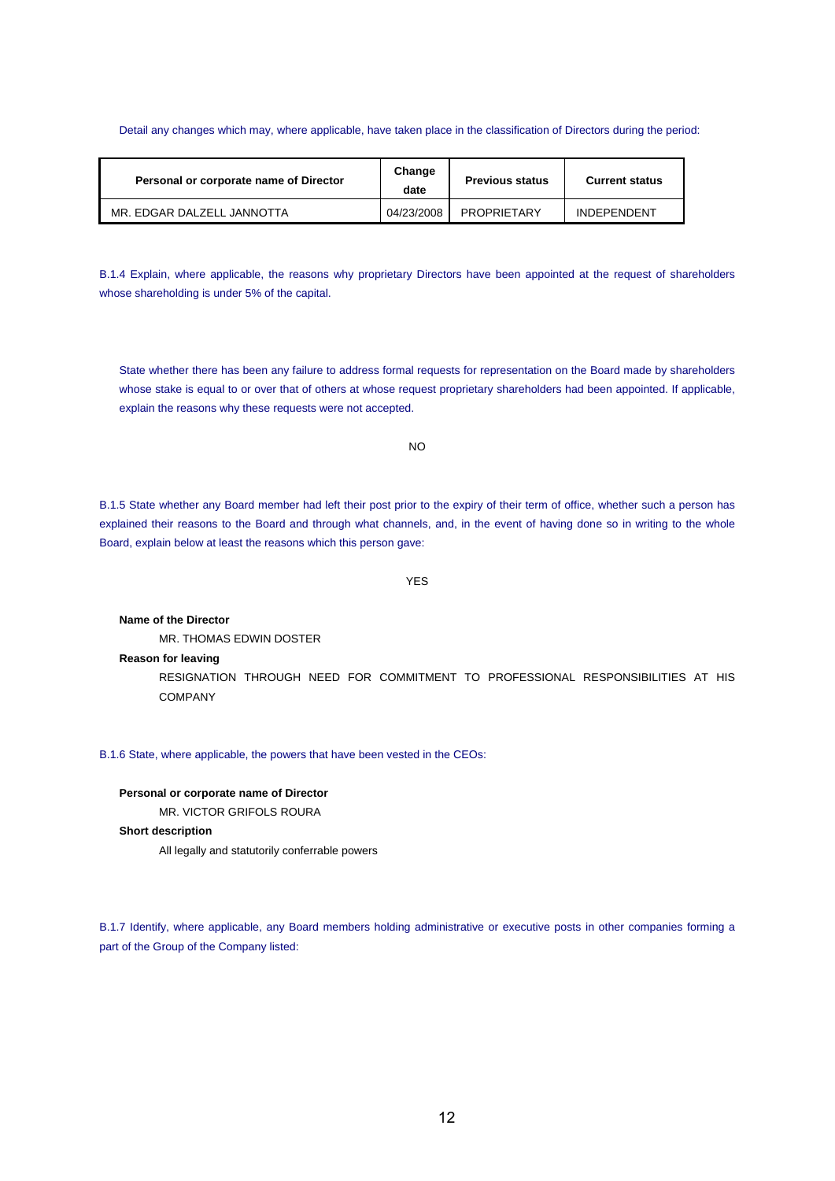## Detail any changes which may, where applicable, have taken place in the classification of Directors during the period:

| Personal or corporate name of Director | Change<br>date | <b>Previous status</b> | <b>Current status</b> |
|----------------------------------------|----------------|------------------------|-----------------------|
| MR. EDGAR DALZELL JANNOTTA             | 04/23/2008     | PROPRIETARY            | <b>INDEPENDENT</b>    |

B.1.4 Explain, where applicable, the reasons why proprietary Directors have been appointed at the request of shareholders whose shareholding is under 5% of the capital.

State whether there has been any failure to address formal requests for representation on the Board made by shareholders whose stake is equal to or over that of others at whose request proprietary shareholders had been appointed. If applicable, explain the reasons why these requests were not accepted.

 $N<sub>O</sub>$ 

B.1.5 State whether any Board member had left their post prior to the expiry of their term of office, whether such a person has explained their reasons to the Board and through what channels, and, in the event of having done so in writing to the whole Board, explain below at least the reasons which this person gave:

YES

**Name of the Director**  MR. THOMAS EDWIN DOSTER **Reason for leaving** 

RESIGNATION THROUGH NEED FOR COMMITMENT TO PROFESSIONAL RESPONSIBILITIES AT HIS COMPANY

B.1.6 State, where applicable, the powers that have been vested in the CEOs:

**Personal or corporate name of Director**  MR. VICTOR GRIFOLS ROURA

**Short description** 

All legally and statutorily conferrable powers

B.1.7 Identify, where applicable, any Board members holding administrative or executive posts in other companies forming a part of the Group of the Company listed: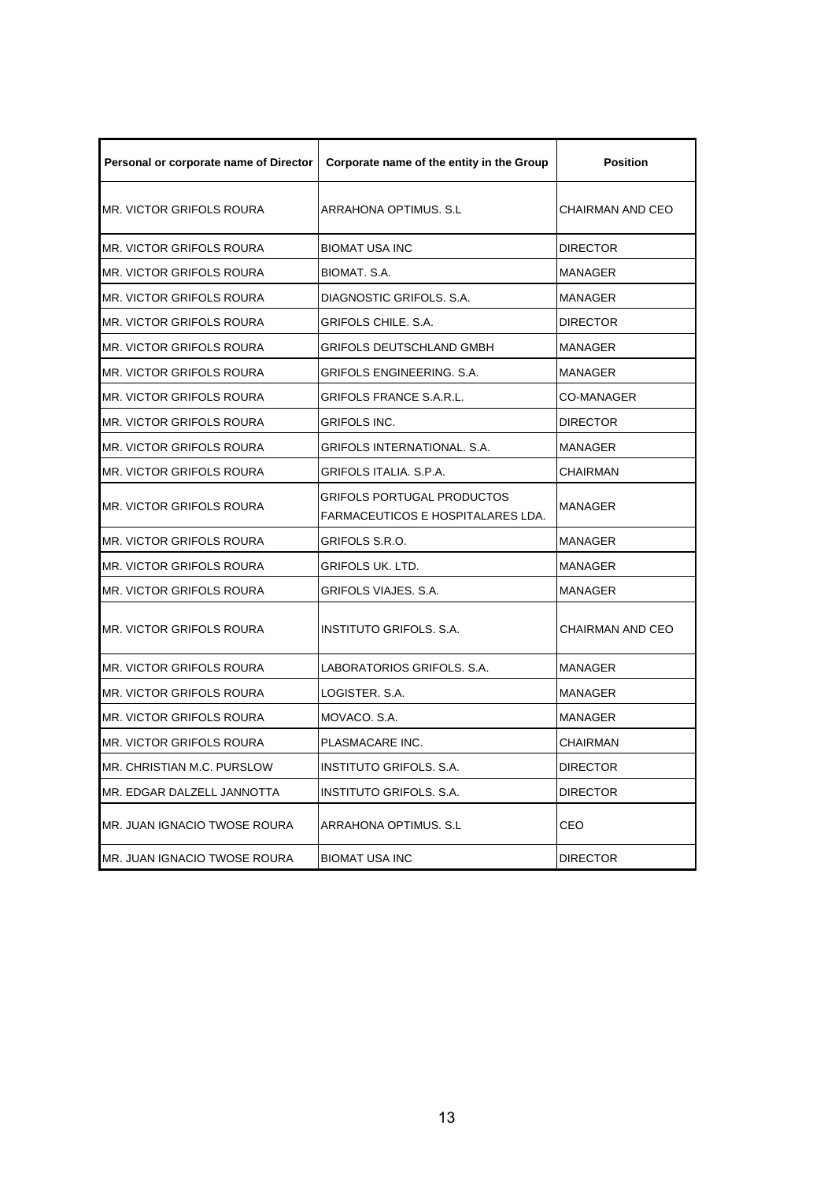| Personal or corporate name of Director | Corporate name of the entity in the Group                                     | <b>Position</b>   |
|----------------------------------------|-------------------------------------------------------------------------------|-------------------|
| <b>MR. VICTOR GRIFOLS ROURA</b>        | <b>ARRAHONA OPTIMUS, S.L.</b>                                                 | CHAIRMAN AND CEO  |
| MR. VICTOR GRIFOLS ROURA               | <b>BIOMAT USA INC</b>                                                         | <b>DIRECTOR</b>   |
| <b>MR. VICTOR GRIFOLS ROURA</b>        | BIOMAT, S.A.                                                                  | <b>MANAGER</b>    |
| MR. VICTOR GRIFOLS ROURA               | DIAGNOSTIC GRIFOLS, S.A.                                                      | <b>MANAGER</b>    |
| MR. VICTOR GRIFOLS ROURA               | GRIFOLS CHILE, S.A.                                                           | <b>DIRECTOR</b>   |
| MR. VICTOR GRIFOLS ROURA               | GRIFOLS DEUTSCHLAND GMBH                                                      | MANAGER           |
| <b>MR. VICTOR GRIFOLS ROURA</b>        | GRIFOLS ENGINEERING. S.A.                                                     | <b>MANAGER</b>    |
| MR. VICTOR GRIFOLS ROURA               | <b>GRIFOLS FRANCE S.A.R.L.</b>                                                | <b>CO-MANAGER</b> |
| MR. VICTOR GRIFOLS ROURA               | <b>GRIFOLS INC.</b>                                                           | <b>DIRECTOR</b>   |
| MR. VICTOR GRIFOLS ROURA               | <b>GRIFOLS INTERNATIONAL, S.A.</b>                                            | <b>MANAGER</b>    |
| MR. VICTOR GRIFOLS ROURA               | GRIFOLS ITALIA. S.P.A.                                                        | CHAIRMAN          |
| <b>MR. VICTOR GRIFOLS ROURA</b>        | <b>GRIFOLS PORTUGAL PRODUCTOS</b><br><b>FARMACEUTICOS E HOSPITALARES LDA.</b> | MANAGER           |
| <b>MR. VICTOR GRIFOLS ROURA</b>        | GRIFOLS S.R.O.                                                                | MANAGER           |
| <b>MR. VICTOR GRIFOLS ROURA</b>        | <b>GRIFOLS UK. LTD.</b>                                                       | <b>MANAGER</b>    |
| MR. VICTOR GRIFOLS ROURA               | GRIFOLS VIAJES, S.A.                                                          | <b>MANAGER</b>    |
| <b>MR. VICTOR GRIFOLS ROURA</b>        | INSTITUTO GRIFOLS, S.A.                                                       | CHAIRMAN AND CEO  |
| MR. VICTOR GRIFOLS ROURA               | LABORATORIOS GRIFOLS, S.A.                                                    | <b>MANAGER</b>    |
| <b>MR. VICTOR GRIFOLS ROURA</b>        | LOGISTER. S.A.                                                                | <b>MANAGER</b>    |
| MR. VICTOR GRIFOLS ROURA               | MOVACO, S.A.                                                                  | MANAGER           |
| <b>MR. VICTOR GRIFOLS ROURA</b>        | PLASMACARE INC.                                                               | CHAIRMAN          |
| MR. CHRISTIAN M.C. PURSLOW             | <b>INSTITUTO GRIFOLS, S.A.</b>                                                | DIRECTOR          |
| MR. EDGAR DALZELL JANNOTTA             | <b>INSTITUTO GRIFOLS. S.A.</b>                                                | <b>DIRECTOR</b>   |
| MR. JUAN IGNACIO TWOSE ROURA           | ARRAHONA OPTIMUS, S.L.                                                        | CEO               |
| MR. JUAN IGNACIO TWOSE ROURA           | <b>BIOMAT USA INC</b>                                                         | <b>DIRECTOR</b>   |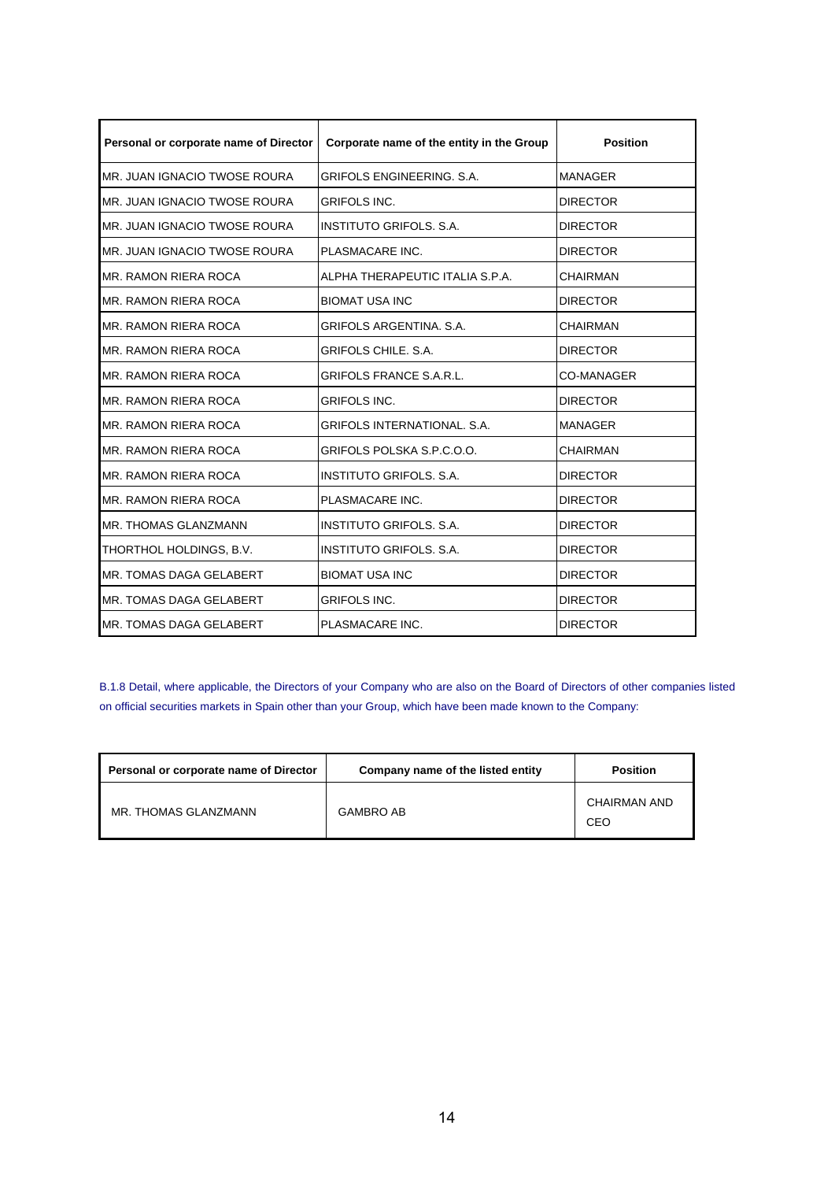| Personal or corporate name of Director | Corporate name of the entity in the Group | <b>Position</b>   |
|----------------------------------------|-------------------------------------------|-------------------|
| MR. JUAN IGNACIO TWOSE ROURA           | <b>GRIFOLS ENGINEERING, S.A.</b>          | <b>MANAGER</b>    |
| MR. JUAN IGNACIO TWOSE ROURA           | <b>GRIFOLS INC.</b>                       | <b>DIRECTOR</b>   |
| MR. JUAN IGNACIO TWOSE ROURA           | INSTITUTO GRIFOLS, S.A.                   | <b>DIRECTOR</b>   |
| IMR. JUAN IGNACIO TWOSE ROURA          | PLASMACARE INC.                           | <b>DIRECTOR</b>   |
| MR. RAMON RIERA ROCA                   | ALPHA THERAPEUTIC ITALIA S.P.A.           | <b>CHAIRMAN</b>   |
| MR. RAMON RIERA ROCA                   | <b>BIOMAT USA INC</b>                     | <b>DIRECTOR</b>   |
| <b>MR. RAMON RIERA ROCA</b>            | <b>GRIFOLS ARGENTINA, S.A.</b>            | <b>CHAIRMAN</b>   |
| <b>MR. RAMON RIERA ROCA</b>            | <b>GRIFOLS CHILE, S.A.</b>                | <b>DIRECTOR</b>   |
| MR. RAMON RIERA ROCA                   | <b>GRIFOLS FRANCE S.A.R.L.</b>            | <b>CO-MANAGER</b> |
| <b>MR. RAMON RIERA ROCA</b>            | <b>GRIFOLS INC.</b>                       | <b>DIRECTOR</b>   |
| <b>MR. RAMON RIERA ROCA</b>            | <b>GRIFOLS INTERNATIONAL, S.A.</b>        | <b>MANAGER</b>    |
| <b>MR. RAMON RIERA ROCA</b>            | GRIFOLS POLSKA S.P.C.O.O.                 | <b>CHAIRMAN</b>   |
| MR. RAMON RIERA ROCA                   | <b>INSTITUTO GRIFOLS, S.A.</b>            | <b>DIRECTOR</b>   |
| MR. RAMON RIERA ROCA                   | PLASMACARE INC.                           | <b>DIRECTOR</b>   |
| <b>MR. THOMAS GLANZMANN</b>            | <b>INSTITUTO GRIFOLS, S.A.</b>            | <b>DIRECTOR</b>   |
| THORTHOL HOLDINGS, B.V.                | <b>INSTITUTO GRIFOLS, S.A.</b>            | <b>DIRECTOR</b>   |
| MR. TOMAS DAGA GELABERT                | <b>BIOMAT USA INC</b>                     | <b>DIRECTOR</b>   |
| MR. TOMAS DAGA GELABERT                | <b>GRIFOLS INC.</b>                       | <b>DIRECTOR</b>   |
| MR. TOMAS DAGA GELABERT                | PLASMACARE INC.                           | <b>DIRECTOR</b>   |

B.1.8 Detail, where applicable, the Directors of your Company who are also on the Board of Directors of other companies listed on official securities markets in Spain other than your Group, which have been made known to the Company:

| Personal or corporate name of Director | Company name of the listed entity | <b>Position</b>     |
|----------------------------------------|-----------------------------------|---------------------|
| MR. THOMAS GLANZMANN                   | <b>GAMBRO AB</b>                  | CHAIRMAN AND<br>CEO |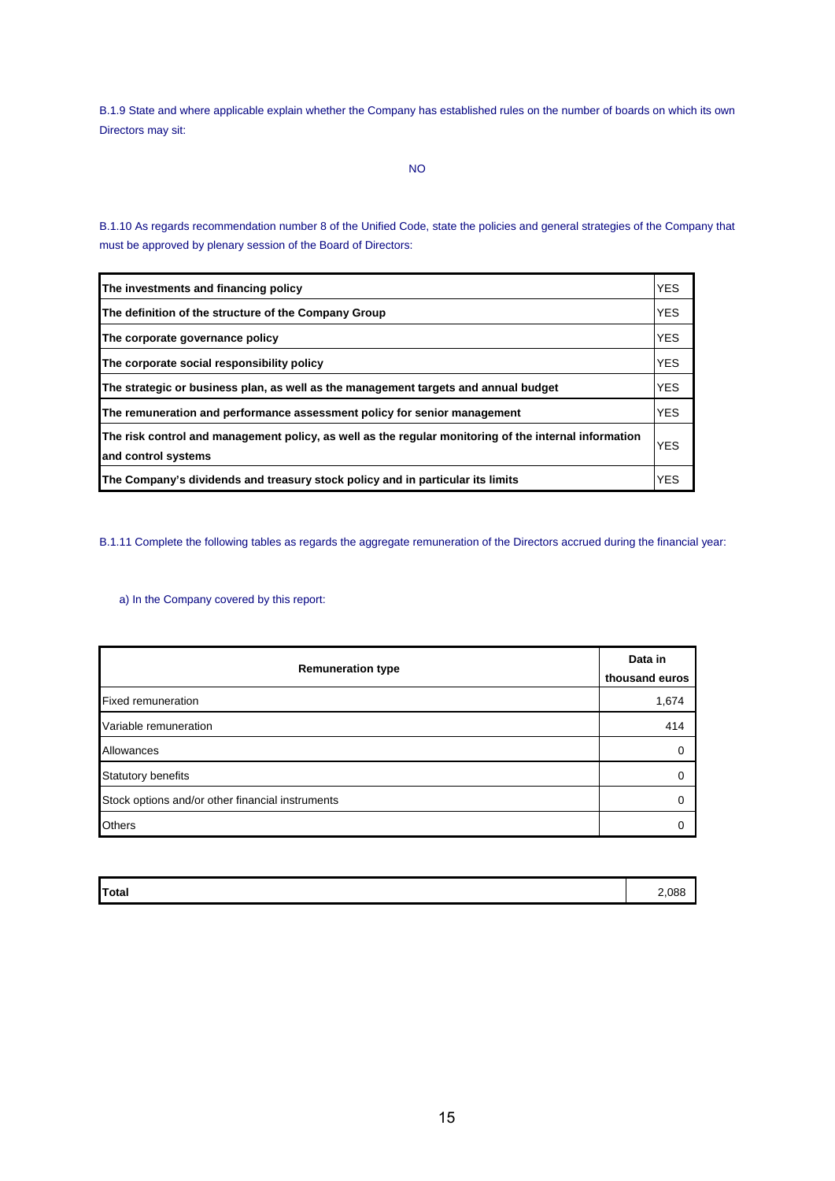B.1.9 State and where applicable explain whether the Company has established rules on the number of boards on which its own Directors may sit:

B.1.10 As regards recommendation number 8 of the Unified Code, state the policies and general strategies of the Company that must be approved by plenary session of the Board of Directors:

| The investments and financing policy                                                                                         | <b>YES</b> |
|------------------------------------------------------------------------------------------------------------------------------|------------|
| The definition of the structure of the Company Group                                                                         | <b>YES</b> |
| The corporate governance policy                                                                                              | <b>YES</b> |
| The corporate social responsibility policy                                                                                   | <b>YES</b> |
| The strategic or business plan, as well as the management targets and annual budget                                          | <b>YES</b> |
| The remuneration and performance assessment policy for senior management                                                     | <b>YES</b> |
| The risk control and management policy, as well as the regular monitoring of the internal information<br>and control systems | <b>YES</b> |
| The Company's dividends and treasury stock policy and in particular its limits                                               | <b>YES</b> |

B.1.11 Complete the following tables as regards the aggregate remuneration of the Directors accrued during the financial year:

# a) In the Company covered by this report:

| <b>Remuneration type</b>                         | Data in<br>thousand euros |
|--------------------------------------------------|---------------------------|
| <b>Fixed remuneration</b>                        | 1,674                     |
| Variable remuneration                            | 414                       |
| Allowances                                       |                           |
| <b>Statutory benefits</b>                        |                           |
| Stock options and/or other financial instruments |                           |
| <b>Others</b>                                    |                           |

| <b>Total</b> | 2,088 |
|--------------|-------|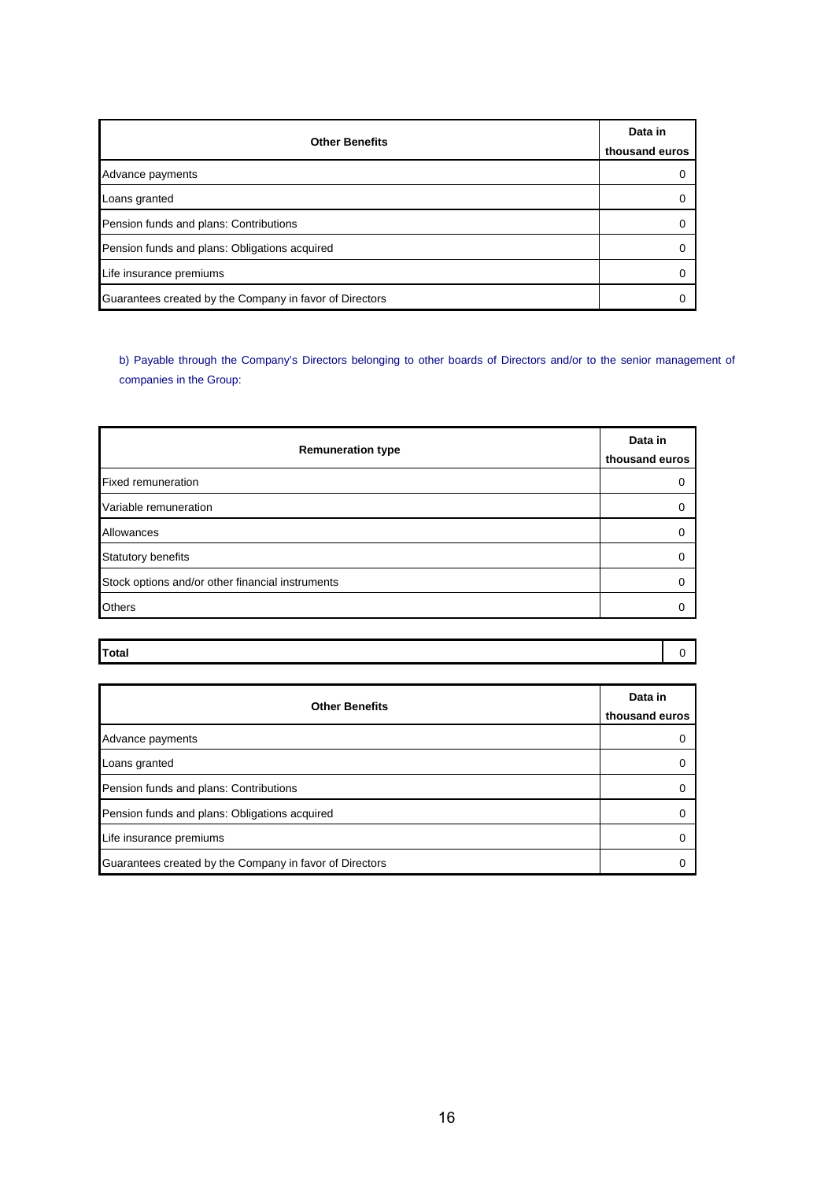| <b>Other Benefits</b>                                   | Data in<br>thousand euros |
|---------------------------------------------------------|---------------------------|
| Advance payments                                        | $\Omega$                  |
| Loans granted                                           | $\Omega$                  |
| Pension funds and plans: Contributions                  | $\Omega$                  |
| Pension funds and plans: Obligations acquired           | 0                         |
| Life insurance premiums                                 | $\Omega$                  |
| Guarantees created by the Company in favor of Directors | O                         |

b) Payable through the Company's Directors belonging to other boards of Directors and/or to the senior management of companies in the Group:

| <b>Remuneration type</b>                         | Data in<br>thousand euros |
|--------------------------------------------------|---------------------------|
| <b>Fixed remuneration</b>                        |                           |
| Variable remuneration                            | O                         |
| Allowances                                       |                           |
| Statutory benefits                               |                           |
| Stock options and/or other financial instruments |                           |
| <b>Others</b>                                    |                           |

| Total |  |
|-------|--|
|       |  |

| <b>Other Benefits</b>                                   | Data in<br>thousand euros |
|---------------------------------------------------------|---------------------------|
| Advance payments                                        |                           |
| Loans granted                                           |                           |
| Pension funds and plans: Contributions                  |                           |
| Pension funds and plans: Obligations acquired           |                           |
| Life insurance premiums                                 |                           |
| Guarantees created by the Company in favor of Directors |                           |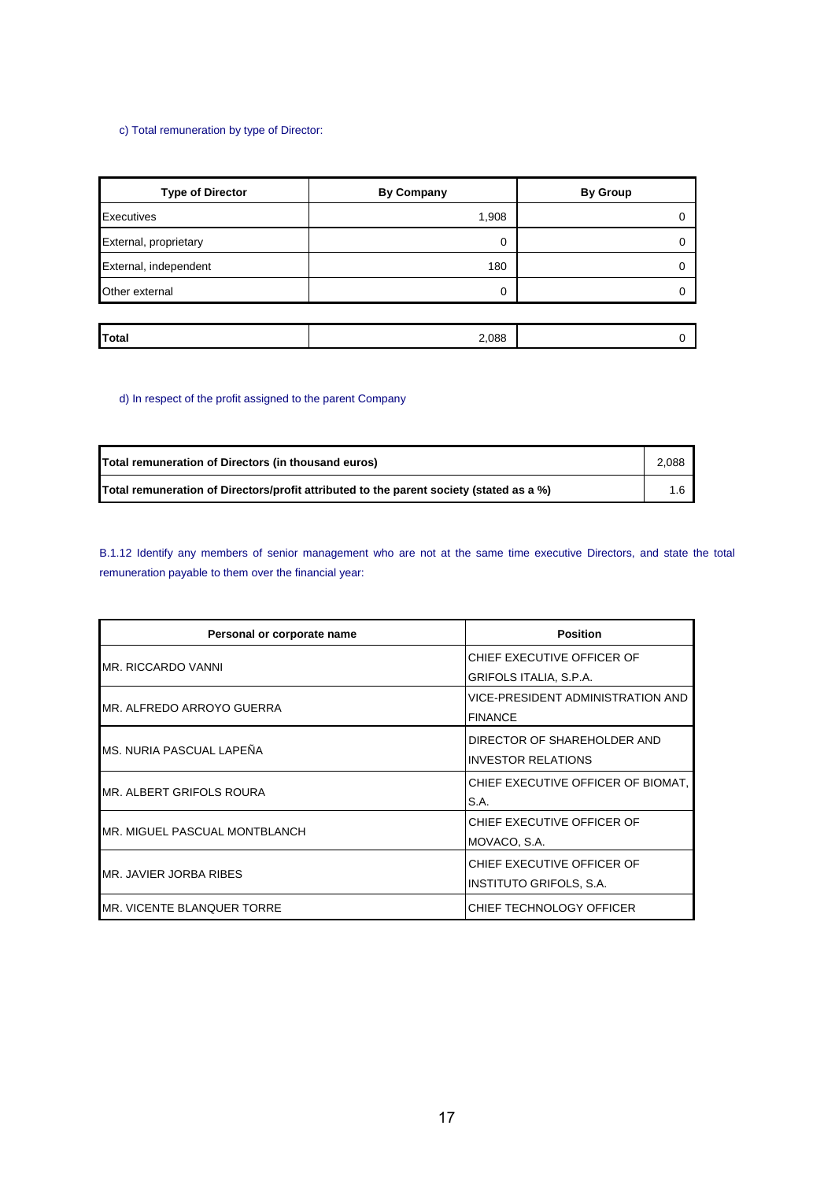# c) Total remuneration by type of Director:

| <b>Type of Director</b> | <b>By Company</b> | <b>By Group</b> |
|-------------------------|-------------------|-----------------|
| Executives              | 1,908             |                 |
| External, proprietary   | 0                 |                 |
| External, independent   | 180               |                 |
| Other external          | 0                 |                 |
|                         |                   |                 |
| Total                   | 2,088             |                 |

# d) In respect of the profit assigned to the parent Company

| Total remuneration of Directors (in thousand euros)                                     | 2,088 |
|-----------------------------------------------------------------------------------------|-------|
| Total remuneration of Directors/profit attributed to the parent society (stated as a %) |       |

B.1.12 Identify any members of senior management who are not at the same time executive Directors, and state the total remuneration payable to them over the financial year:

| Personal or corporate name     | <b>Position</b>                    |
|--------------------------------|------------------------------------|
| IMR. RICCARDO VANNI            | CHIEF EXECUTIVE OFFICER OF         |
|                                | GRIFOLS ITALIA, S.P.A.             |
| IMR. ALFREDO ARROYO GUERRA     | VICE-PRESIDENT ADMINISTRATION AND  |
|                                | <b>FINANCE</b>                     |
|                                | DIRECTOR OF SHAREHOLDER AND        |
| IMS. NURIA PASCUAL LAPEÑA      | <b>INVESTOR RELATIONS</b>          |
| MR. ALBERT GRIFOLS ROURA       | CHIEF EXECUTIVE OFFICER OF BIOMAT, |
|                                | S.A.                               |
| MR. MIGUEL PASCUAL MONTBLANCH  | CHIEF EXECUTIVE OFFICER OF         |
|                                | MOVACO, S.A.                       |
|                                | CHIEF EXECUTIVE OFFICER OF         |
| <b>IMR. JAVIER JORBA RIBES</b> | <b>INSTITUTO GRIFOLS, S.A.</b>     |
| IMR. VICENTE BLANQUER TORRE    | CHIEF TECHNOLOGY OFFICER           |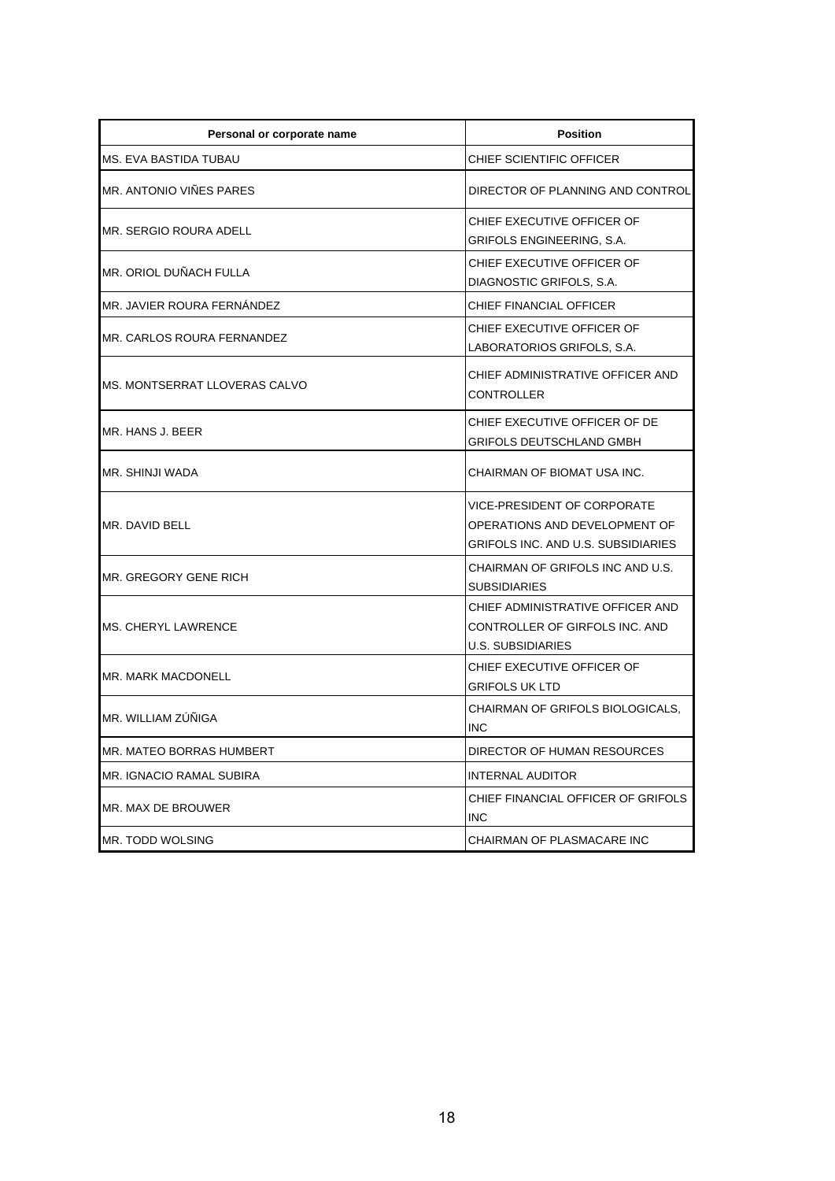| Personal or corporate name     | <b>Position</b>                                                                                           |
|--------------------------------|-----------------------------------------------------------------------------------------------------------|
| <b>MS. EVA BASTIDA TUBAU</b>   | CHIEF SCIENTIFIC OFFICER                                                                                  |
| MR. ANTONIO VIÑES PARES        | DIRECTOR OF PLANNING AND CONTROL                                                                          |
| MR. SERGIO ROURA ADELL         | CHIEF EXECUTIVE OFFICER OF<br>GRIFOLS ENGINEERING, S.A.                                                   |
| MR. ORIOL DUÑACH FULLA         | CHIEF EXECUTIVE OFFICER OF<br>DIAGNOSTIC GRIFOLS, S.A.                                                    |
| MR. JAVIER ROURA FERNANDEZ     | CHIEF FINANCIAL OFFICER                                                                                   |
| MR. CARLOS ROURA FERNANDEZ     | CHIEF EXECUTIVE OFFICER OF<br>LABORATORIOS GRIFOLS, S.A.                                                  |
| IMS. MONTSERRAT LLOVERAS CALVO | CHIEF ADMINISTRATIVE OFFICER AND<br><b>CONTROLLER</b>                                                     |
| MR. HANS J. BEER               | CHIEF EXECUTIVE OFFICER OF DE<br>GRIFOLS DEUTSCHLAND GMBH                                                 |
| MR. SHINJI WADA                | CHAIRMAN OF BIOMAT USA INC.                                                                               |
| MR. DAVID BELL                 | <b>VICE-PRESIDENT OF CORPORATE</b><br>OPERATIONS AND DEVELOPMENT OF<br>GRIFOLS INC. AND U.S. SUBSIDIARIES |
| MR. GREGORY GENE RICH          | CHAIRMAN OF GRIFOLS INC AND U.S.<br><b>SUBSIDIARIES</b>                                                   |
| <b>MS. CHERYL LAWRENCE</b>     | CHIEF ADMINISTRATIVE OFFICER AND<br>CONTROLLER OF GIRFOLS INC. AND<br><b>U.S. SUBSIDIARIES</b>            |
| MR. MARK MACDONELL             | CHIEF EXECUTIVE OFFICER OF<br><b>GRIFOLS UK LTD</b>                                                       |
| MR. WILLIAM ZÚÑIGA             | CHAIRMAN OF GRIFOLS BIOLOGICALS,<br><b>INC</b>                                                            |
| MR. MATEO BORRAS HUMBERT       | DIRECTOR OF HUMAN RESOURCES                                                                               |
| MR. IGNACIO RAMAL SUBIRA       | INTERNAL AUDITOR                                                                                          |
| MR. MAX DE BROUWER             | CHIEF FINANCIAL OFFICER OF GRIFOLS<br>INC                                                                 |
| MR. TODD WOLSING               | CHAIRMAN OF PLASMACARE INC                                                                                |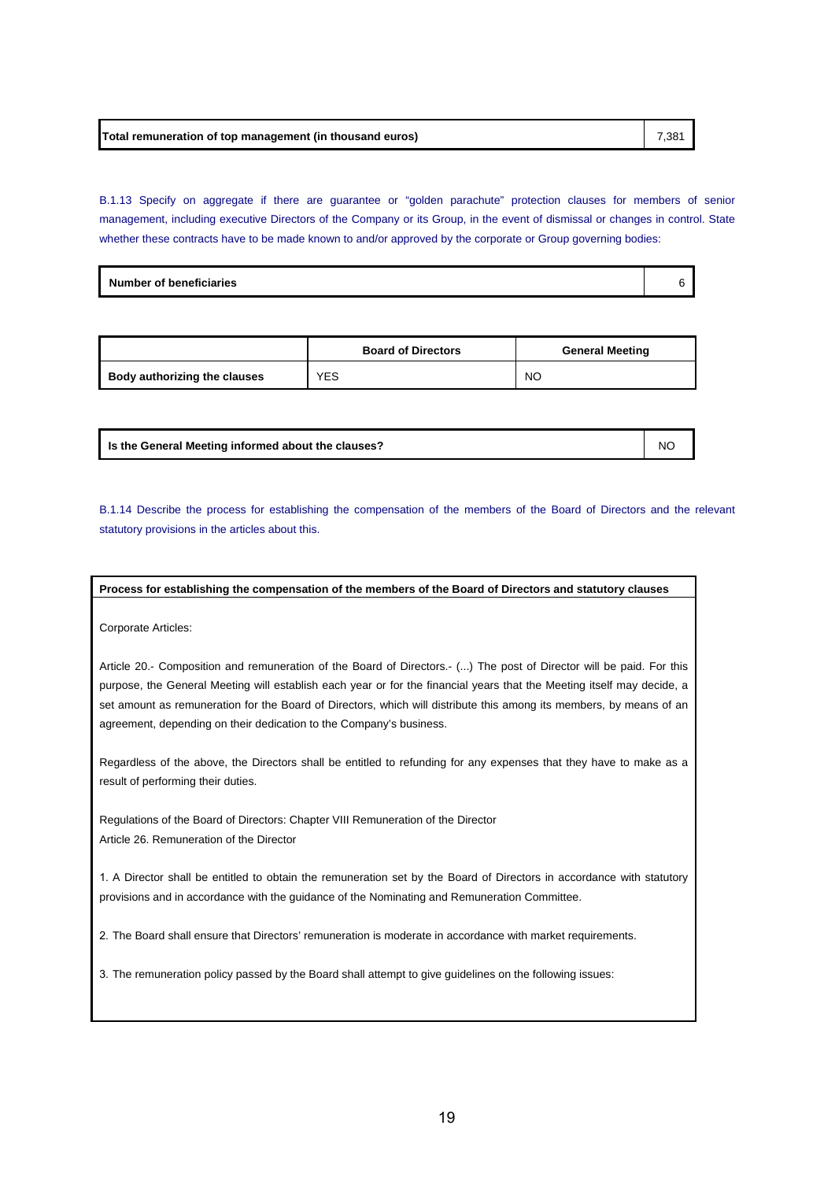B.1.13 Specify on aggregate if there are guarantee or "golden parachute" protection clauses for members of senior management, including executive Directors of the Company or its Group, in the event of dismissal or changes in control. State whether these contracts have to be made known to and/or approved by the corporate or Group governing bodies:

| <b>Number of beneficiaries</b> |
|--------------------------------|
|--------------------------------|

|                              | <b>Board of Directors</b> | <b>General Meeting</b> |
|------------------------------|---------------------------|------------------------|
| Body authorizing the clauses | YES                       | <b>NO</b>              |

| Is the General Meeting informed about the clauses? | <b>NC</b> |
|----------------------------------------------------|-----------|
|----------------------------------------------------|-----------|

B.1.14 Describe the process for establishing the compensation of the members of the Board of Directors and the relevant statutory provisions in the articles about this.

**Process for establishing the compensation of the members of the Board of Directors and statutory clauses**

Corporate Articles:

Article 20.- Composition and remuneration of the Board of Directors.- (...) The post of Director will be paid. For this purpose, the General Meeting will establish each year or for the financial years that the Meeting itself may decide, a set amount as remuneration for the Board of Directors, which will distribute this among its members, by means of an agreement, depending on their dedication to the Company's business.

Regardless of the above, the Directors shall be entitled to refunding for any expenses that they have to make as a result of performing their duties.

Regulations of the Board of Directors: Chapter VIII Remuneration of the Director Article 26. Remuneration of the Director

1. A Director shall be entitled to obtain the remuneration set by the Board of Directors in accordance with statutory provisions and in accordance with the guidance of the Nominating and Remuneration Committee.

2. The Board shall ensure that Directors' remuneration is moderate in accordance with market requirements.

3. The remuneration policy passed by the Board shall attempt to give guidelines on the following issues: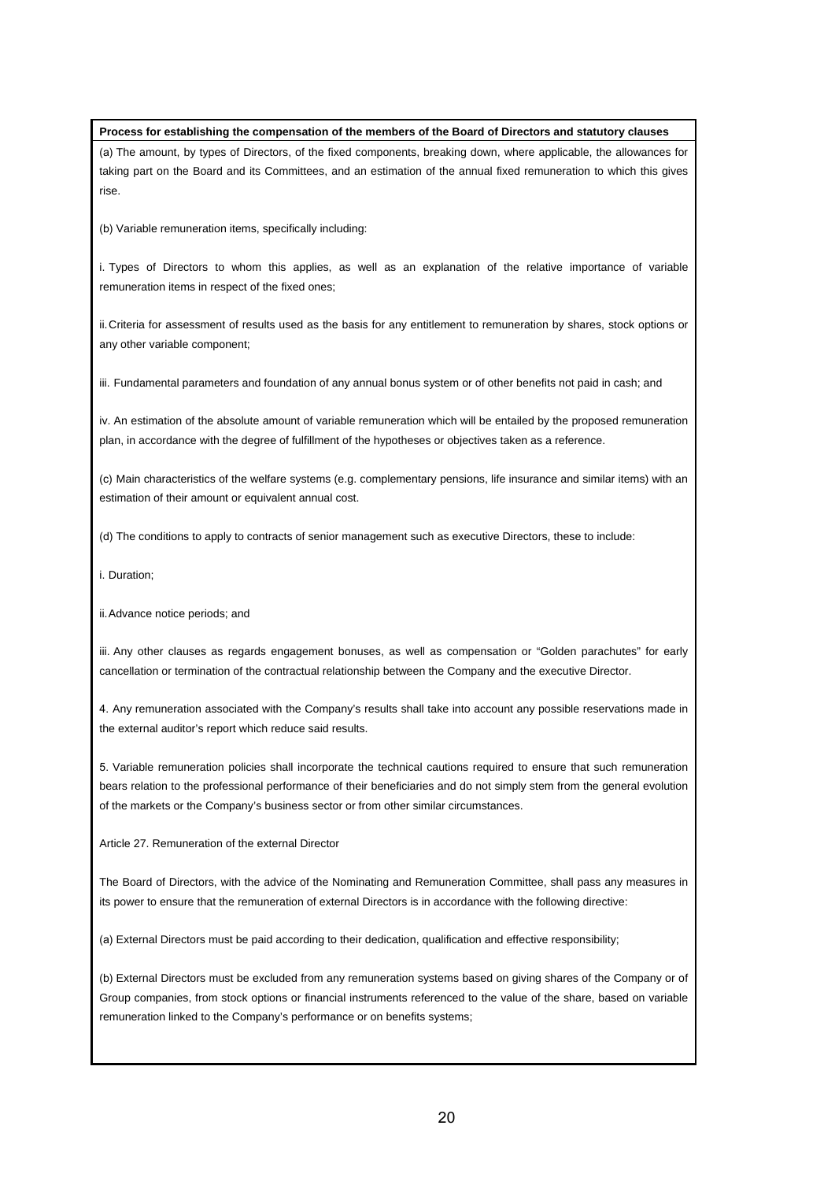#### **Process for establishing the compensation of the members of the Board of Directors and statutory clauses**

(a) The amount, by types of Directors, of the fixed components, breaking down, where applicable, the allowances for taking part on the Board and its Committees, and an estimation of the annual fixed remuneration to which this gives rise.

(b) Variable remuneration items, specifically including:

i. Types of Directors to whom this applies, as well as an explanation of the relative importance of variable remuneration items in respect of the fixed ones;

ii. Criteria for assessment of results used as the basis for any entitlement to remuneration by shares, stock options or any other variable component;

iii. Fundamental parameters and foundation of any annual bonus system or of other benefits not paid in cash; and

iv. An estimation of the absolute amount of variable remuneration which will be entailed by the proposed remuneration plan, in accordance with the degree of fulfillment of the hypotheses or objectives taken as a reference.

(c) Main characteristics of the welfare systems (e.g. complementary pensions, life insurance and similar items) with an estimation of their amount or equivalent annual cost.

(d) The conditions to apply to contracts of senior management such as executive Directors, these to include:

i. Duration;

ii. Advance notice periods; and

iii. Any other clauses as regards engagement bonuses, as well as compensation or "Golden parachutes" for early cancellation or termination of the contractual relationship between the Company and the executive Director.

4. Any remuneration associated with the Company's results shall take into account any possible reservations made in the external auditor's report which reduce said results.

5. Variable remuneration policies shall incorporate the technical cautions required to ensure that such remuneration bears relation to the professional performance of their beneficiaries and do not simply stem from the general evolution of the markets or the Company's business sector or from other similar circumstances.

Article 27. Remuneration of the external Director

The Board of Directors, with the advice of the Nominating and Remuneration Committee, shall pass any measures in its power to ensure that the remuneration of external Directors is in accordance with the following directive:

(a) External Directors must be paid according to their dedication, qualification and effective responsibility;

(b) External Directors must be excluded from any remuneration systems based on giving shares of the Company or of Group companies, from stock options or financial instruments referenced to the value of the share, based on variable remuneration linked to the Company's performance or on benefits systems;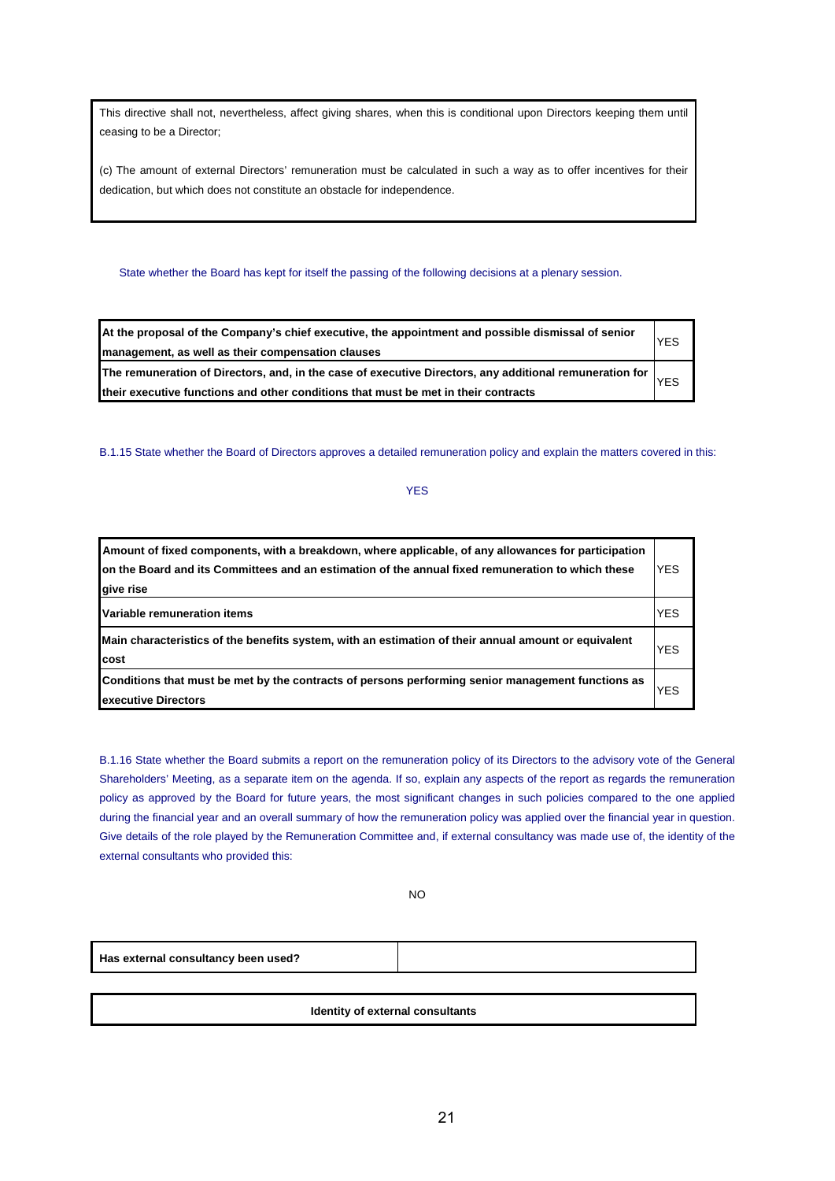This directive shall not, nevertheless, affect giving shares, when this is conditional upon Directors keeping them until ceasing to be a Director;

(c) The amount of external Directors' remuneration must be calculated in such a way as to offer incentives for their dedication, but which does not constitute an obstacle for independence.

## State whether the Board has kept for itself the passing of the following decisions at a plenary session.

| At the proposal of the Company's chief executive, the appointment and possible dismissal of senior<br><b>YES</b><br>management, as well as their compensation clauses |  |
|-----------------------------------------------------------------------------------------------------------------------------------------------------------------------|--|
| The remuneration of Directors, and, in the case of executive Directors, any additional remuneration for                                                               |  |
| <b>YES</b><br>their executive functions and other conditions that must be met in their contracts                                                                      |  |

B.1.15 State whether the Board of Directors approves a detailed remuneration policy and explain the matters covered in this:

# YES

| Amount of fixed components, with a breakdown, where applicable, of any allowances for participation<br>on the Board and its Committees and an estimation of the annual fixed remuneration to which these<br>give rise | <b>YES</b> |
|-----------------------------------------------------------------------------------------------------------------------------------------------------------------------------------------------------------------------|------------|
| <b>Variable remuneration items</b>                                                                                                                                                                                    | <b>YES</b> |
| Main characteristics of the benefits system, with an estimation of their annual amount or equivalent<br><b>I</b> cost                                                                                                 | YES        |
| Conditions that must be met by the contracts of persons performing senior management functions as<br><b>Lexecutive Directors</b>                                                                                      | YES        |

B.1.16 State whether the Board submits a report on the remuneration policy of its Directors to the advisory vote of the General Shareholders' Meeting, as a separate item on the agenda. If so, explain any aspects of the report as regards the remuneration policy as approved by the Board for future years, the most significant changes in such policies compared to the one applied during the financial year and an overall summary of how the remuneration policy was applied over the financial year in question. Give details of the role played by the Remuneration Committee and, if external consultancy was made use of, the identity of the external consultants who provided this:

NO

**Has external consultancy been used?**

**Identity of external consultants**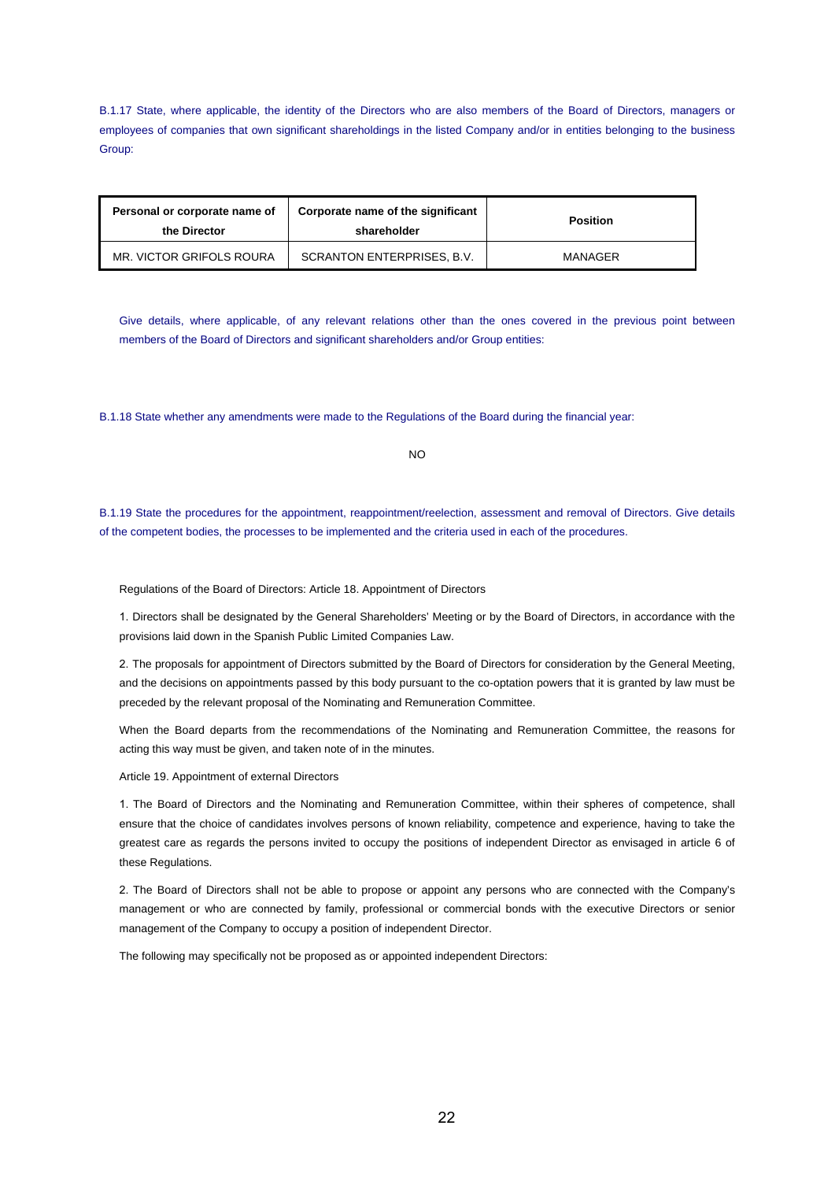B.1.17 State, where applicable, the identity of the Directors who are also members of the Board of Directors, managers or employees of companies that own significant shareholdings in the listed Company and/or in entities belonging to the business Group:

| Personal or corporate name of<br>the Director | Corporate name of the significant<br>shareholder | <b>Position</b> |
|-----------------------------------------------|--------------------------------------------------|-----------------|
| MR. VICTOR GRIFOLS ROURA                      | SCRANTON ENTERPRISES, B.V.                       | MANAGER         |

Give details, where applicable, of any relevant relations other than the ones covered in the previous point between members of the Board of Directors and significant shareholders and/or Group entities:

B.1.18 State whether any amendments were made to the Regulations of the Board during the financial year:

NO

B.1.19 State the procedures for the appointment, reappointment/reelection, assessment and removal of Directors. Give details of the competent bodies, the processes to be implemented and the criteria used in each of the procedures.

Regulations of the Board of Directors: Article 18. Appointment of Directors

1. Directors shall be designated by the General Shareholders' Meeting or by the Board of Directors, in accordance with the provisions laid down in the Spanish Public Limited Companies Law.

2. The proposals for appointment of Directors submitted by the Board of Directors for consideration by the General Meeting, and the decisions on appointments passed by this body pursuant to the co-optation powers that it is granted by law must be preceded by the relevant proposal of the Nominating and Remuneration Committee.

When the Board departs from the recommendations of the Nominating and Remuneration Committee, the reasons for acting this way must be given, and taken note of in the minutes.

Article 19. Appointment of external Directors

1. The Board of Directors and the Nominating and Remuneration Committee, within their spheres of competence, shall ensure that the choice of candidates involves persons of known reliability, competence and experience, having to take the greatest care as regards the persons invited to occupy the positions of independent Director as envisaged in article 6 of these Regulations.

2. The Board of Directors shall not be able to propose or appoint any persons who are connected with the Company's management or who are connected by family, professional or commercial bonds with the executive Directors or senior management of the Company to occupy a position of independent Director.

The following may specifically not be proposed as or appointed independent Directors: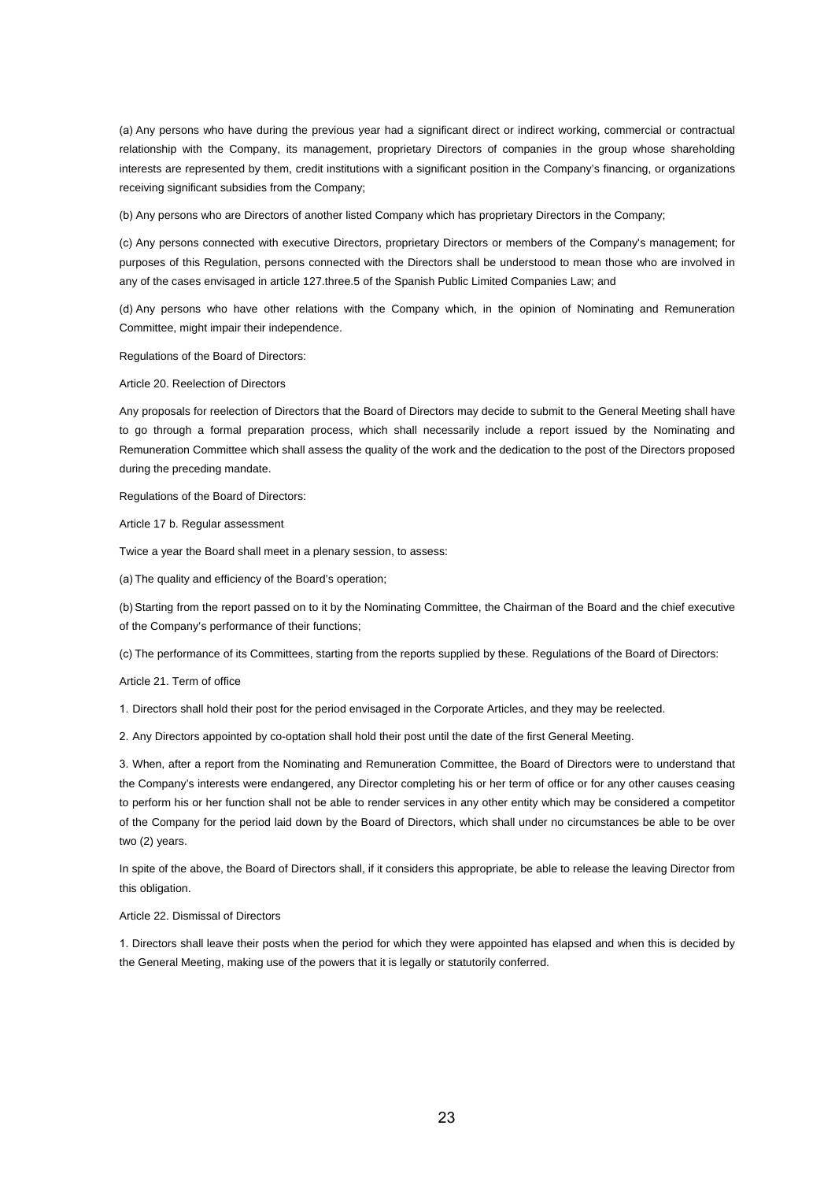(a) Any persons who have during the previous year had a significant direct or indirect working, commercial or contractual relationship with the Company, its management, proprietary Directors of companies in the group whose shareholding interests are represented by them, credit institutions with a significant position in the Company's financing, or organizations receiving significant subsidies from the Company;

(b) Any persons who are Directors of another listed Company which has proprietary Directors in the Company;

(c) Any persons connected with executive Directors, proprietary Directors or members of the Company's management; for purposes of this Regulation, persons connected with the Directors shall be understood to mean those who are involved in any of the cases envisaged in article 127.three.5 of the Spanish Public Limited Companies Law; and

(d) Any persons who have other relations with the Company which, in the opinion of Nominating and Remuneration Committee, might impair their independence.

Regulations of the Board of Directors:

Article 20. Reelection of Directors

Any proposals for reelection of Directors that the Board of Directors may decide to submit to the General Meeting shall have to go through a formal preparation process, which shall necessarily include a report issued by the Nominating and Remuneration Committee which shall assess the quality of the work and the dedication to the post of the Directors proposed during the preceding mandate.

Regulations of the Board of Directors:

Article 17 b. Regular assessment

Twice a year the Board shall meet in a plenary session, to assess:

(a) The quality and efficiency of the Board's operation;

(b) Starting from the report passed on to it by the Nominating Committee, the Chairman of the Board and the chief executive of the Company's performance of their functions;

(c) The performance of its Committees, starting from the reports supplied by these. Regulations of the Board of Directors:

Article 21. Term of office

1. Directors shall hold their post for the period envisaged in the Corporate Articles, and they may be reelected.

2. Any Directors appointed by co-optation shall hold their post until the date of the first General Meeting.

3. When, after a report from the Nominating and Remuneration Committee, the Board of Directors were to understand that the Company's interests were endangered, any Director completing his or her term of office or for any other causes ceasing to perform his or her function shall not be able to render services in any other entity which may be considered a competitor of the Company for the period laid down by the Board of Directors, which shall under no circumstances be able to be over two (2) years.

In spite of the above, the Board of Directors shall, if it considers this appropriate, be able to release the leaving Director from this obligation.

#### Article 22. Dismissal of Directors

1. Directors shall leave their posts when the period for which they were appointed has elapsed and when this is decided by the General Meeting, making use of the powers that it is legally or statutorily conferred.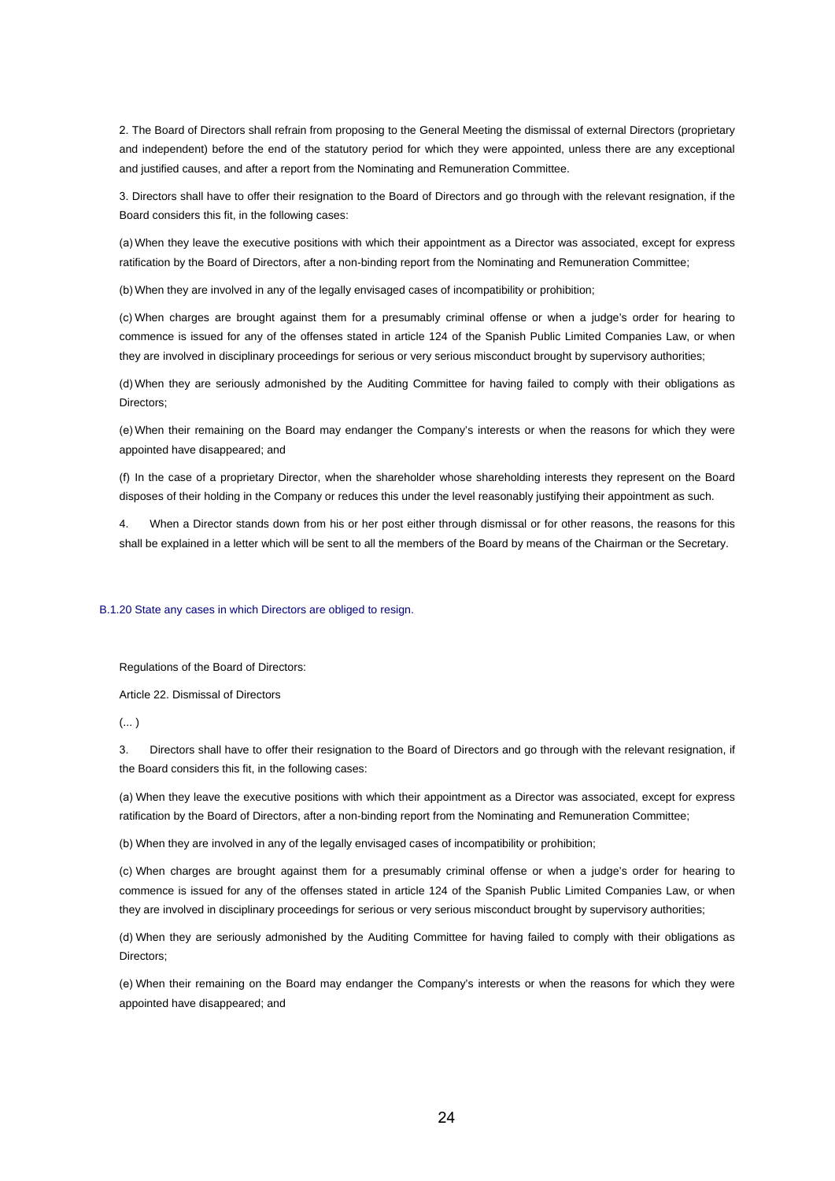2. The Board of Directors shall refrain from proposing to the General Meeting the dismissal of external Directors (proprietary and independent) before the end of the statutory period for which they were appointed, unless there are any exceptional and justified causes, and after a report from the Nominating and Remuneration Committee.

3. Directors shall have to offer their resignation to the Board of Directors and go through with the relevant resignation, if the Board considers this fit, in the following cases:

(a) When they leave the executive positions with which their appointment as a Director was associated, except for express ratification by the Board of Directors, after a non-binding report from the Nominating and Remuneration Committee;

(b) When they are involved in any of the legally envisaged cases of incompatibility or prohibition;

(c) When charges are brought against them for a presumably criminal offense or when a judge's order for hearing to commence is issued for any of the offenses stated in article 124 of the Spanish Public Limited Companies Law, or when they are involved in disciplinary proceedings for serious or very serious misconduct brought by supervisory authorities;

(d) When they are seriously admonished by the Auditing Committee for having failed to comply with their obligations as Directors:

(e) When their remaining on the Board may endanger the Company's interests or when the reasons for which they were appointed have disappeared; and

(f) In the case of a proprietary Director, when the shareholder whose shareholding interests they represent on the Board disposes of their holding in the Company or reduces this under the level reasonably justifying their appointment as such.

4. When a Director stands down from his or her post either through dismissal or for other reasons, the reasons for this shall be explained in a letter which will be sent to all the members of the Board by means of the Chairman or the Secretary.

#### B.1.20 State any cases in which Directors are obliged to resign.

Regulations of the Board of Directors:

Article 22. Dismissal of Directors

 $(\dots)$ 

3. Directors shall have to offer their resignation to the Board of Directors and go through with the relevant resignation, if the Board considers this fit, in the following cases:

(a) When they leave the executive positions with which their appointment as a Director was associated, except for express ratification by the Board of Directors, after a non-binding report from the Nominating and Remuneration Committee;

(b) When they are involved in any of the legally envisaged cases of incompatibility or prohibition;

(c) When charges are brought against them for a presumably criminal offense or when a judge's order for hearing to commence is issued for any of the offenses stated in article 124 of the Spanish Public Limited Companies Law, or when they are involved in disciplinary proceedings for serious or very serious misconduct brought by supervisory authorities;

(d) When they are seriously admonished by the Auditing Committee for having failed to comply with their obligations as Directors;

(e) When their remaining on the Board may endanger the Company's interests or when the reasons for which they were appointed have disappeared; and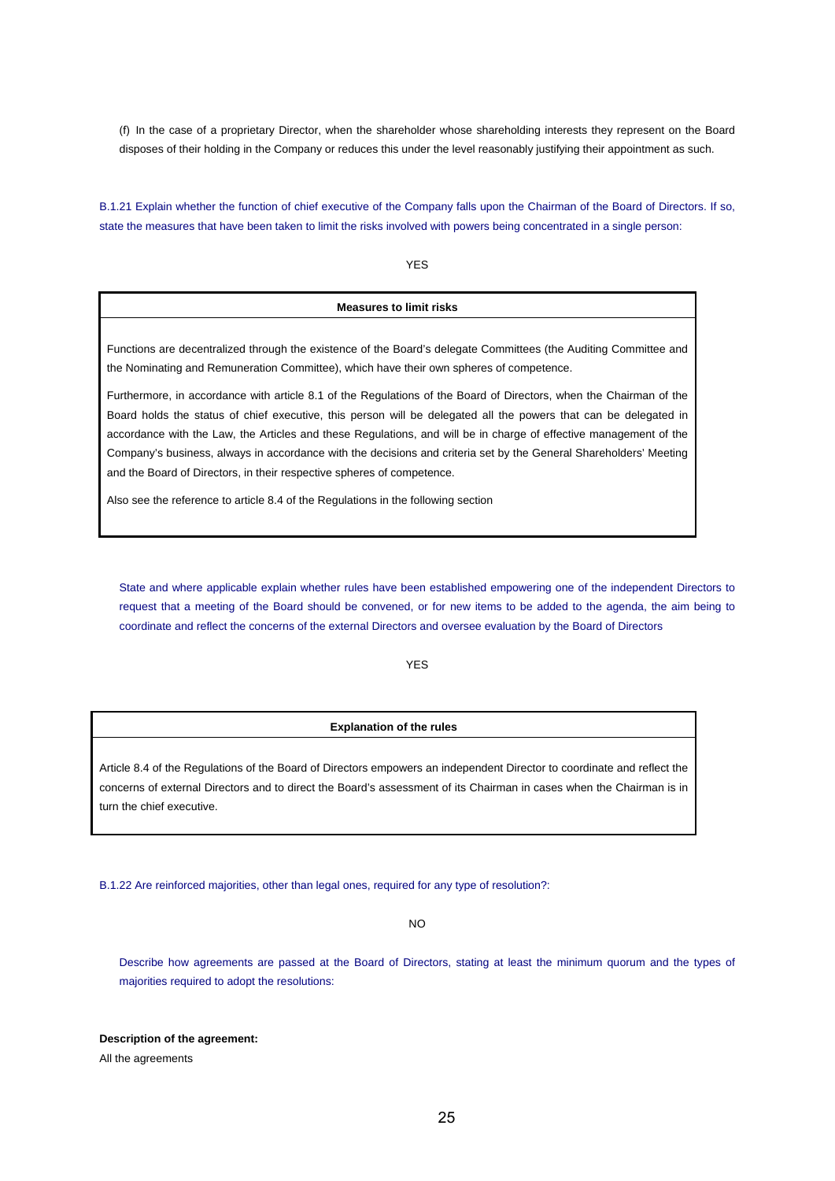(f) In the case of a proprietary Director, when the shareholder whose shareholding interests they represent on the Board disposes of their holding in the Company or reduces this under the level reasonably justifying their appointment as such.

B.1.21 Explain whether the function of chief executive of the Company falls upon the Chairman of the Board of Directors. If so, state the measures that have been taken to limit the risks involved with powers being concentrated in a single person:

YES

## **Measures to limit risks**

Functions are decentralized through the existence of the Board's delegate Committees (the Auditing Committee and the Nominating and Remuneration Committee), which have their own spheres of competence.

Furthermore, in accordance with article 8.1 of the Regulations of the Board of Directors, when the Chairman of the Board holds the status of chief executive, this person will be delegated all the powers that can be delegated in accordance with the Law, the Articles and these Regulations, and will be in charge of effective management of the Company's business, always in accordance with the decisions and criteria set by the General Shareholders' Meeting and the Board of Directors, in their respective spheres of competence.

Also see the reference to article 8.4 of the Regulations in the following section

State and where applicable explain whether rules have been established empowering one of the independent Directors to request that a meeting of the Board should be convened, or for new items to be added to the agenda, the aim being to coordinate and reflect the concerns of the external Directors and oversee evaluation by the Board of Directors

YES

#### **Explanation of the rules**

Article 8.4 of the Regulations of the Board of Directors empowers an independent Director to coordinate and reflect the concerns of external Directors and to direct the Board's assessment of its Chairman in cases when the Chairman is in turn the chief executive.

B.1.22 Are reinforced majorities, other than legal ones, required for any type of resolution?:

NO

Describe how agreements are passed at the Board of Directors, stating at least the minimum quorum and the types of majorities required to adopt the resolutions:

**Description of the agreement:** 

All the agreements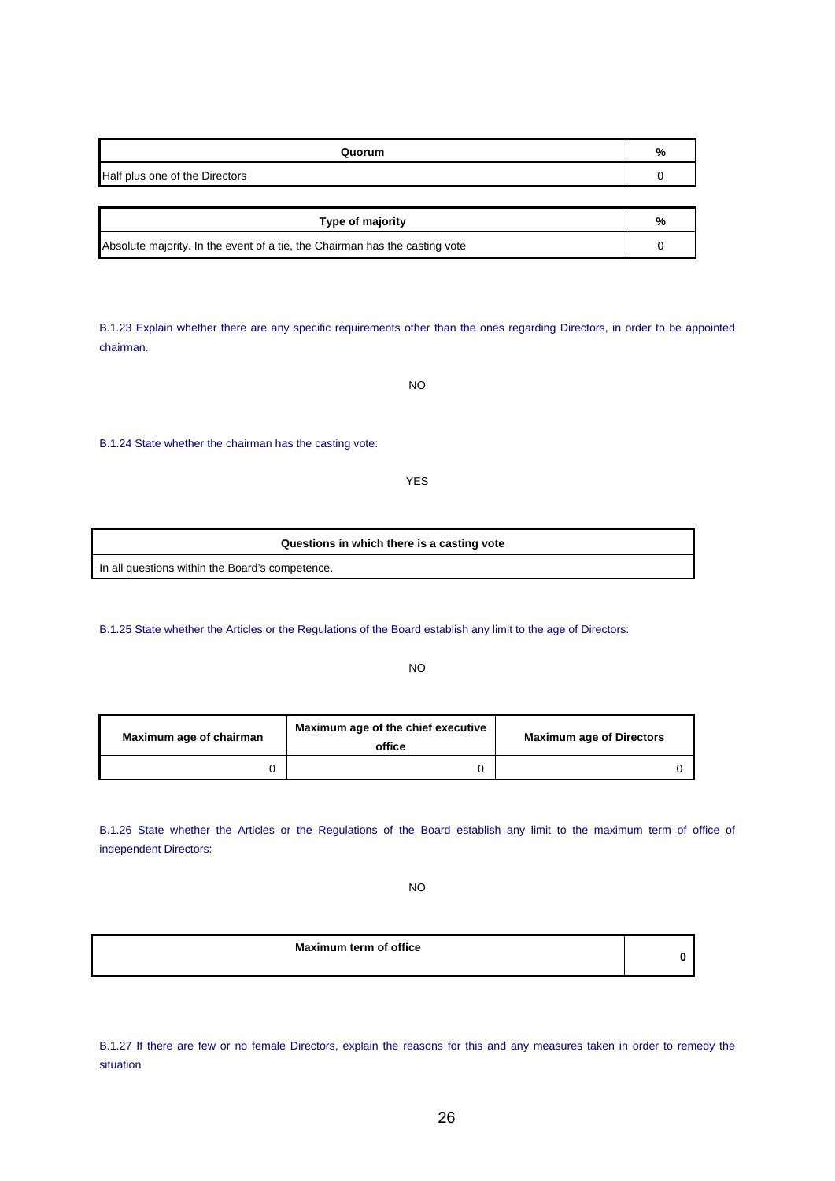| Quorum                         | %             |
|--------------------------------|---------------|
| Half plus one of the Directors |               |
|                                |               |
| Type of majority               | $\frac{1}{6}$ |

| $1.9$ pv vi $11$ ujvitty                                                    | ,,,, |
|-----------------------------------------------------------------------------|------|
| Absolute majority. In the event of a tie, the Chairman has the casting vote |      |

B.1.23 Explain whether there are any specific requirements other than the ones regarding Directors, in order to be appointed chairman.

NO

B.1.24 State whether the chairman has the casting vote:

YES

| Questions in which there is a casting vote      |
|-------------------------------------------------|
| In all questions within the Board's competence. |

B.1.25 State whether the Articles or the Regulations of the Board establish any limit to the age of Directors:

NO

| Maximum age of chairman | Maximum age of the chief executive<br>office | <b>Maximum age of Directors</b> |
|-------------------------|----------------------------------------------|---------------------------------|
|                         |                                              |                                 |

B.1.26 State whether the Articles or the Regulations of the Board establish any limit to the maximum term of office of independent Directors:

NO

**Maximum term of office** 

B.1.27 If there are few or no female Directors, explain the reasons for this and any measures taken in order to remedy the situation

**0**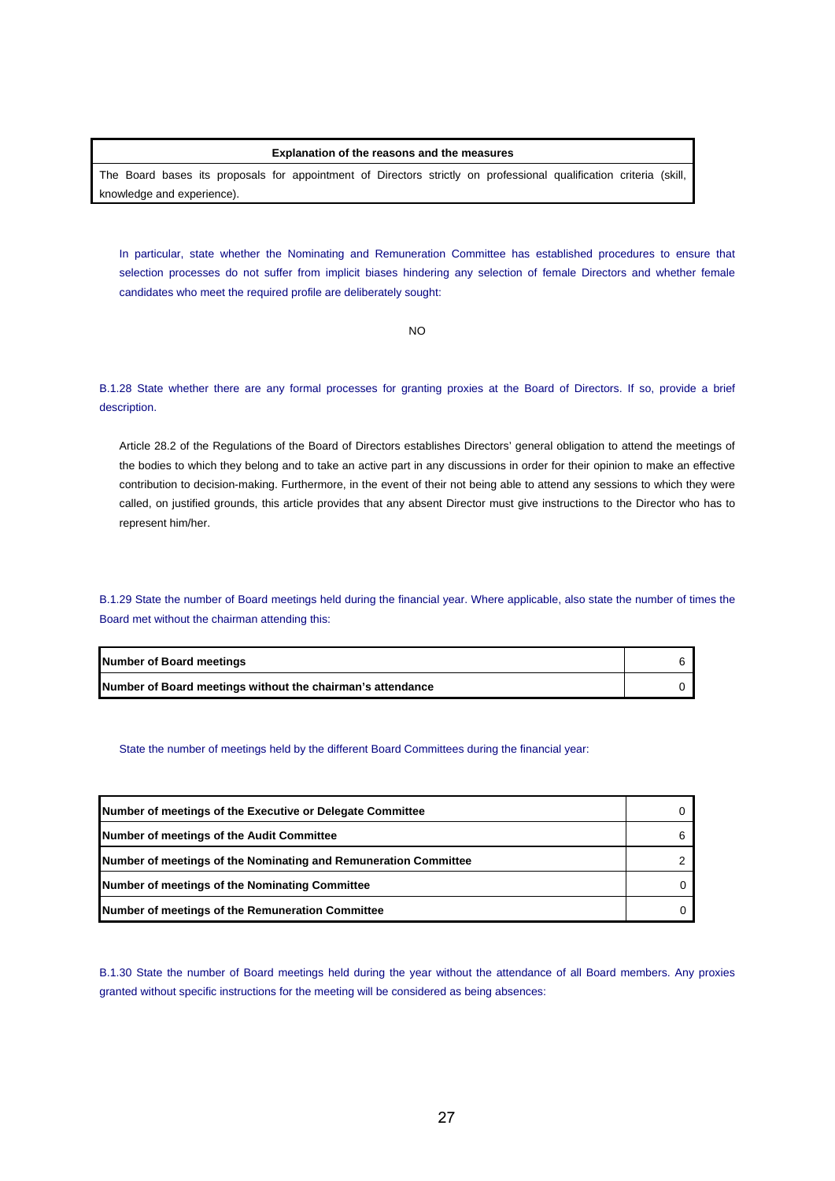#### **Explanation of the reasons and the measures**

The Board bases its proposals for appointment of Directors strictly on professional qualification criteria (skill, knowledge and experience).

In particular, state whether the Nominating and Remuneration Committee has established procedures to ensure that selection processes do not suffer from implicit biases hindering any selection of female Directors and whether female candidates who meet the required profile are deliberately sought:

NO

B.1.28 State whether there are any formal processes for granting proxies at the Board of Directors. If so, provide a brief description.

Article 28.2 of the Regulations of the Board of Directors establishes Directors' general obligation to attend the meetings of the bodies to which they belong and to take an active part in any discussions in order for their opinion to make an effective contribution to decision-making. Furthermore, in the event of their not being able to attend any sessions to which they were called, on justified grounds, this article provides that any absent Director must give instructions to the Director who has to represent him/her.

B.1.29 State the number of Board meetings held during the financial year. Where applicable, also state the number of times the Board met without the chairman attending this:

| Number of Board meetings                                   |  |
|------------------------------------------------------------|--|
| Number of Board meetings without the chairman's attendance |  |

State the number of meetings held by the different Board Committees during the financial year:

| Number of meetings of the Executive or Delegate Committee       |  |
|-----------------------------------------------------------------|--|
| <b>Number of meetings of the Audit Committee</b>                |  |
| Number of meetings of the Nominating and Remuneration Committee |  |
| Number of meetings of the Nominating Committee                  |  |
| Number of meetings of the Remuneration Committee                |  |

B.1.30 State the number of Board meetings held during the year without the attendance of all Board members. Any proxies granted without specific instructions for the meeting will be considered as being absences: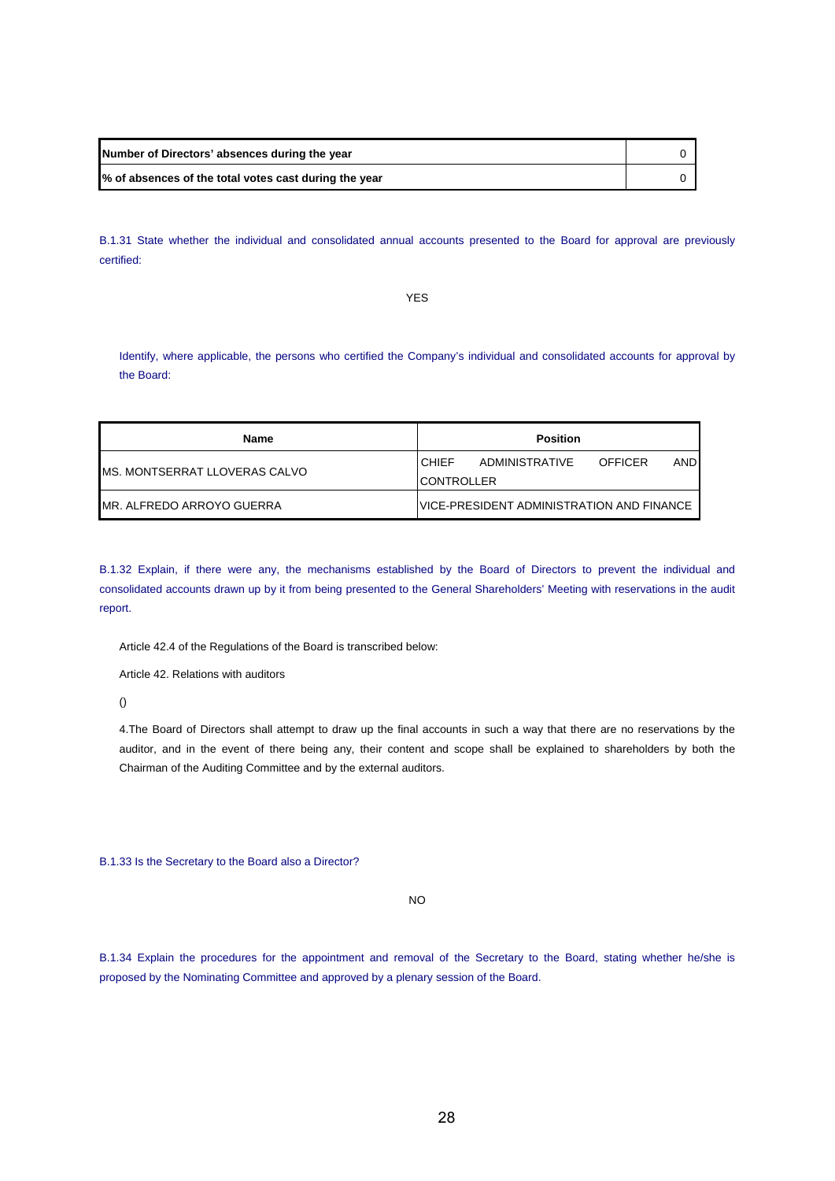| Number of Directors' absences during the year         |  |
|-------------------------------------------------------|--|
| % of absences of the total votes cast during the year |  |

B.1.31 State whether the individual and consolidated annual accounts presented to the Board for approval are previously certified:

YES

Identify, where applicable, the persons who certified the Company's individual and consolidated accounts for approval by the Board:

| Name                           | <b>Position</b>                                         |  |  |
|--------------------------------|---------------------------------------------------------|--|--|
| IMS. MONTSERRAT LLOVERAS CALVO | <b>AND</b><br><b>CHIFF</b><br>ADMINISTRATIVE<br>OFFICER |  |  |
|                                | <b>CONTROLLER</b>                                       |  |  |
| IMR. ALFREDO ARROYO GUERRA     | IVICE-PRESIDENT ADMINISTRATION AND FINANCE              |  |  |

B.1.32 Explain, if there were any, the mechanisms established by the Board of Directors to prevent the individual and consolidated accounts drawn up by it from being presented to the General Shareholders' Meeting with reservations in the audit report.

Article 42.4 of the Regulations of the Board is transcribed below:

Article 42. Relations with auditors

()

4.The Board of Directors shall attempt to draw up the final accounts in such a way that there are no reservations by the auditor, and in the event of there being any, their content and scope shall be explained to shareholders by both the Chairman of the Auditing Committee and by the external auditors.

B.1.33 Is the Secretary to the Board also a Director?

NO

B.1.34 Explain the procedures for the appointment and removal of the Secretary to the Board, stating whether he/she is proposed by the Nominating Committee and approved by a plenary session of the Board.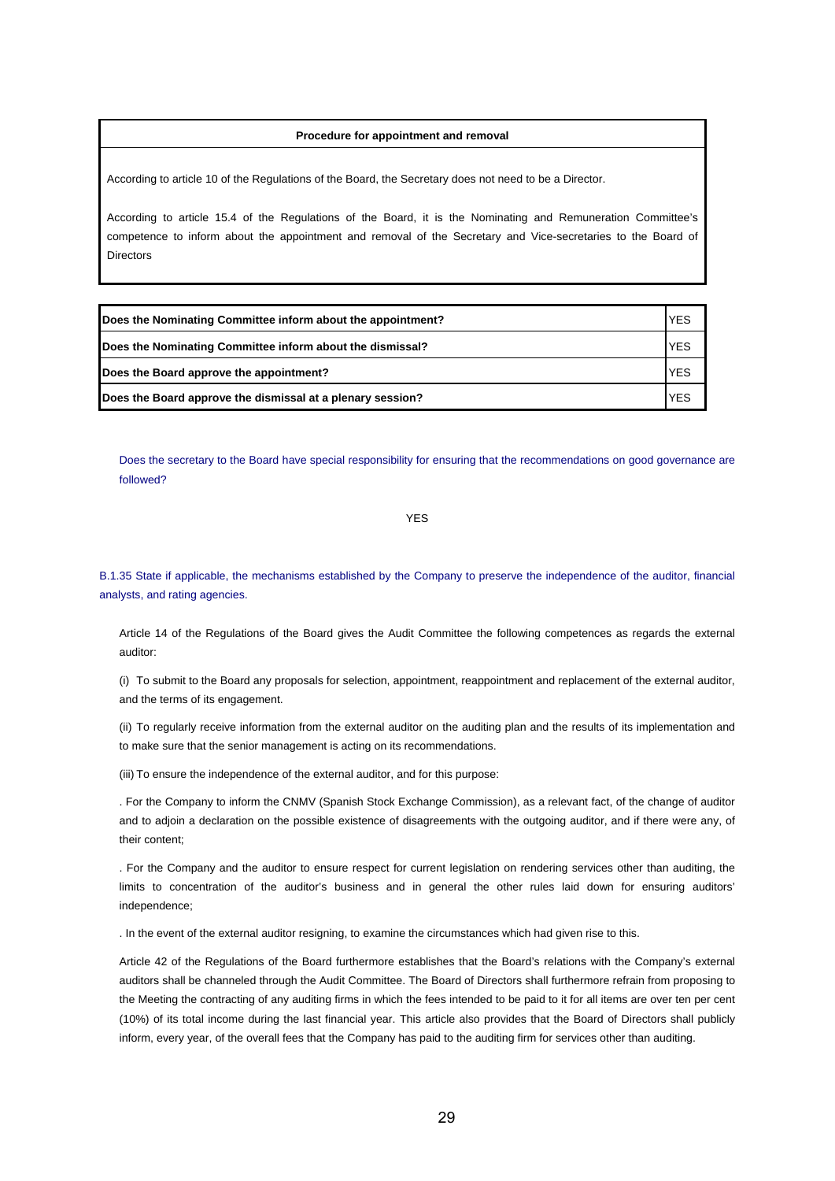#### **Procedure for appointment and removal**

According to article 10 of the Regulations of the Board, the Secretary does not need to be a Director.

According to article 15.4 of the Regulations of the Board, it is the Nominating and Remuneration Committee's competence to inform about the appointment and removal of the Secretary and Vice-secretaries to the Board of Directors

| Does the Nominating Committee inform about the appointment? | <b>YES</b> |
|-------------------------------------------------------------|------------|
| Does the Nominating Committee inform about the dismissal?   | <b>YES</b> |
| Does the Board approve the appointment?                     | <b>YES</b> |
| Does the Board approve the dismissal at a plenary session?  | <b>YES</b> |

Does the secretary to the Board have special responsibility for ensuring that the recommendations on good governance are followed?

YES

B.1.35 State if applicable, the mechanisms established by the Company to preserve the independence of the auditor, financial analysts, and rating agencies.

Article 14 of the Regulations of the Board gives the Audit Committee the following competences as regards the external auditor:

(i) To submit to the Board any proposals for selection, appointment, reappointment and replacement of the external auditor, and the terms of its engagement.

(ii) To regularly receive information from the external auditor on the auditing plan and the results of its implementation and to make sure that the senior management is acting on its recommendations.

(iii) To ensure the independence of the external auditor, and for this purpose:

. For the Company to inform the CNMV (Spanish Stock Exchange Commission), as a relevant fact, of the change of auditor and to adjoin a declaration on the possible existence of disagreements with the outgoing auditor, and if there were any, of their content;

. For the Company and the auditor to ensure respect for current legislation on rendering services other than auditing, the limits to concentration of the auditor's business and in general the other rules laid down for ensuring auditors' independence;

. In the event of the external auditor resigning, to examine the circumstances which had given rise to this.

Article 42 of the Regulations of the Board furthermore establishes that the Board's relations with the Company's external auditors shall be channeled through the Audit Committee. The Board of Directors shall furthermore refrain from proposing to the Meeting the contracting of any auditing firms in which the fees intended to be paid to it for all items are over ten per cent (10%) of its total income during the last financial year. This article also provides that the Board of Directors shall publicly inform, every year, of the overall fees that the Company has paid to the auditing firm for services other than auditing.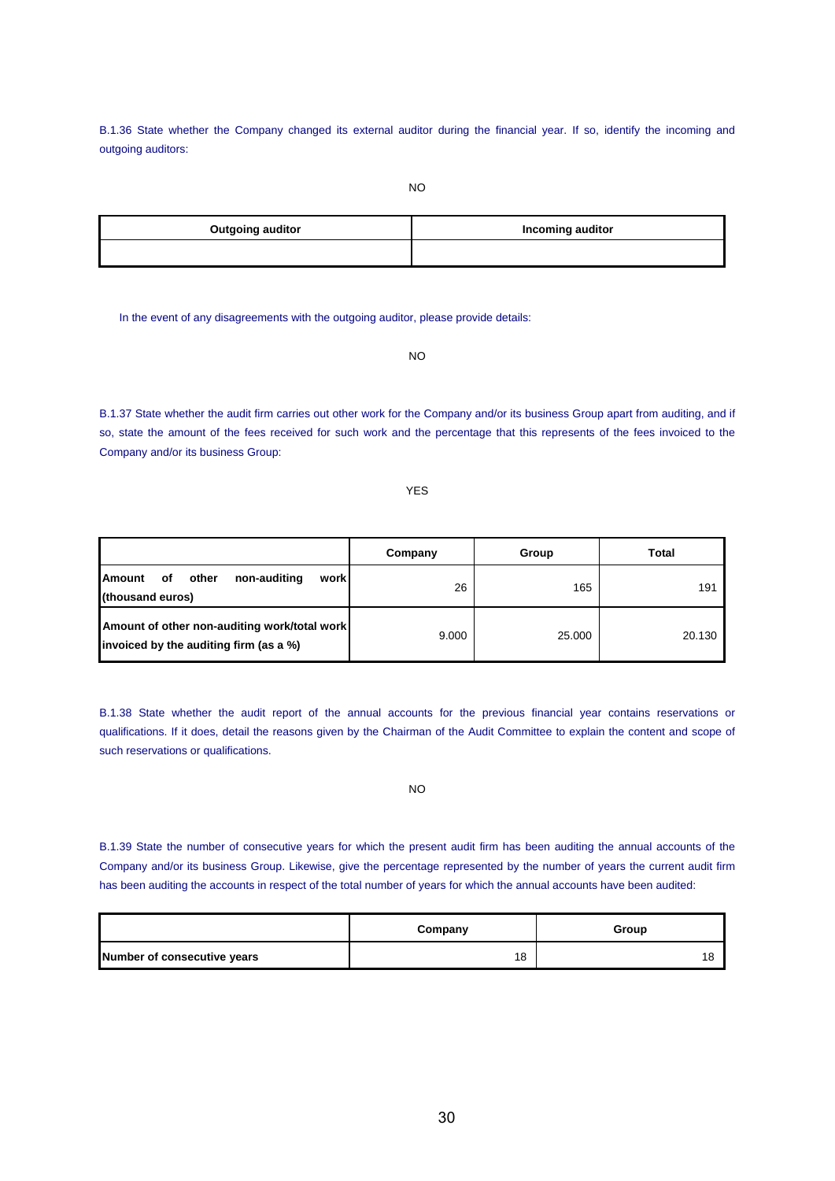B.1.36 State whether the Company changed its external auditor during the financial year. If so, identify the incoming and outgoing auditors:

| <b>Outgoing auditor</b> | <b>Incoming auditor</b> |
|-------------------------|-------------------------|
|                         |                         |

In the event of any disagreements with the outgoing auditor, please provide details:

NO

B.1.37 State whether the audit firm carries out other work for the Company and/or its business Group apart from auditing, and if so, state the amount of the fees received for such work and the percentage that this represents of the fees invoiced to the Company and/or its business Group:

YES

|                                                                                        | Company | Group  | Total  |
|----------------------------------------------------------------------------------------|---------|--------|--------|
| <b>Amount</b><br>non-auditing<br>other<br>work<br>оf<br>(thousand euros)               | 26      | 165    | 191    |
| Amount of other non-auditing work/total work<br>invoiced by the auditing firm (as a %) | 9.000   | 25.000 | 20.130 |

B.1.38 State whether the audit report of the annual accounts for the previous financial year contains reservations or qualifications. If it does, detail the reasons given by the Chairman of the Audit Committee to explain the content and scope of such reservations or qualifications.

NO

B.1.39 State the number of consecutive years for which the present audit firm has been auditing the annual accounts of the Company and/or its business Group. Likewise, give the percentage represented by the number of years the current audit firm has been auditing the accounts in respect of the total number of years for which the annual accounts have been audited:

|                             | Company | Group |
|-----------------------------|---------|-------|
| Number of consecutive years | 18      |       |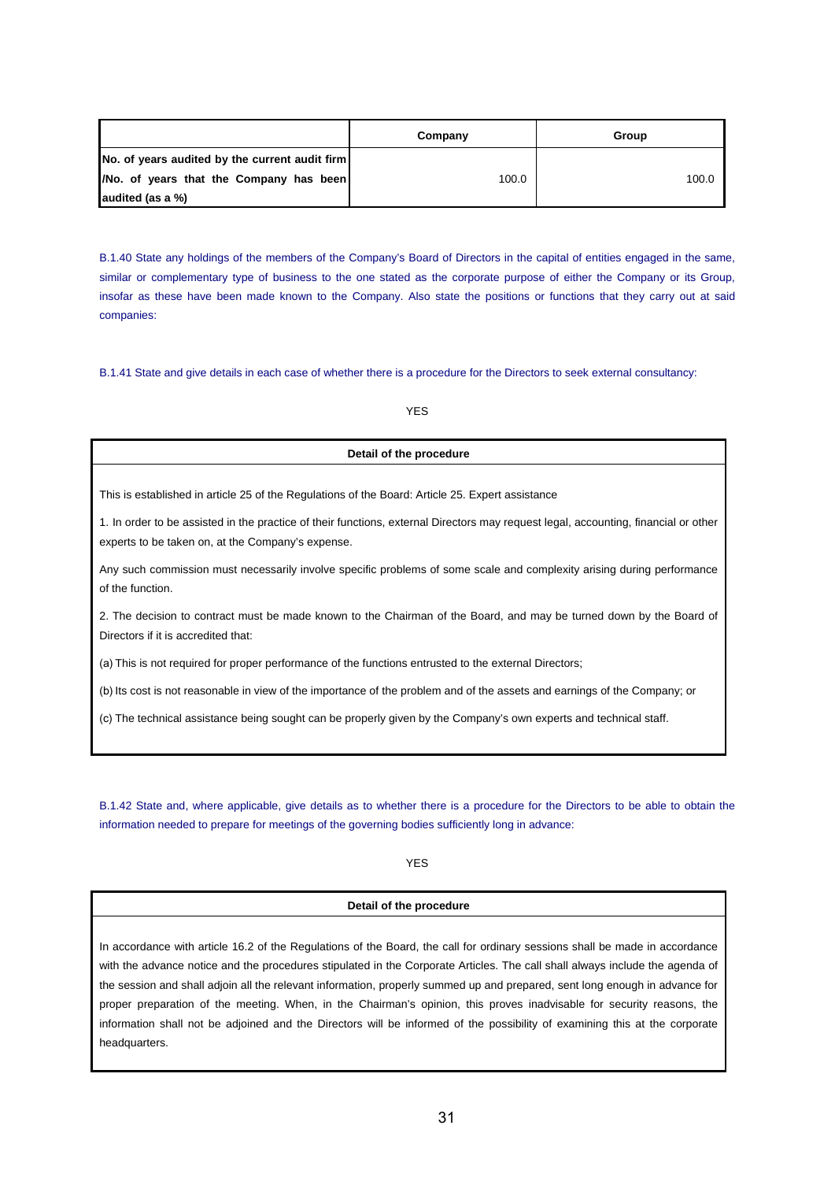|                                                | Company | Group |
|------------------------------------------------|---------|-------|
| No. of years audited by the current audit firm |         |       |
| /No. of years that the Company has been        | 100.0   | 100.0 |
| audited (as a %)                               |         |       |

B.1.40 State any holdings of the members of the Company's Board of Directors in the capital of entities engaged in the same, similar or complementary type of business to the one stated as the corporate purpose of either the Company or its Group, insofar as these have been made known to the Company. Also state the positions or functions that they carry out at said companies:

B.1.41 State and give details in each case of whether there is a procedure for the Directors to seek external consultancy:

# YES

## **Detail of the procedure**

This is established in article 25 of the Regulations of the Board: Article 25. Expert assistance

1. In order to be assisted in the practice of their functions, external Directors may request legal, accounting, financial or other experts to be taken on, at the Company's expense.

Any such commission must necessarily involve specific problems of some scale and complexity arising during performance of the function.

2. The decision to contract must be made known to the Chairman of the Board, and may be turned down by the Board of Directors if it is accredited that:

(a) This is not required for proper performance of the functions entrusted to the external Directors;

(b) Its cost is not reasonable in view of the importance of the problem and of the assets and earnings of the Company; or

(c) The technical assistance being sought can be properly given by the Company's own experts and technical staff.

B.1.42 State and, where applicable, give details as to whether there is a procedure for the Directors to be able to obtain the information needed to prepare for meetings of the governing bodies sufficiently long in advance:

## YES

## **Detail of the procedure**

In accordance with article 16.2 of the Regulations of the Board, the call for ordinary sessions shall be made in accordance with the advance notice and the procedures stipulated in the Corporate Articles. The call shall always include the agenda of the session and shall adjoin all the relevant information, properly summed up and prepared, sent long enough in advance for proper preparation of the meeting. When, in the Chairman's opinion, this proves inadvisable for security reasons, the information shall not be adjoined and the Directors will be informed of the possibility of examining this at the corporate headquarters.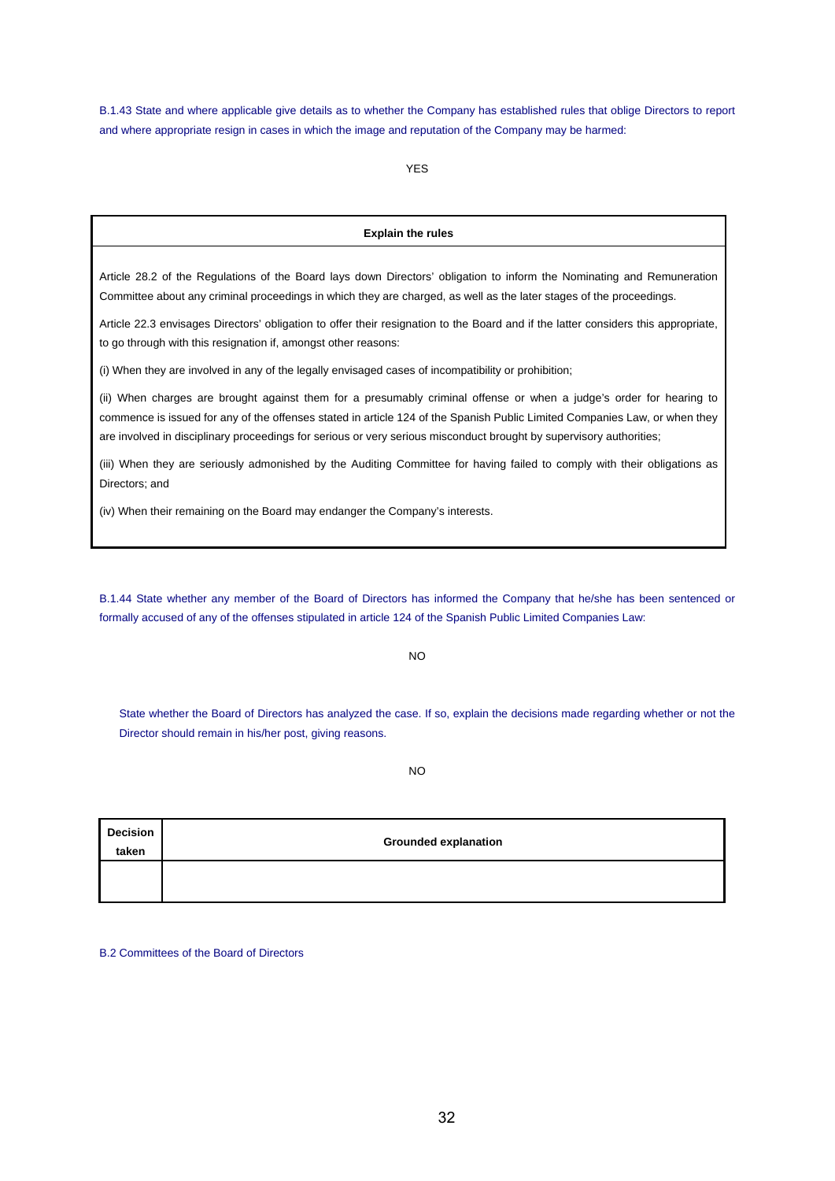B.1.43 State and where applicable give details as to whether the Company has established rules that oblige Directors to report and where appropriate resign in cases in which the image and reputation of the Company may be harmed:

YES

#### **Explain the rules**

Article 28.2 of the Regulations of the Board lays down Directors' obligation to inform the Nominating and Remuneration Committee about any criminal proceedings in which they are charged, as well as the later stages of the proceedings.

Article 22.3 envisages Directors' obligation to offer their resignation to the Board and if the latter considers this appropriate, to go through with this resignation if, amongst other reasons:

(i) When they are involved in any of the legally envisaged cases of incompatibility or prohibition;

(ii) When charges are brought against them for a presumably criminal offense or when a judge's order for hearing to commence is issued for any of the offenses stated in article 124 of the Spanish Public Limited Companies Law, or when they are involved in disciplinary proceedings for serious or very serious misconduct brought by supervisory authorities;

(iii) When they are seriously admonished by the Auditing Committee for having failed to comply with their obligations as Directors; and

(iv) When their remaining on the Board may endanger the Company's interests.

B.1.44 State whether any member of the Board of Directors has informed the Company that he/she has been sentenced or formally accused of any of the offenses stipulated in article 124 of the Spanish Public Limited Companies Law:

NO

State whether the Board of Directors has analyzed the case. If so, explain the decisions made regarding whether or not the Director should remain in his/her post, giving reasons.

NO

| <b>Decision</b><br>taken | <b>Grounded explanation</b> |
|--------------------------|-----------------------------|
|                          |                             |

B.2 Committees of the Board of Directors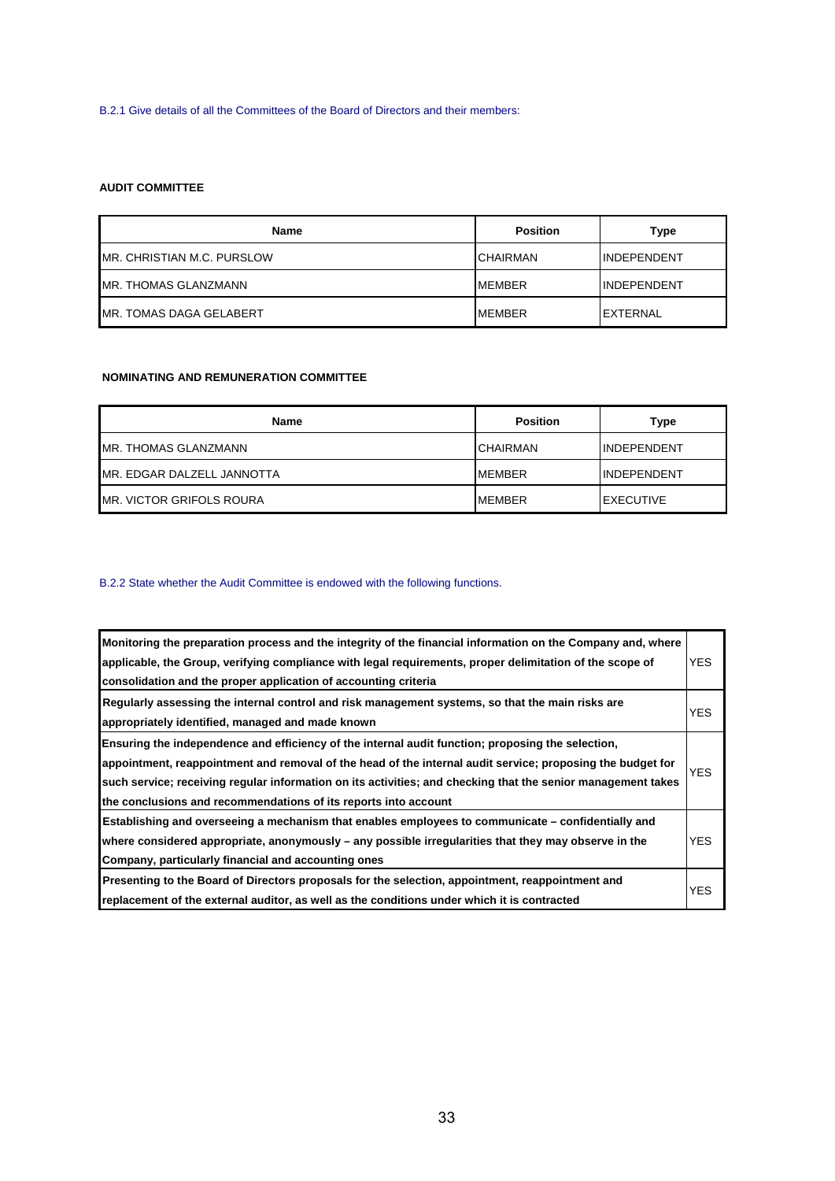B.2.1 Give details of all the Committees of the Board of Directors and their members:

# **AUDIT COMMITTEE**

| <b>Name</b>                     | <b>Position</b> | Type               |
|---------------------------------|-----------------|--------------------|
| MR. CHRISTIAN M.C. PURSLOW      | <b>CHAIRMAN</b> | INDEPENDENT        |
| MR. THOMAS GLANZMANN            | <b>MEMBER</b>   | <b>INDEPENDENT</b> |
| <b>IMR. TOMAS DAGA GELABERT</b> | <b>MEMBER</b>   | <b>IEXTERNAL</b>   |

# **NOMINATING AND REMUNERATION COMMITTEE**

| <b>Name</b>                      | <b>Position</b> | Type              |
|----------------------------------|-----------------|-------------------|
| IMR. THOMAS GLANZMANN            | <b>CHAIRMAN</b> | IINDEPENDENT      |
| MR. EDGAR DALZELL JANNOTTA       | <b>MEMBER</b>   | IINDEPENDENT      |
| <b>IMR. VICTOR GRIFOLS ROURA</b> | <b>MEMBER</b>   | <b>IEXECUTIVE</b> |

# B.2.2 State whether the Audit Committee is endowed with the following functions.

| Monitoring the preparation process and the integrity of the financial information on the Company and, where<br>applicable, the Group, verifying compliance with legal requirements, proper delimitation of the scope of<br>consolidation and the proper application of accounting criteria                                                                                                         | YES.       |
|----------------------------------------------------------------------------------------------------------------------------------------------------------------------------------------------------------------------------------------------------------------------------------------------------------------------------------------------------------------------------------------------------|------------|
| Regularly assessing the internal control and risk management systems, so that the main risks are<br>appropriately identified, managed and made known                                                                                                                                                                                                                                               | YES.       |
| Ensuring the independence and efficiency of the internal audit function; proposing the selection,<br>appointment, reappointment and removal of the head of the internal audit service; proposing the budget for<br>such service; receiving regular information on its activities; and checking that the senior management takes<br>the conclusions and recommendations of its reports into account | <b>YES</b> |
| Establishing and overseeing a mechanism that enables employees to communicate – confidentially and<br>where considered appropriate, anonymously $-$ any possible irregularities that they may observe in the<br>Company, particularly financial and accounting ones                                                                                                                                | YES.       |
| Presenting to the Board of Directors proposals for the selection, appointment, reappointment and<br>replacement of the external auditor, as well as the conditions under which it is contracted                                                                                                                                                                                                    | YES.       |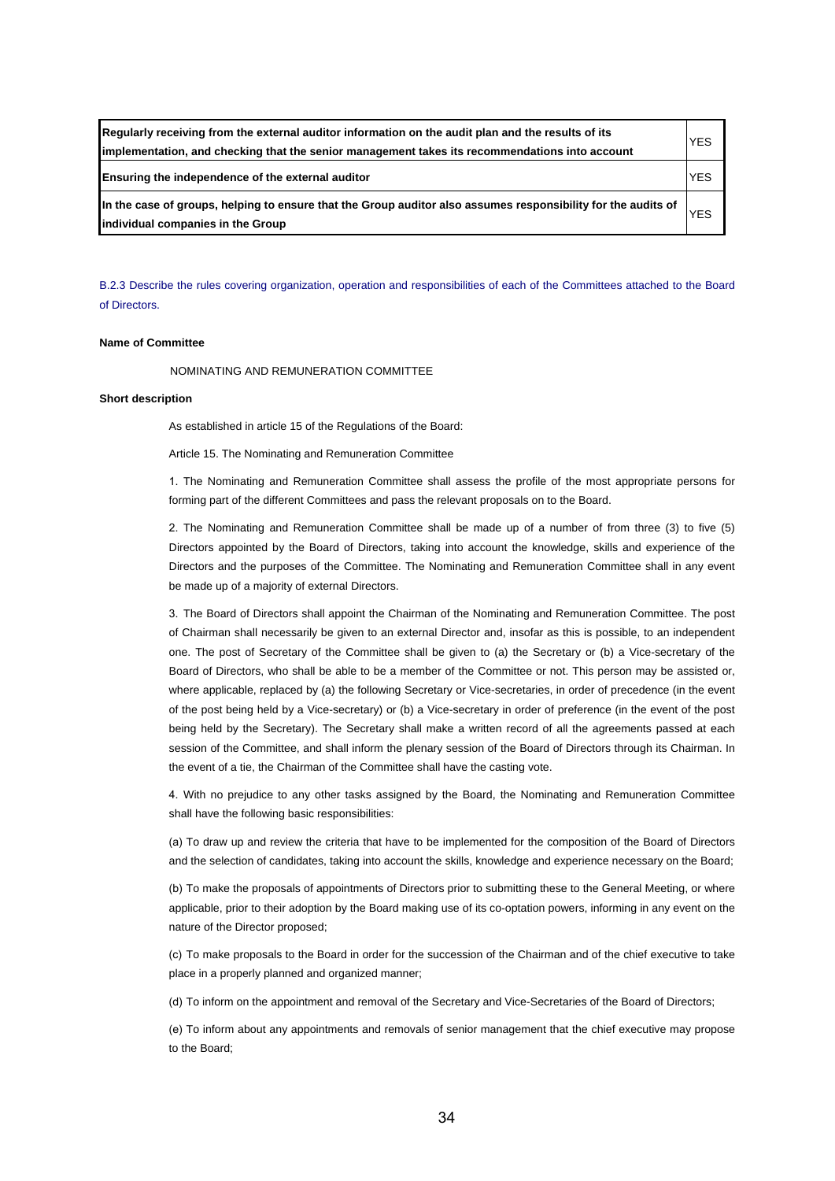| Regularly receiving from the external auditor information on the audit plan and the results of its<br>implementation, and checking that the senior management takes its recommendations into account | <b>YES</b> |
|------------------------------------------------------------------------------------------------------------------------------------------------------------------------------------------------------|------------|
| Ensuring the independence of the external auditor                                                                                                                                                    | <b>YES</b> |
| In the case of groups, helping to ensure that the Group auditor also assumes responsibility for the audits of<br>individual companies in the Group                                                   | <b>YES</b> |

B.2.3 Describe the rules covering organization, operation and responsibilities of each of the Committees attached to the Board of Directors.

# **Name of Committee**

NOMINATING AND REMUNERATION COMMITTEE

## **Short description**

As established in article 15 of the Regulations of the Board:

Article 15. The Nominating and Remuneration Committee

1. The Nominating and Remuneration Committee shall assess the profile of the most appropriate persons for forming part of the different Committees and pass the relevant proposals on to the Board.

2. The Nominating and Remuneration Committee shall be made up of a number of from three (3) to five (5) Directors appointed by the Board of Directors, taking into account the knowledge, skills and experience of the Directors and the purposes of the Committee. The Nominating and Remuneration Committee shall in any event be made up of a majority of external Directors.

3. The Board of Directors shall appoint the Chairman of the Nominating and Remuneration Committee. The post of Chairman shall necessarily be given to an external Director and, insofar as this is possible, to an independent one. The post of Secretary of the Committee shall be given to (a) the Secretary or (b) a Vice-secretary of the Board of Directors, who shall be able to be a member of the Committee or not. This person may be assisted or, where applicable, replaced by (a) the following Secretary or Vice-secretaries, in order of precedence (in the event of the post being held by a Vice-secretary) or (b) a Vice-secretary in order of preference (in the event of the post being held by the Secretary). The Secretary shall make a written record of all the agreements passed at each session of the Committee, and shall inform the plenary session of the Board of Directors through its Chairman. In the event of a tie, the Chairman of the Committee shall have the casting vote.

4. With no prejudice to any other tasks assigned by the Board, the Nominating and Remuneration Committee shall have the following basic responsibilities:

(a) To draw up and review the criteria that have to be implemented for the composition of the Board of Directors and the selection of candidates, taking into account the skills, knowledge and experience necessary on the Board;

(b) To make the proposals of appointments of Directors prior to submitting these to the General Meeting, or where applicable, prior to their adoption by the Board making use of its co-optation powers, informing in any event on the nature of the Director proposed;

(c) To make proposals to the Board in order for the succession of the Chairman and of the chief executive to take place in a properly planned and organized manner;

(d) To inform on the appointment and removal of the Secretary and Vice-Secretaries of the Board of Directors;

(e) To inform about any appointments and removals of senior management that the chief executive may propose to the Board;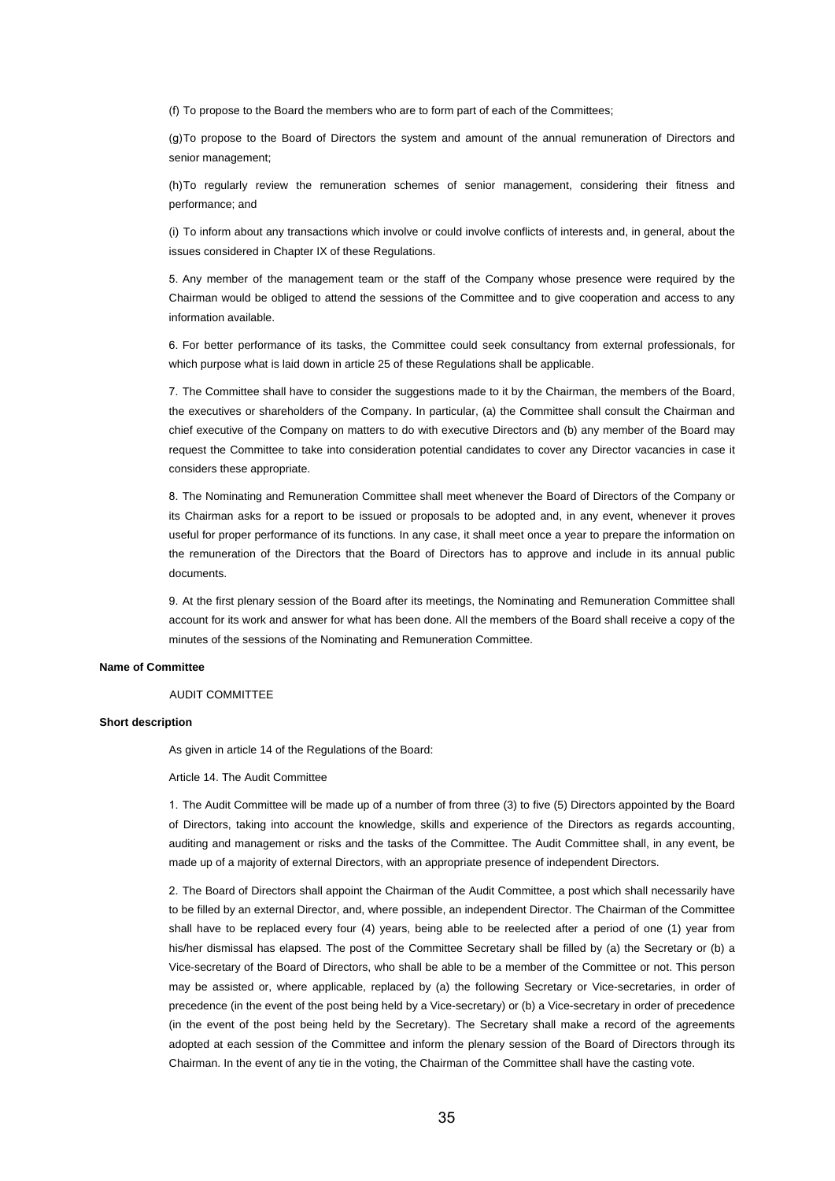(f) To propose to the Board the members who are to form part of each of the Committees;

(g) To propose to the Board of Directors the system and amount of the annual remuneration of Directors and senior management;

(h) To regularly review the remuneration schemes of senior management, considering their fitness and performance; and

(i) To inform about any transactions which involve or could involve conflicts of interests and, in general, about the issues considered in Chapter IX of these Regulations.

5. Any member of the management team or the staff of the Company whose presence were required by the Chairman would be obliged to attend the sessions of the Committee and to give cooperation and access to any information available.

6. For better performance of its tasks, the Committee could seek consultancy from external professionals, for which purpose what is laid down in article 25 of these Regulations shall be applicable.

7. The Committee shall have to consider the suggestions made to it by the Chairman, the members of the Board, the executives or shareholders of the Company. In particular, (a) the Committee shall consult the Chairman and chief executive of the Company on matters to do with executive Directors and (b) any member of the Board may request the Committee to take into consideration potential candidates to cover any Director vacancies in case it considers these appropriate.

8. The Nominating and Remuneration Committee shall meet whenever the Board of Directors of the Company or its Chairman asks for a report to be issued or proposals to be adopted and, in any event, whenever it proves useful for proper performance of its functions. In any case, it shall meet once a year to prepare the information on the remuneration of the Directors that the Board of Directors has to approve and include in its annual public documents.

9. At the first plenary session of the Board after its meetings, the Nominating and Remuneration Committee shall account for its work and answer for what has been done. All the members of the Board shall receive a copy of the minutes of the sessions of the Nominating and Remuneration Committee.

# **Name of Committee**

#### AUDIT COMMITTEE

#### **Short description**

As given in article 14 of the Regulations of the Board:

Article 14. The Audit Committee

1. The Audit Committee will be made up of a number of from three (3) to five (5) Directors appointed by the Board of Directors, taking into account the knowledge, skills and experience of the Directors as regards accounting, auditing and management or risks and the tasks of the Committee. The Audit Committee shall, in any event, be made up of a majority of external Directors, with an appropriate presence of independent Directors.

2. The Board of Directors shall appoint the Chairman of the Audit Committee, a post which shall necessarily have to be filled by an external Director, and, where possible, an independent Director. The Chairman of the Committee shall have to be replaced every four (4) years, being able to be reelected after a period of one (1) year from his/her dismissal has elapsed. The post of the Committee Secretary shall be filled by (a) the Secretary or (b) a Vice-secretary of the Board of Directors, who shall be able to be a member of the Committee or not. This person may be assisted or, where applicable, replaced by (a) the following Secretary or Vice-secretaries, in order of precedence (in the event of the post being held by a Vice-secretary) or (b) a Vice-secretary in order of precedence (in the event of the post being held by the Secretary). The Secretary shall make a record of the agreements adopted at each session of the Committee and inform the plenary session of the Board of Directors through its Chairman. In the event of any tie in the voting, the Chairman of the Committee shall have the casting vote.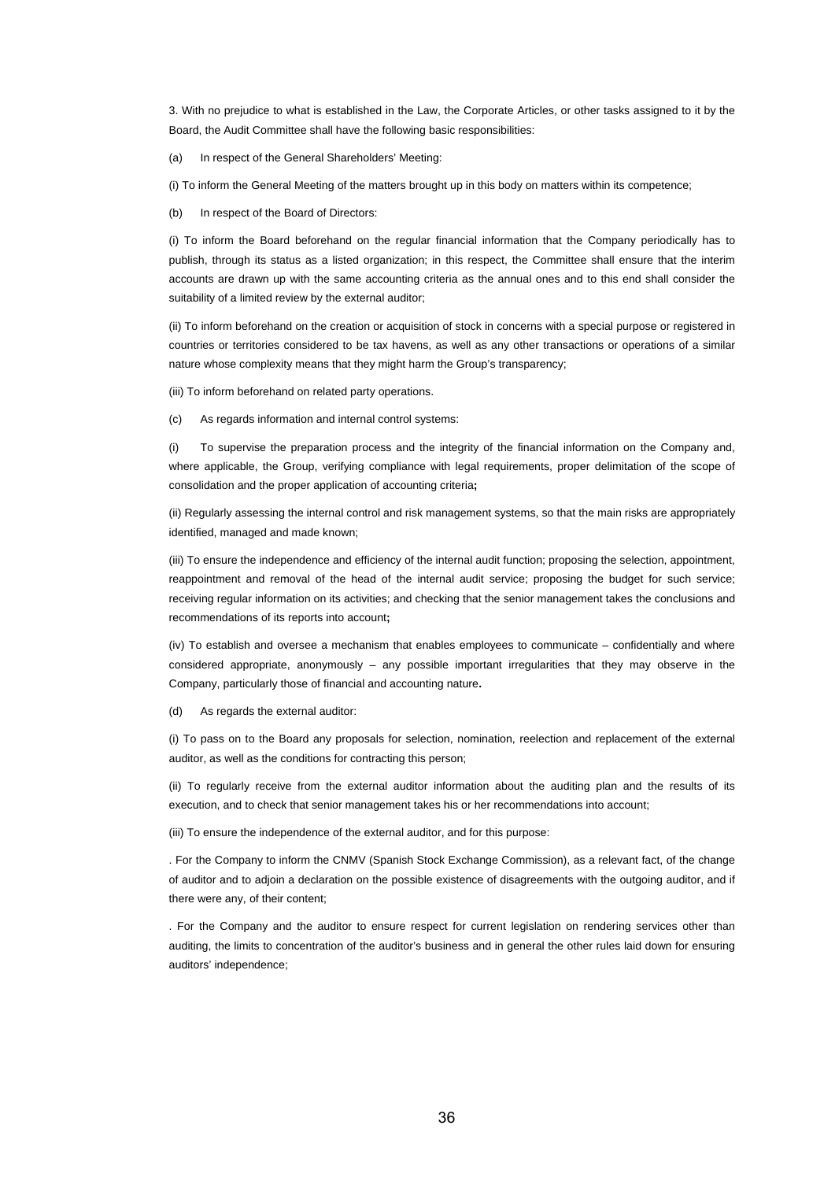3. With no prejudice to what is established in the Law, the Corporate Articles, or other tasks assigned to it by the Board, the Audit Committee shall have the following basic responsibilities:

(a) In respect of the General Shareholders' Meeting:

(i) To inform the General Meeting of the matters brought up in this body on matters within its competence;

(b) In respect of the Board of Directors:

(i) To inform the Board beforehand on the regular financial information that the Company periodically has to publish, through its status as a listed organization; in this respect, the Committee shall ensure that the interim accounts are drawn up with the same accounting criteria as the annual ones and to this end shall consider the suitability of a limited review by the external auditor;

(ii) To inform beforehand on the creation or acquisition of stock in concerns with a special purpose or registered in countries or territories considered to be tax havens, as well as any other transactions or operations of a similar nature whose complexity means that they might harm the Group's transparency;

(iii) To inform beforehand on related party operations.

(c) As regards information and internal control systems:

(i) To supervise the preparation process and the integrity of the financial information on the Company and, where applicable, the Group, verifying compliance with legal requirements, proper delimitation of the scope of consolidation and the proper application of accounting criteria**;**

(ii) Regularly assessing the internal control and risk management systems, so that the main risks are appropriately identified, managed and made known;

(iii) To ensure the independence and efficiency of the internal audit function; proposing the selection, appointment, reappointment and removal of the head of the internal audit service; proposing the budget for such service; receiving regular information on its activities; and checking that the senior management takes the conclusions and recommendations of its reports into account**;**

(iv) To establish and oversee a mechanism that enables employees to communicate – confidentially and where considered appropriate, anonymously – any possible important irregularities that they may observe in the Company, particularly those of financial and accounting nature**.**

(d) As regards the external auditor:

(i) To pass on to the Board any proposals for selection, nomination, reelection and replacement of the external auditor, as well as the conditions for contracting this person;

(ii) To regularly receive from the external auditor information about the auditing plan and the results of its execution, and to check that senior management takes his or her recommendations into account;

(iii) To ensure the independence of the external auditor, and for this purpose:

. For the Company to inform the CNMV (Spanish Stock Exchange Commission), as a relevant fact, of the change of auditor and to adjoin a declaration on the possible existence of disagreements with the outgoing auditor, and if there were any, of their content;

. For the Company and the auditor to ensure respect for current legislation on rendering services other than auditing, the limits to concentration of the auditor's business and in general the other rules laid down for ensuring auditors' independence;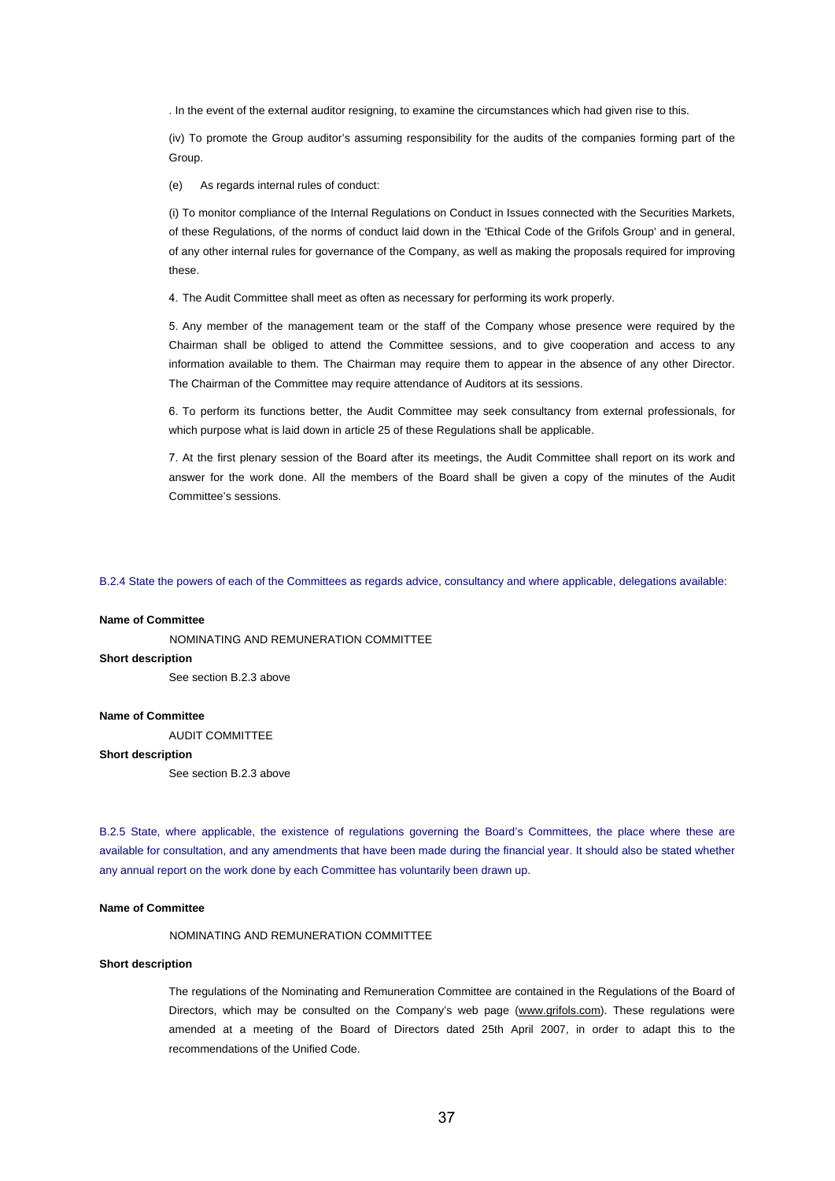. In the event of the external auditor resigning, to examine the circumstances which had given rise to this.

(iv) To promote the Group auditor's assuming responsibility for the audits of the companies forming part of the Group.

(e) As regards internal rules of conduct:

(i) To monitor compliance of the Internal Regulations on Conduct in Issues connected with the Securities Markets, of these Regulations, of the norms of conduct laid down in the 'Ethical Code of the Grifols Group' and in general, of any other internal rules for governance of the Company, as well as making the proposals required for improving these.

4. The Audit Committee shall meet as often as necessary for performing its work properly.

5. Any member of the management team or the staff of the Company whose presence were required by the Chairman shall be obliged to attend the Committee sessions, and to give cooperation and access to any information available to them. The Chairman may require them to appear in the absence of any other Director. The Chairman of the Committee may require attendance of Auditors at its sessions.

6. To perform its functions better, the Audit Committee may seek consultancy from external professionals, for which purpose what is laid down in article 25 of these Regulations shall be applicable.

7. At the first plenary session of the Board after its meetings, the Audit Committee shall report on its work and answer for the work done. All the members of the Board shall be given a copy of the minutes of the Audit Committee's sessions.

B.2.4 State the powers of each of the Committees as regards advice, consultancy and where applicable, delegations available:

#### **Name of Committee**

NOMINATING AND REMUNERATION COMMITTEE

# **Short description**

See section B.2.3 above

#### **Name of Committee**

AUDIT COMMITTEE

#### **Short description**

See section B.2.3 above

B.2.5 State, where applicable, the existence of regulations governing the Board's Committees, the place where these are available for consultation, and any amendments that have been made during the financial year. It should also be stated whether any annual report on the work done by each Committee has voluntarily been drawn up.

#### **Name of Committee**

NOMINATING AND REMUNERATION COMMITTEE

#### **Short description**

The regulations of the Nominating and Remuneration Committee are contained in the Regulations of the Board of Directors, which may be consulted on the Company's web page (www.grifols.com). These regulations were amended at a meeting of the Board of Directors dated 25th April 2007, in order to adapt this to the recommendations of the Unified Code.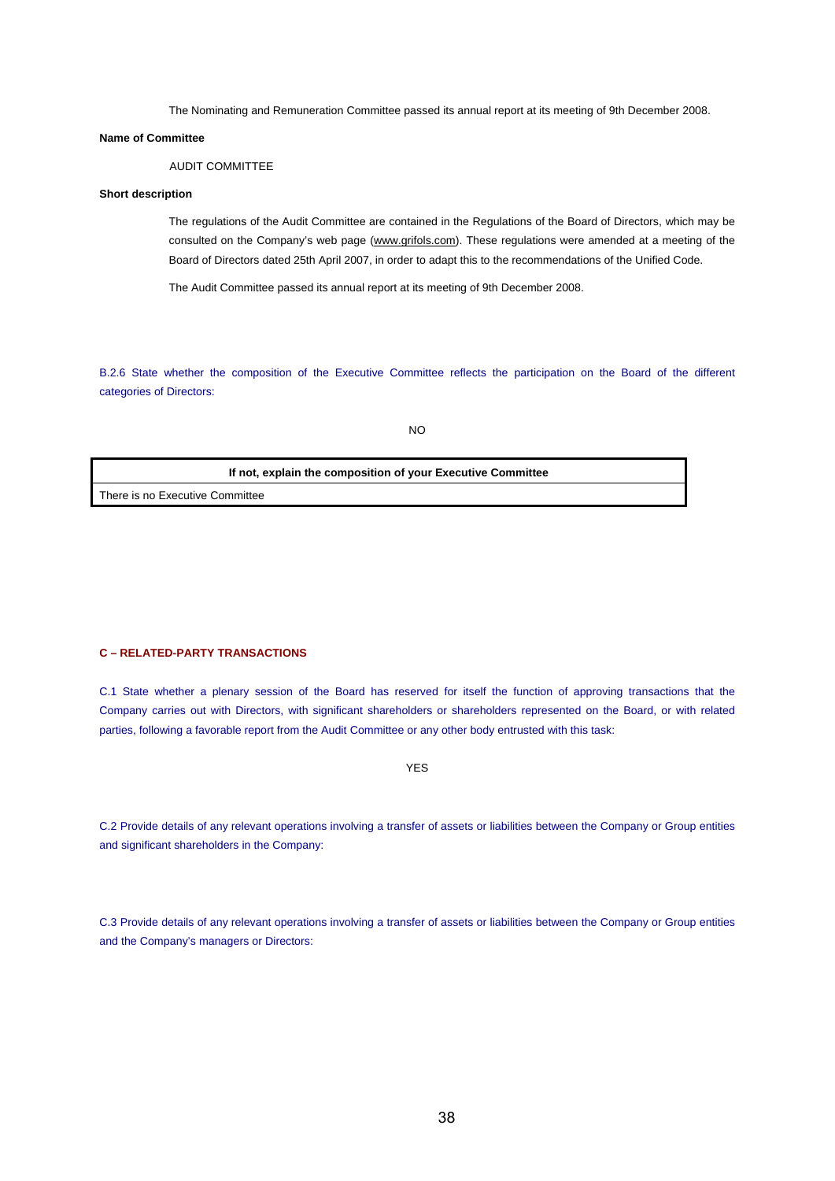The Nominating and Remuneration Committee passed its annual report at its meeting of 9th December 2008.

#### **Name of Committee**

# AUDIT COMMITTEE

# **Short description**

The regulations of the Audit Committee are contained in the Regulations of the Board of Directors, which may be consulted on the Company's web page (www.grifols.com). These regulations were amended at a meeting of the Board of Directors dated 25th April 2007, in order to adapt this to the recommendations of the Unified Code.

The Audit Committee passed its annual report at its meeting of 9th December 2008.

B.2.6 State whether the composition of the Executive Committee reflects the participation on the Board of the different categories of Directors:

NO

| If not, explain the composition of your Executive Committee |  |
|-------------------------------------------------------------|--|
| There is no Executive Committee                             |  |

## **C – RELATED-PARTY TRANSACTIONS**

C.1 State whether a plenary session of the Board has reserved for itself the function of approving transactions that the Company carries out with Directors, with significant shareholders or shareholders represented on the Board, or with related parties, following a favorable report from the Audit Committee or any other body entrusted with this task:

YES

C.2 Provide details of any relevant operations involving a transfer of assets or liabilities between the Company or Group entities and significant shareholders in the Company:

C.3 Provide details of any relevant operations involving a transfer of assets or liabilities between the Company or Group entities and the Company's managers or Directors: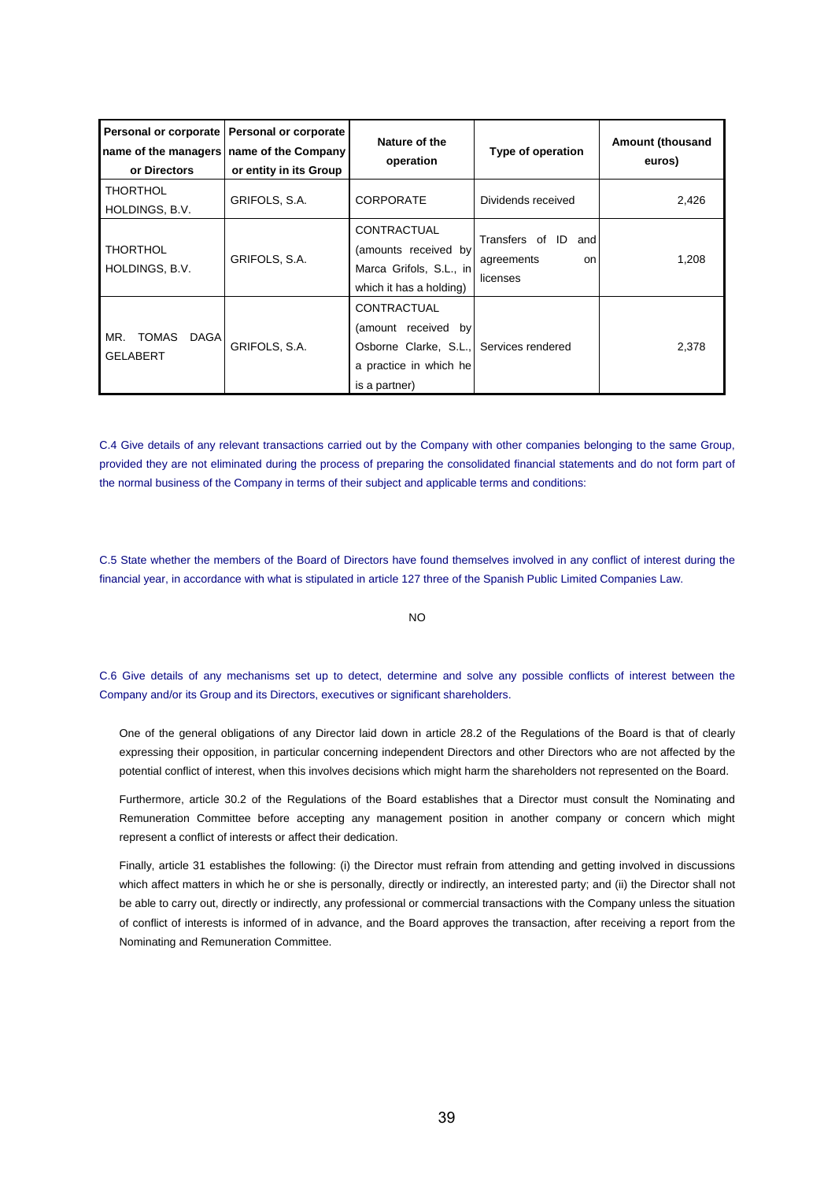| or Directors                                          | Personal or corporate   Personal or corporate<br>name of the managers   name of the Company<br>or entity in its Group |                                                                                                        | Type of operation                                    | <b>Amount (thousand</b><br>euros) |
|-------------------------------------------------------|-----------------------------------------------------------------------------------------------------------------------|--------------------------------------------------------------------------------------------------------|------------------------------------------------------|-----------------------------------|
| <b>THORTHOL</b><br>HOLDINGS, B.V.                     | GRIFOLS, S.A.                                                                                                         | <b>CORPORATE</b>                                                                                       | Dividends received                                   | 2,426                             |
| <b>THORTHOL</b><br>HOLDINGS, B.V.                     | GRIFOLS, S.A.                                                                                                         | CONTRACTUAL<br>(amounts received by<br>Marca Grifols, S.L., in<br>which it has a holding)              | Transfers of ID and<br>agreements<br>on.<br>licenses | 1,208                             |
| <b>TOMAS</b><br>MR.<br><b>DAGA</b><br><b>GELABERT</b> | GRIFOLS, S.A.                                                                                                         | CONTRACTUAL<br>(amount received by<br>Osborne Clarke, S.L.,<br>a practice in which he<br>is a partner) | Services rendered                                    | 2,378                             |

C.4 Give details of any relevant transactions carried out by the Company with other companies belonging to the same Group, provided they are not eliminated during the process of preparing the consolidated financial statements and do not form part of the normal business of the Company in terms of their subject and applicable terms and conditions:

C.5 State whether the members of the Board of Directors have found themselves involved in any conflict of interest during the financial year, in accordance with what is stipulated in article 127 three of the Spanish Public Limited Companies Law.

NO

C.6 Give details of any mechanisms set up to detect, determine and solve any possible conflicts of interest between the Company and/or its Group and its Directors, executives or significant shareholders.

One of the general obligations of any Director laid down in article 28.2 of the Regulations of the Board is that of clearly expressing their opposition, in particular concerning independent Directors and other Directors who are not affected by the potential conflict of interest, when this involves decisions which might harm the shareholders not represented on the Board.

Furthermore, article 30.2 of the Regulations of the Board establishes that a Director must consult the Nominating and Remuneration Committee before accepting any management position in another company or concern which might represent a conflict of interests or affect their dedication.

Finally, article 31 establishes the following: (i) the Director must refrain from attending and getting involved in discussions which affect matters in which he or she is personally, directly or indirectly, an interested party; and (ii) the Director shall not be able to carry out, directly or indirectly, any professional or commercial transactions with the Company unless the situation of conflict of interests is informed of in advance, and the Board approves the transaction, after receiving a report from the Nominating and Remuneration Committee.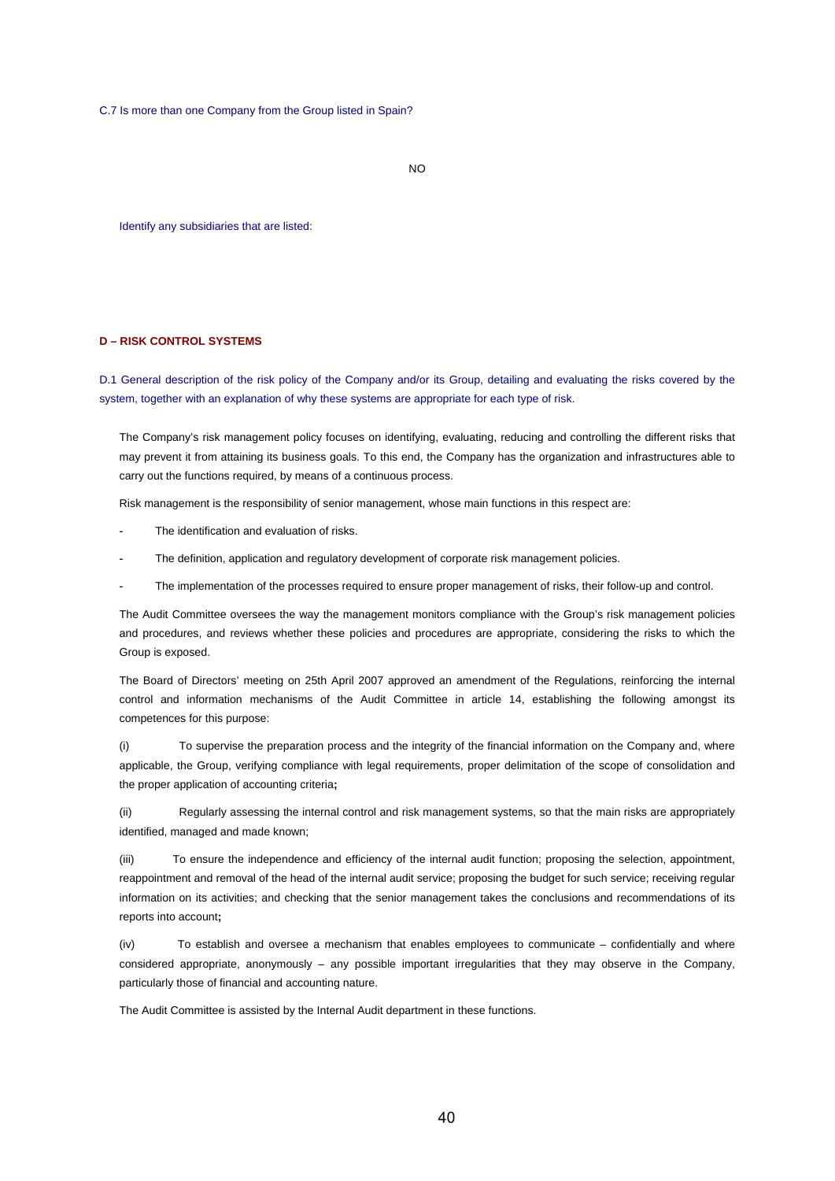C.7 Is more than one Company from the Group listed in Spain?

 $N<sub>O</sub>$ 

Identify any subsidiaries that are listed:

## **D – RISK CONTROL SYSTEMS**

D.1 General description of the risk policy of the Company and/or its Group, detailing and evaluating the risks covered by the system, together with an explanation of why these systems are appropriate for each type of risk.

The Company's risk management policy focuses on identifying, evaluating, reducing and controlling the different risks that may prevent it from attaining its business goals. To this end, the Company has the organization and infrastructures able to carry out the functions required, by means of a continuous process.

Risk management is the responsibility of senior management, whose main functions in this respect are:

- The identification and evaluation of risks.
- The definition, application and regulatory development of corporate risk management policies.
- The implementation of the processes required to ensure proper management of risks, their follow-up and control.

The Audit Committee oversees the way the management monitors compliance with the Group's risk management policies and procedures, and reviews whether these policies and procedures are appropriate, considering the risks to which the Group is exposed.

The Board of Directors' meeting on 25th April 2007 approved an amendment of the Regulations, reinforcing the internal control and information mechanisms of the Audit Committee in article 14, establishing the following amongst its competences for this purpose:

(i) To supervise the preparation process and the integrity of the financial information on the Company and, where applicable, the Group, verifying compliance with legal requirements, proper delimitation of the scope of consolidation and the proper application of accounting criteria**;**

(ii) Regularly assessing the internal control and risk management systems, so that the main risks are appropriately identified, managed and made known;

(iii) To ensure the independence and efficiency of the internal audit function; proposing the selection, appointment, reappointment and removal of the head of the internal audit service; proposing the budget for such service; receiving regular information on its activities; and checking that the senior management takes the conclusions and recommendations of its reports into account**;**

(iv) To establish and oversee a mechanism that enables employees to communicate – confidentially and where considered appropriate, anonymously – any possible important irregularities that they may observe in the Company, particularly those of financial and accounting nature.

The Audit Committee is assisted by the Internal Audit department in these functions.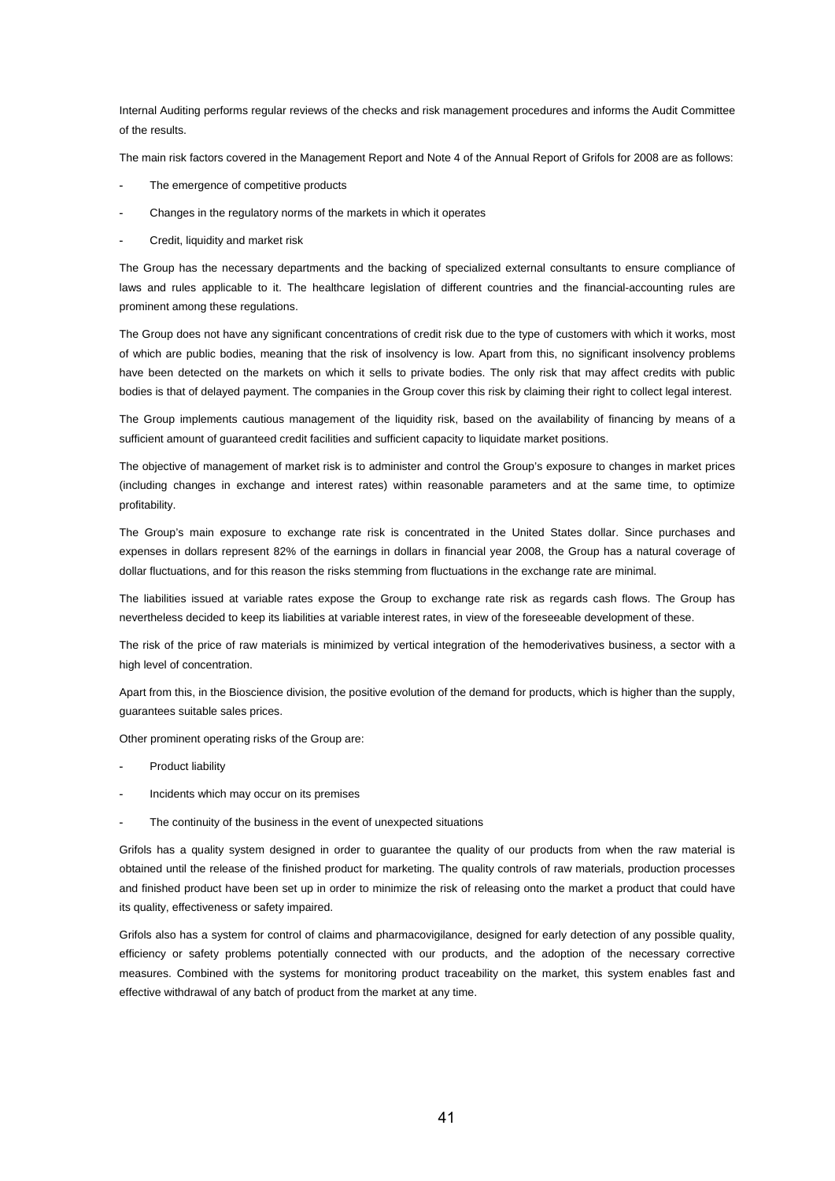Internal Auditing performs regular reviews of the checks and risk management procedures and informs the Audit Committee of the results.

The main risk factors covered in the Management Report and Note 4 of the Annual Report of Grifols for 2008 are as follows:

- The emergence of competitive products
- Changes in the regulatory norms of the markets in which it operates
- Credit, liquidity and market risk

The Group has the necessary departments and the backing of specialized external consultants to ensure compliance of laws and rules applicable to it. The healthcare legislation of different countries and the financial-accounting rules are prominent among these regulations.

The Group does not have any significant concentrations of credit risk due to the type of customers with which it works, most of which are public bodies, meaning that the risk of insolvency is low. Apart from this, no significant insolvency problems have been detected on the markets on which it sells to private bodies. The only risk that may affect credits with public bodies is that of delayed payment. The companies in the Group cover this risk by claiming their right to collect legal interest.

The Group implements cautious management of the liquidity risk, based on the availability of financing by means of a sufficient amount of guaranteed credit facilities and sufficient capacity to liquidate market positions.

The objective of management of market risk is to administer and control the Group's exposure to changes in market prices (including changes in exchange and interest rates) within reasonable parameters and at the same time, to optimize profitability.

The Group's main exposure to exchange rate risk is concentrated in the United States dollar. Since purchases and expenses in dollars represent 82% of the earnings in dollars in financial year 2008, the Group has a natural coverage of dollar fluctuations, and for this reason the risks stemming from fluctuations in the exchange rate are minimal.

The liabilities issued at variable rates expose the Group to exchange rate risk as regards cash flows. The Group has nevertheless decided to keep its liabilities at variable interest rates, in view of the foreseeable development of these.

The risk of the price of raw materials is minimized by vertical integration of the hemoderivatives business, a sector with a high level of concentration.

Apart from this, in the Bioscience division, the positive evolution of the demand for products, which is higher than the supply, guarantees suitable sales prices.

Other prominent operating risks of the Group are:

- Product liability
- Incidents which may occur on its premises
- The continuity of the business in the event of unexpected situations

Grifols has a quality system designed in order to guarantee the quality of our products from when the raw material is obtained until the release of the finished product for marketing. The quality controls of raw materials, production processes and finished product have been set up in order to minimize the risk of releasing onto the market a product that could have its quality, effectiveness or safety impaired.

Grifols also has a system for control of claims and pharmacovigilance, designed for early detection of any possible quality, efficiency or safety problems potentially connected with our products, and the adoption of the necessary corrective measures. Combined with the systems for monitoring product traceability on the market, this system enables fast and effective withdrawal of any batch of product from the market at any time.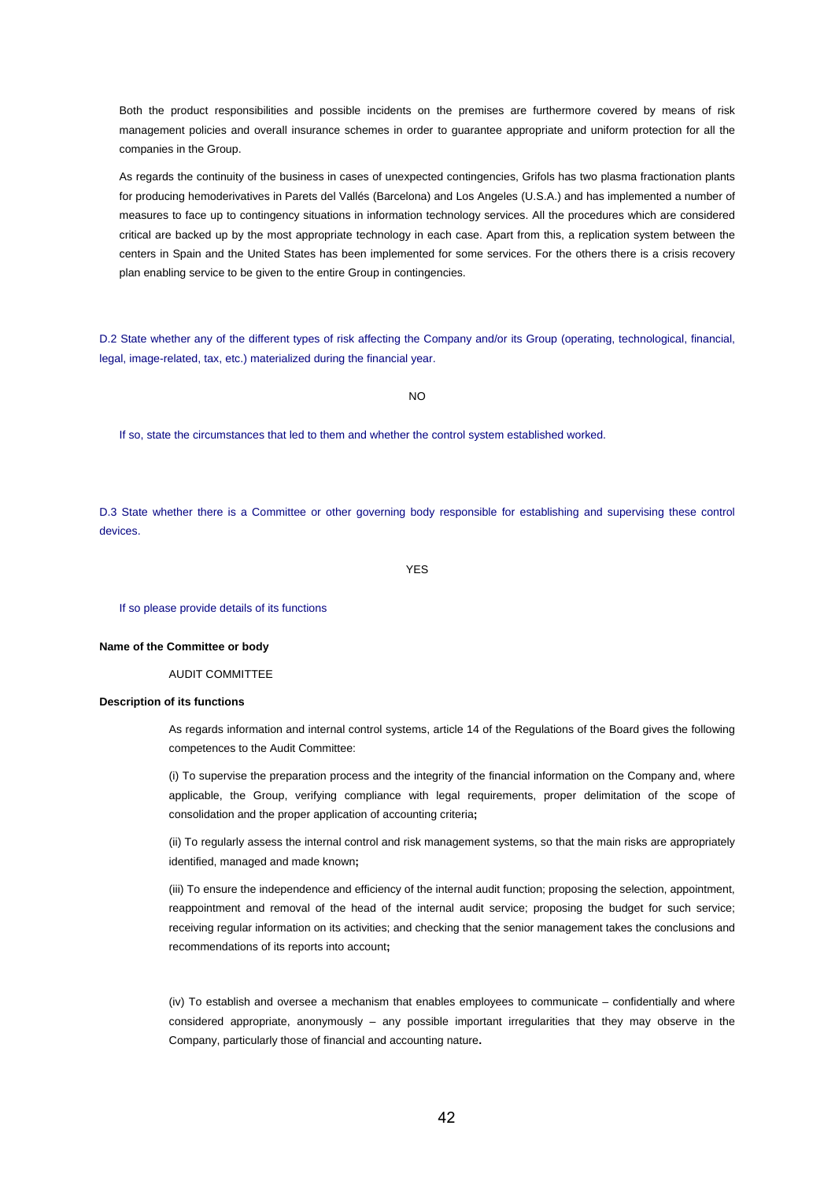Both the product responsibilities and possible incidents on the premises are furthermore covered by means of risk management policies and overall insurance schemes in order to guarantee appropriate and uniform protection for all the companies in the Group.

As regards the continuity of the business in cases of unexpected contingencies, Grifols has two plasma fractionation plants for producing hemoderivatives in Parets del Vallés (Barcelona) and Los Angeles (U.S.A.) and has implemented a number of measures to face up to contingency situations in information technology services. All the procedures which are considered critical are backed up by the most appropriate technology in each case. Apart from this, a replication system between the centers in Spain and the United States has been implemented for some services. For the others there is a crisis recovery plan enabling service to be given to the entire Group in contingencies.

D.2 State whether any of the different types of risk affecting the Company and/or its Group (operating, technological, financial, legal, image-related, tax, etc.) materialized during the financial year.

 $N<sub>O</sub>$ 

If so, state the circumstances that led to them and whether the control system established worked.

D.3 State whether there is a Committee or other governing body responsible for establishing and supervising these control devices.

YES

If so please provide details of its functions

#### **Name of the Committee or body**

AUDIT COMMITTEE

## **Description of its functions**

As regards information and internal control systems, article 14 of the Regulations of the Board gives the following competences to the Audit Committee:

(i) To supervise the preparation process and the integrity of the financial information on the Company and, where applicable, the Group, verifying compliance with legal requirements, proper delimitation of the scope of consolidation and the proper application of accounting criteria**;**

(ii) To regularly assess the internal control and risk management systems, so that the main risks are appropriately identified, managed and made known**;**

(iii) To ensure the independence and efficiency of the internal audit function; proposing the selection, appointment, reappointment and removal of the head of the internal audit service; proposing the budget for such service; receiving regular information on its activities; and checking that the senior management takes the conclusions and recommendations of its reports into account**;**

(iv) To establish and oversee a mechanism that enables employees to communicate – confidentially and where considered appropriate, anonymously – any possible important irregularities that they may observe in the Company, particularly those of financial and accounting nature**.**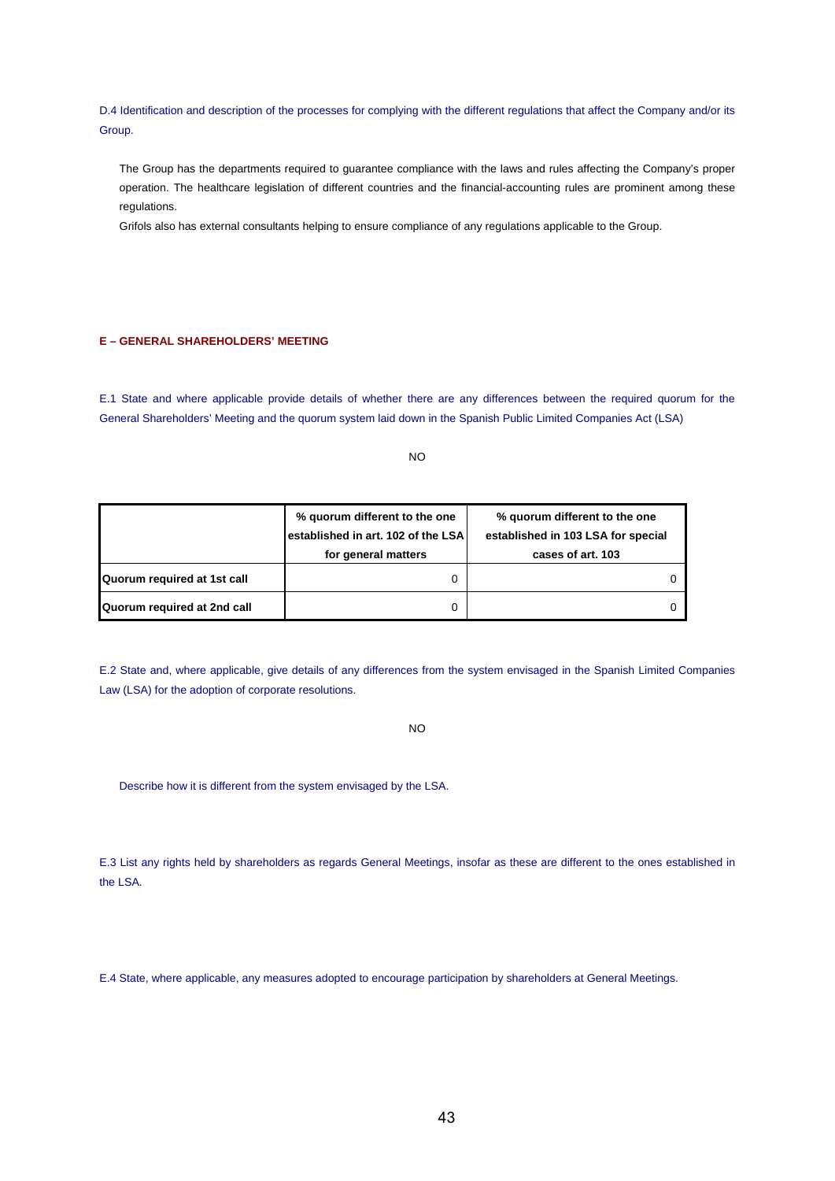D.4 Identification and description of the processes for complying with the different regulations that affect the Company and/or its Group.

The Group has the departments required to guarantee compliance with the laws and rules affecting the Company's proper operation. The healthcare legislation of different countries and the financial-accounting rules are prominent among these regulations.

Grifols also has external consultants helping to ensure compliance of any regulations applicable to the Group.

# **E – GENERAL SHAREHOLDERS' MEETING**

E.1 State and where applicable provide details of whether there are any differences between the required quorum for the General Shareholders' Meeting and the quorum system laid down in the Spanish Public Limited Companies Act (LSA)

NO

|                             | % quorum different to the one<br>established in art. 102 of the LSA | % guorum different to the one<br>established in 103 LSA for special |  |
|-----------------------------|---------------------------------------------------------------------|---------------------------------------------------------------------|--|
|                             | for general matters                                                 | cases of art. 103                                                   |  |
| Quorum required at 1st call |                                                                     |                                                                     |  |
| Quorum required at 2nd call |                                                                     |                                                                     |  |

E.2 State and, where applicable, give details of any differences from the system envisaged in the Spanish Limited Companies Law (LSA) for the adoption of corporate resolutions.

NO

Describe how it is different from the system envisaged by the LSA.

E.3 List any rights held by shareholders as regards General Meetings, insofar as these are different to the ones established in the LSA.

E.4 State, where applicable, any measures adopted to encourage participation by shareholders at General Meetings.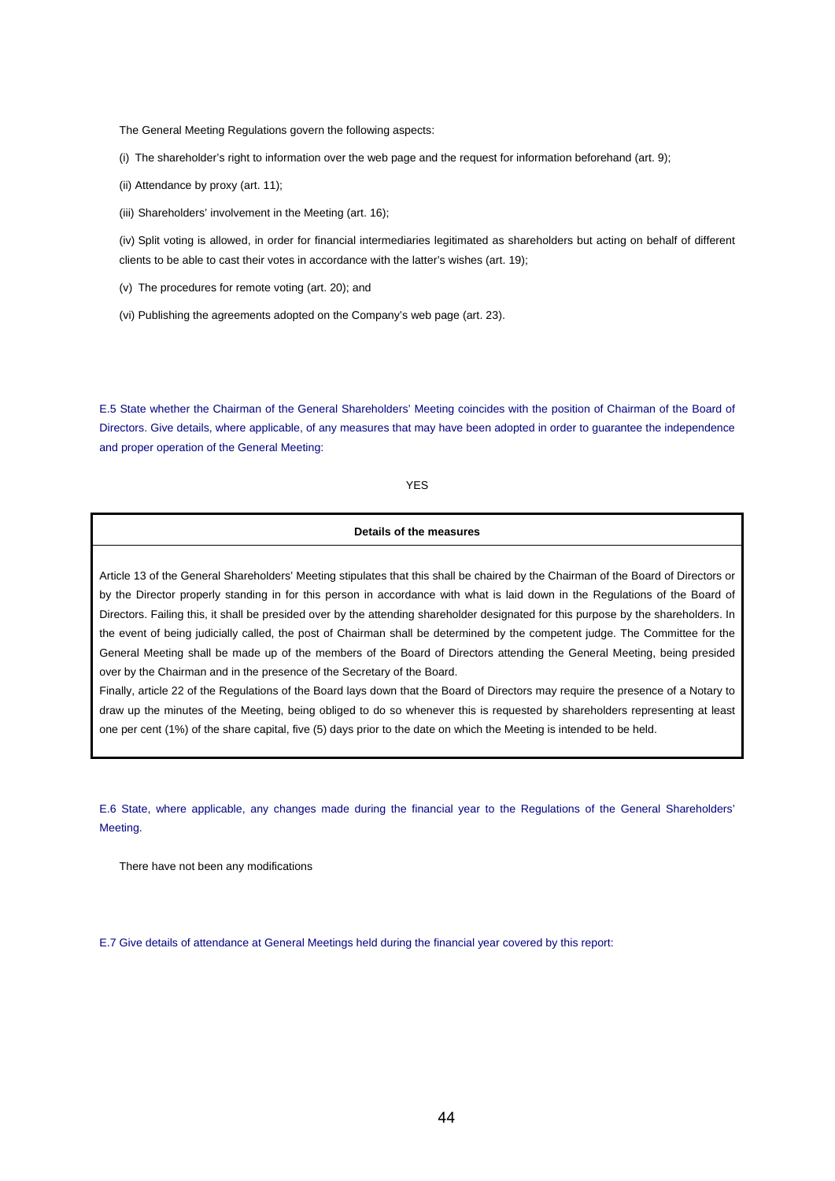The General Meeting Regulations govern the following aspects:

(i) The shareholder's right to information over the web page and the request for information beforehand (art. 9);

(ii) Attendance by proxy (art. 11);

(iii) Shareholders' involvement in the Meeting (art. 16);

(iv) Split voting is allowed, in order for financial intermediaries legitimated as shareholders but acting on behalf of different clients to be able to cast their votes in accordance with the latter's wishes (art. 19);

(v) The procedures for remote voting (art. 20); and

(vi) Publishing the agreements adopted on the Company's web page (art. 23).

E.5 State whether the Chairman of the General Shareholders' Meeting coincides with the position of Chairman of the Board of Directors. Give details, where applicable, of any measures that may have been adopted in order to guarantee the independence and proper operation of the General Meeting:

# YES

## **Details of the measures**

Article 13 of the General Shareholders' Meeting stipulates that this shall be chaired by the Chairman of the Board of Directors or by the Director properly standing in for this person in accordance with what is laid down in the Regulations of the Board of Directors. Failing this, it shall be presided over by the attending shareholder designated for this purpose by the shareholders. In the event of being judicially called, the post of Chairman shall be determined by the competent judge. The Committee for the General Meeting shall be made up of the members of the Board of Directors attending the General Meeting, being presided over by the Chairman and in the presence of the Secretary of the Board.

Finally, article 22 of the Regulations of the Board lays down that the Board of Directors may require the presence of a Notary to draw up the minutes of the Meeting, being obliged to do so whenever this is requested by shareholders representing at least one per cent (1%) of the share capital, five (5) days prior to the date on which the Meeting is intended to be held.

E.6 State, where applicable, any changes made during the financial year to the Regulations of the General Shareholders' Meeting.

There have not been any modifications

E.7 Give details of attendance at General Meetings held during the financial year covered by this report: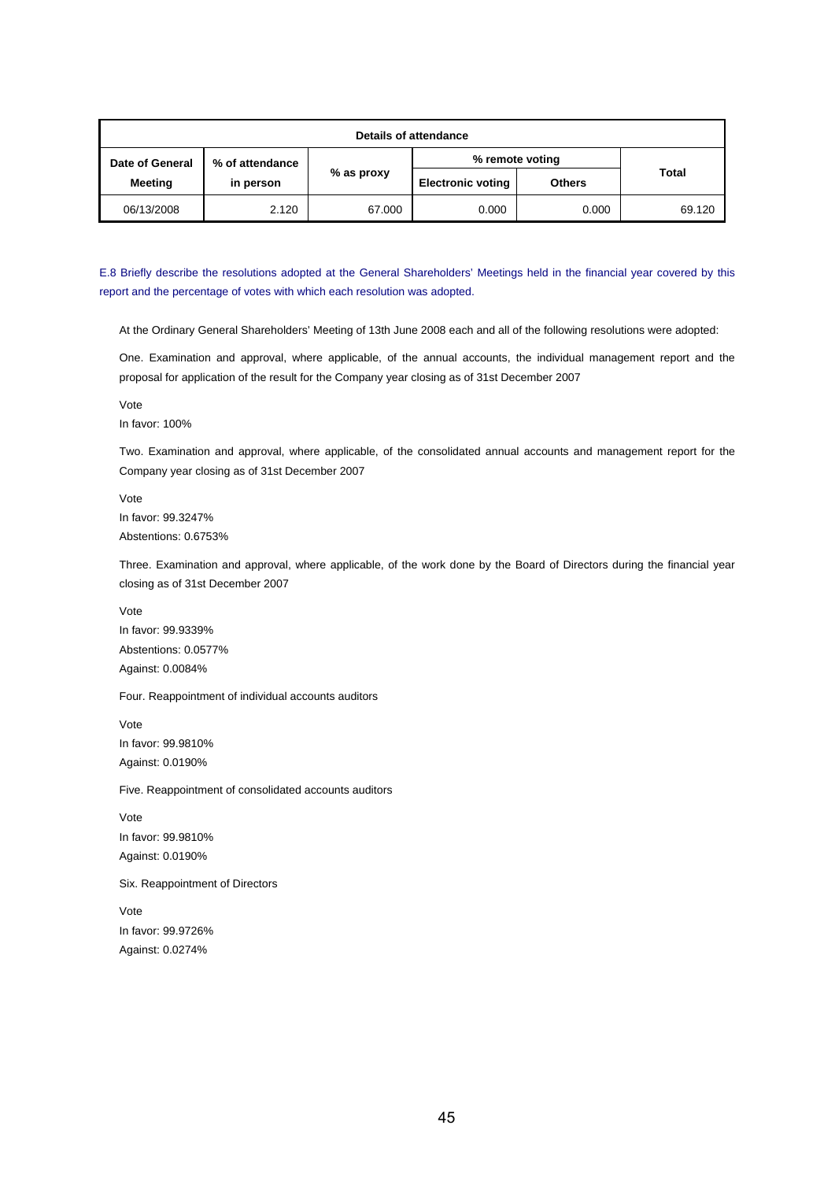| Details of attendance |                 |            |                          |               |        |  |
|-----------------------|-----------------|------------|--------------------------|---------------|--------|--|
| Date of General       | % of attendance |            | % remote voting          |               |        |  |
| <b>Meeting</b>        | in person       | % as proxy | <b>Electronic voting</b> | <b>Others</b> | Total  |  |
| 06/13/2008            | 2.120           | 67.000     | 0.000                    | 0.000         | 69.120 |  |

E.8 Briefly describe the resolutions adopted at the General Shareholders' Meetings held in the financial year covered by this report and the percentage of votes with which each resolution was adopted.

At the Ordinary General Shareholders' Meeting of 13th June 2008 each and all of the following resolutions were adopted:

One. Examination and approval, where applicable, of the annual accounts, the individual management report and the proposal for application of the result for the Company year closing as of 31st December 2007

Vote

In favor: 100%

Two. Examination and approval, where applicable, of the consolidated annual accounts and management report for the Company year closing as of 31st December 2007

Vote In favor: 99.3247% Abstentions: 0.6753%

Three. Examination and approval, where applicable, of the work done by the Board of Directors during the financial year closing as of 31st December 2007

Vote In favor: 99.9339% Abstentions: 0.0577% Against: 0.0084%

Four. Reappointment of individual accounts auditors

Vote In favor: 99.9810% Against: 0.0190%

Five. Reappointment of consolidated accounts auditors

Vote In favor: 99.9810% Against: 0.0190%

Six. Reappointment of Directors

Vote In favor: 99.9726% Against: 0.0274%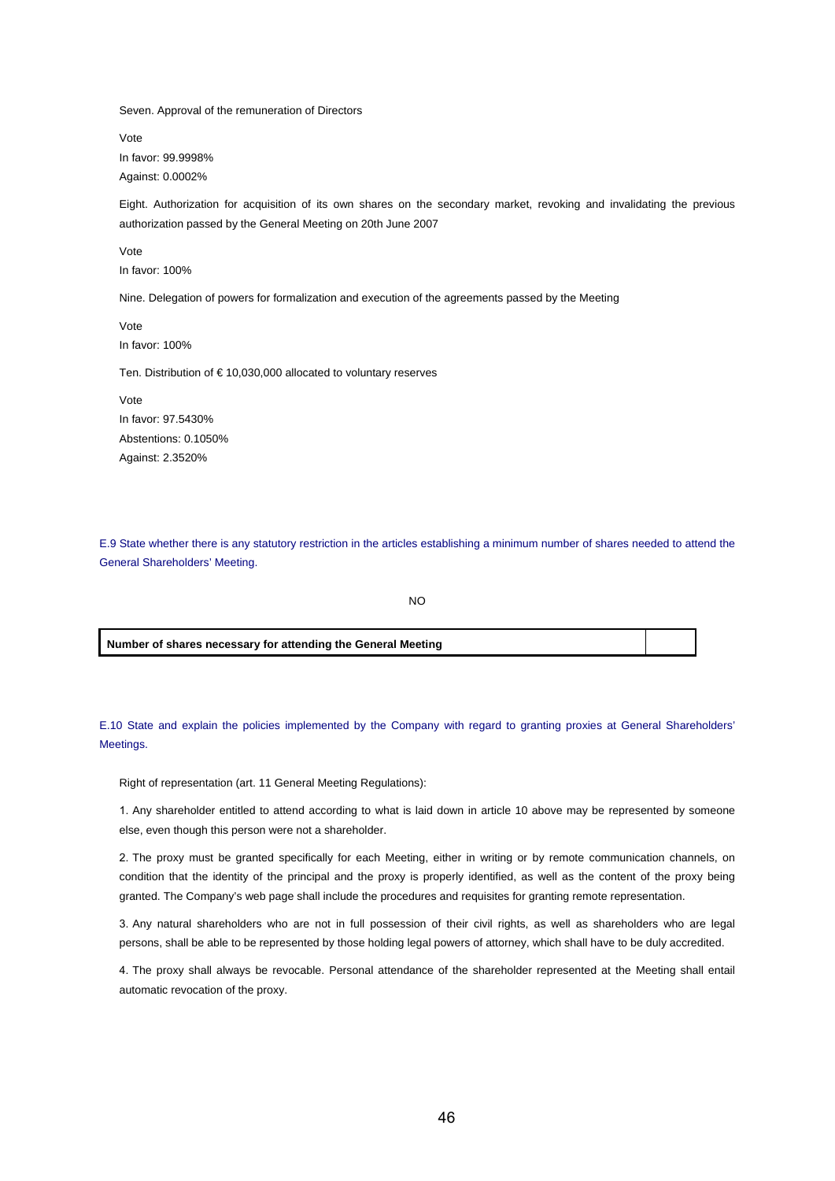Seven. Approval of the remuneration of Directors

Vote In favor: 99.9998% Against: 0.0002%

Eight. Authorization for acquisition of its own shares on the secondary market, revoking and invalidating the previous authorization passed by the General Meeting on 20th June 2007

Vote In favor: 100%

Nine. Delegation of powers for formalization and execution of the agreements passed by the Meeting

Vote In favor: 100%

Ten. Distribution of € 10,030,000 allocated to voluntary reserves

Vote In favor: 97.5430% Abstentions: 0.1050% Against: 2.3520%

E.9 State whether there is any statutory restriction in the articles establishing a minimum number of shares needed to attend the General Shareholders' Meeting.

NO

**Number of shares necessary for attending the General Meeting**

E.10 State and explain the policies implemented by the Company with regard to granting proxies at General Shareholders' Meetings.

Right of representation (art. 11 General Meeting Regulations):

1. Any shareholder entitled to attend according to what is laid down in article 10 above may be represented by someone else, even though this person were not a shareholder.

2. The proxy must be granted specifically for each Meeting, either in writing or by remote communication channels, on condition that the identity of the principal and the proxy is properly identified, as well as the content of the proxy being granted. The Company's web page shall include the procedures and requisites for granting remote representation.

3. Any natural shareholders who are not in full possession of their civil rights, as well as shareholders who are legal persons, shall be able to be represented by those holding legal powers of attorney, which shall have to be duly accredited.

4. The proxy shall always be revocable. Personal attendance of the shareholder represented at the Meeting shall entail automatic revocation of the proxy.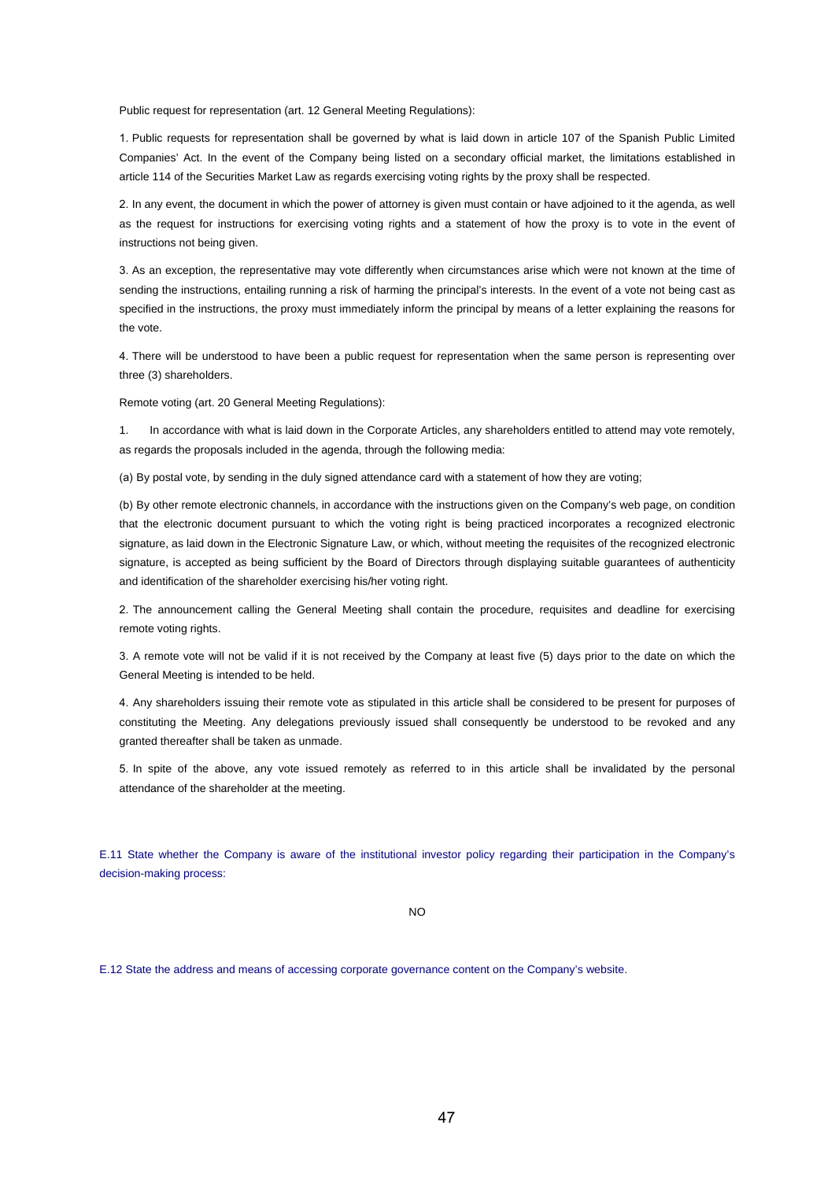Public request for representation (art. 12 General Meeting Regulations):

1. Public requests for representation shall be governed by what is laid down in article 107 of the Spanish Public Limited Companies' Act. In the event of the Company being listed on a secondary official market, the limitations established in article 114 of the Securities Market Law as regards exercising voting rights by the proxy shall be respected.

2. In any event, the document in which the power of attorney is given must contain or have adjoined to it the agenda, as well as the request for instructions for exercising voting rights and a statement of how the proxy is to vote in the event of instructions not being given.

3. As an exception, the representative may vote differently when circumstances arise which were not known at the time of sending the instructions, entailing running a risk of harming the principal's interests. In the event of a vote not being cast as specified in the instructions, the proxy must immediately inform the principal by means of a letter explaining the reasons for the vote.

4. There will be understood to have been a public request for representation when the same person is representing over three (3) shareholders.

Remote voting (art. 20 General Meeting Regulations):

1. In accordance with what is laid down in the Corporate Articles, any shareholders entitled to attend may vote remotely, as regards the proposals included in the agenda, through the following media:

(a) By postal vote, by sending in the duly signed attendance card with a statement of how they are voting;

(b) By other remote electronic channels, in accordance with the instructions given on the Company's web page, on condition that the electronic document pursuant to which the voting right is being practiced incorporates a recognized electronic signature, as laid down in the Electronic Signature Law, or which, without meeting the requisites of the recognized electronic signature, is accepted as being sufficient by the Board of Directors through displaying suitable guarantees of authenticity and identification of the shareholder exercising his/her voting right.

2. The announcement calling the General Meeting shall contain the procedure, requisites and deadline for exercising remote voting rights.

3. A remote vote will not be valid if it is not received by the Company at least five (5) days prior to the date on which the General Meeting is intended to be held.

4. Any shareholders issuing their remote vote as stipulated in this article shall be considered to be present for purposes of constituting the Meeting. Any delegations previously issued shall consequently be understood to be revoked and any granted thereafter shall be taken as unmade.

5. In spite of the above, any vote issued remotely as referred to in this article shall be invalidated by the personal attendance of the shareholder at the meeting.

E.11 State whether the Company is aware of the institutional investor policy regarding their participation in the Company's decision-making process:

NO

E.12 State the address and means of accessing corporate governance content on the Company's website.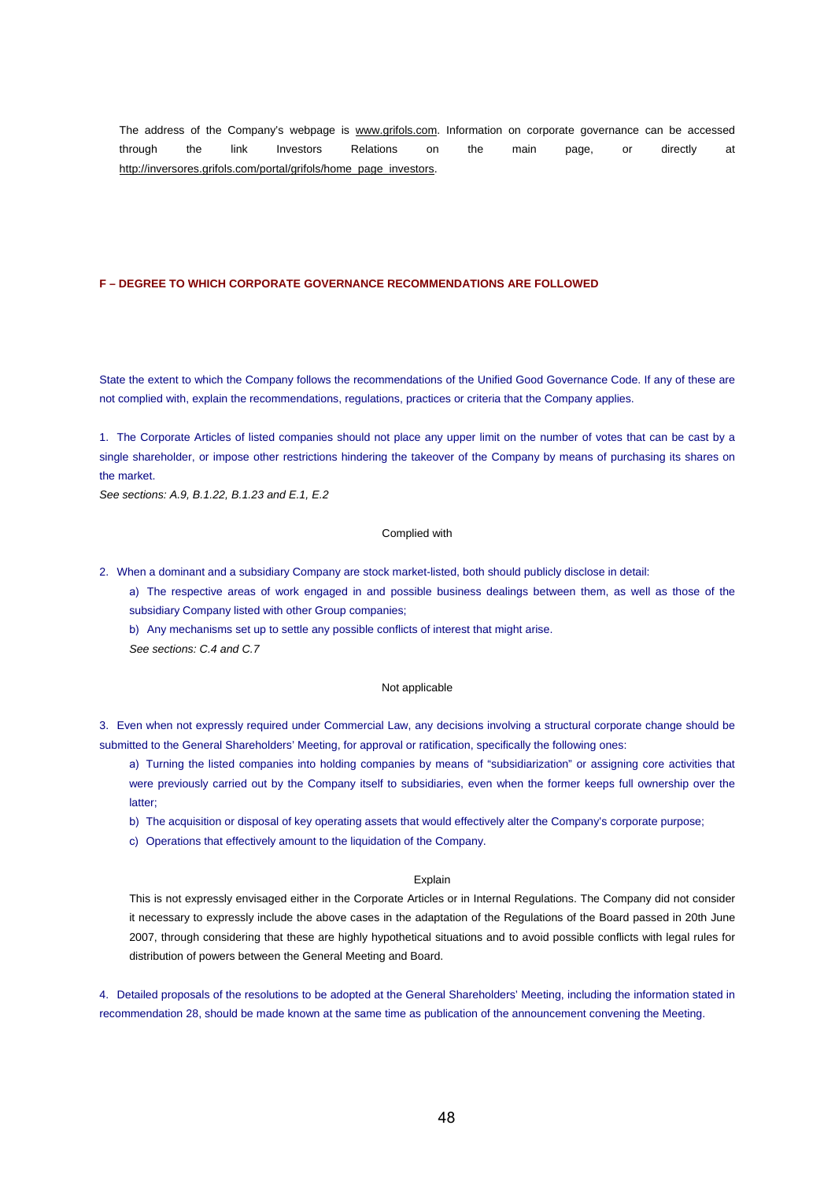The address of the Company's webpage is www.grifols.com. Information on corporate governance can be accessed through the link Investors Relations on the main page, or directly at http://inversores.grifols.com/portal/grifols/home\_page\_investors.

## **F – DEGREE TO WHICH CORPORATE GOVERNANCE RECOMMENDATIONS ARE FOLLOWED**

State the extent to which the Company follows the recommendations of the Unified Good Governance Code. If any of these are not complied with, explain the recommendations, regulations, practices or criteria that the Company applies.

1. The Corporate Articles of listed companies should not place any upper limit on the number of votes that can be cast by a single shareholder, or impose other restrictions hindering the takeover of the Company by means of purchasing its shares on the market.

*See sections: A.9, B.1.22, B.1.23 and E.1, E.2*

## Complied with

- 2. When a dominant and a subsidiary Company are stock market-listed, both should publicly disclose in detail:
	- a) The respective areas of work engaged in and possible business dealings between them, as well as those of the subsidiary Company listed with other Group companies;
	- b) Any mechanisms set up to settle any possible conflicts of interest that might arise. *See sections: C.4 and C.7*

## Not applicable

3. Even when not expressly required under Commercial Law, any decisions involving a structural corporate change should be submitted to the General Shareholders' Meeting, for approval or ratification, specifically the following ones:

a) Turning the listed companies into holding companies by means of "subsidiarization" or assigning core activities that were previously carried out by the Company itself to subsidiaries, even when the former keeps full ownership over the latter;

- b) The acquisition or disposal of key operating assets that would effectively alter the Company's corporate purpose;
- c) Operations that effectively amount to the liquidation of the Company.

#### Explain

This is not expressly envisaged either in the Corporate Articles or in Internal Regulations. The Company did not consider it necessary to expressly include the above cases in the adaptation of the Regulations of the Board passed in 20th June 2007, through considering that these are highly hypothetical situations and to avoid possible conflicts with legal rules for distribution of powers between the General Meeting and Board.

4. Detailed proposals of the resolutions to be adopted at the General Shareholders' Meeting, including the information stated in recommendation 28, should be made known at the same time as publication of the announcement convening the Meeting.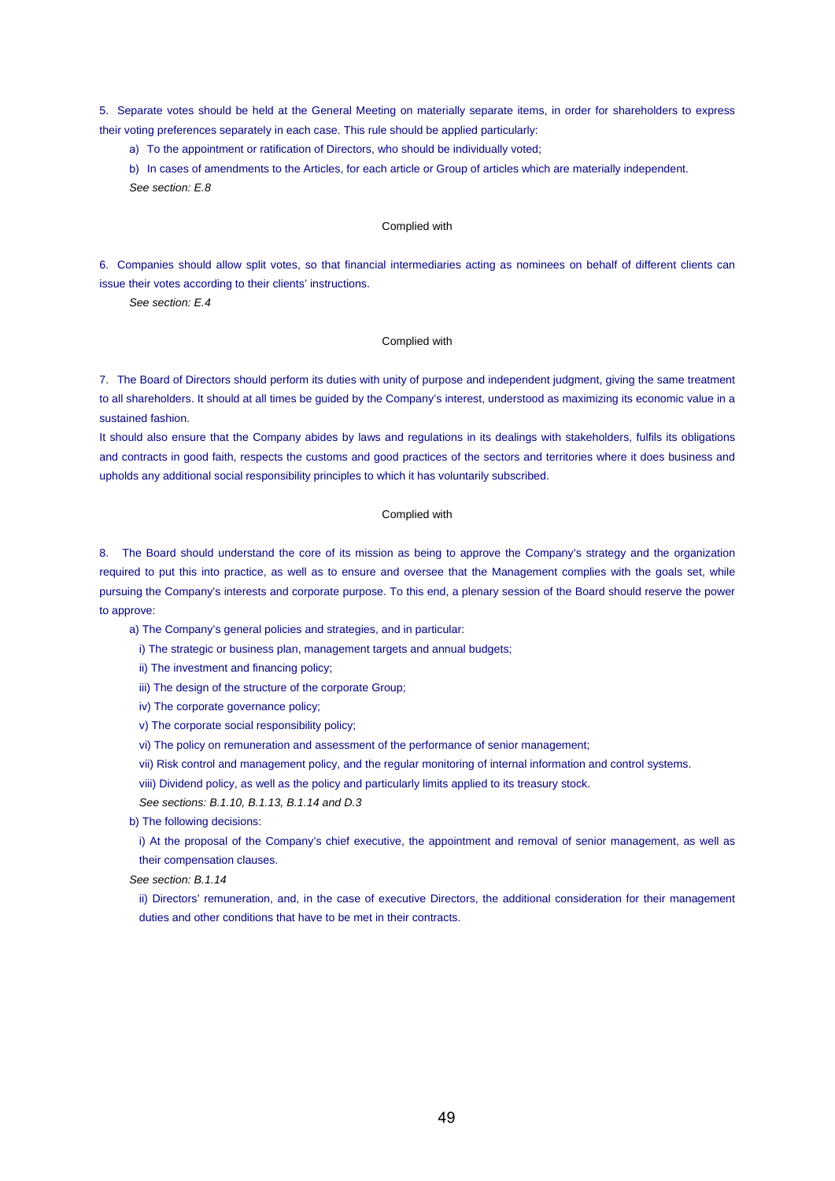5. Separate votes should be held at the General Meeting on materially separate items, in order for shareholders to express their voting preferences separately in each case. This rule should be applied particularly:

a) To the appointment or ratification of Directors, who should be individually voted;

b) In cases of amendments to the Articles, for each article or Group of articles which are materially independent. *See section: E.8*

#### Complied with

6. Companies should allow split votes, so that financial intermediaries acting as nominees on behalf of different clients can issue their votes according to their clients' instructions.

*See section: E.4*

#### Complied with

7. The Board of Directors should perform its duties with unity of purpose and independent judgment, giving the same treatment to all shareholders. It should at all times be guided by the Company's interest, understood as maximizing its economic value in a sustained fashion.

It should also ensure that the Company abides by laws and regulations in its dealings with stakeholders, fulfils its obligations and contracts in good faith, respects the customs and good practices of the sectors and territories where it does business and upholds any additional social responsibility principles to which it has voluntarily subscribed.

#### Complied with

8. The Board should understand the core of its mission as being to approve the Company's strategy and the organization required to put this into practice, as well as to ensure and oversee that the Management complies with the goals set, while pursuing the Company's interests and corporate purpose. To this end, a plenary session of the Board should reserve the power to approve:

a) The Company's general policies and strategies, and in particular:

i) The strategic or business plan, management targets and annual budgets;

ii) The investment and financing policy;

iii) The design of the structure of the corporate Group;

iv) The corporate governance policy;

v) The corporate social responsibility policy;

vi) The policy on remuneration and assessment of the performance of senior management;

vii) Risk control and management policy, and the regular monitoring of internal information and control systems.

viii) Dividend policy, as well as the policy and particularly limits applied to its treasury stock.

*See sections: B.1.10, B.1.13, B.1.14 and D.3*

b) The following decisions:

i) At the proposal of the Company's chief executive, the appointment and removal of senior management, as well as their compensation clauses.

*See section: B.1.14*

ii) Directors' remuneration, and, in the case of executive Directors, the additional consideration for their management duties and other conditions that have to be met in their contracts.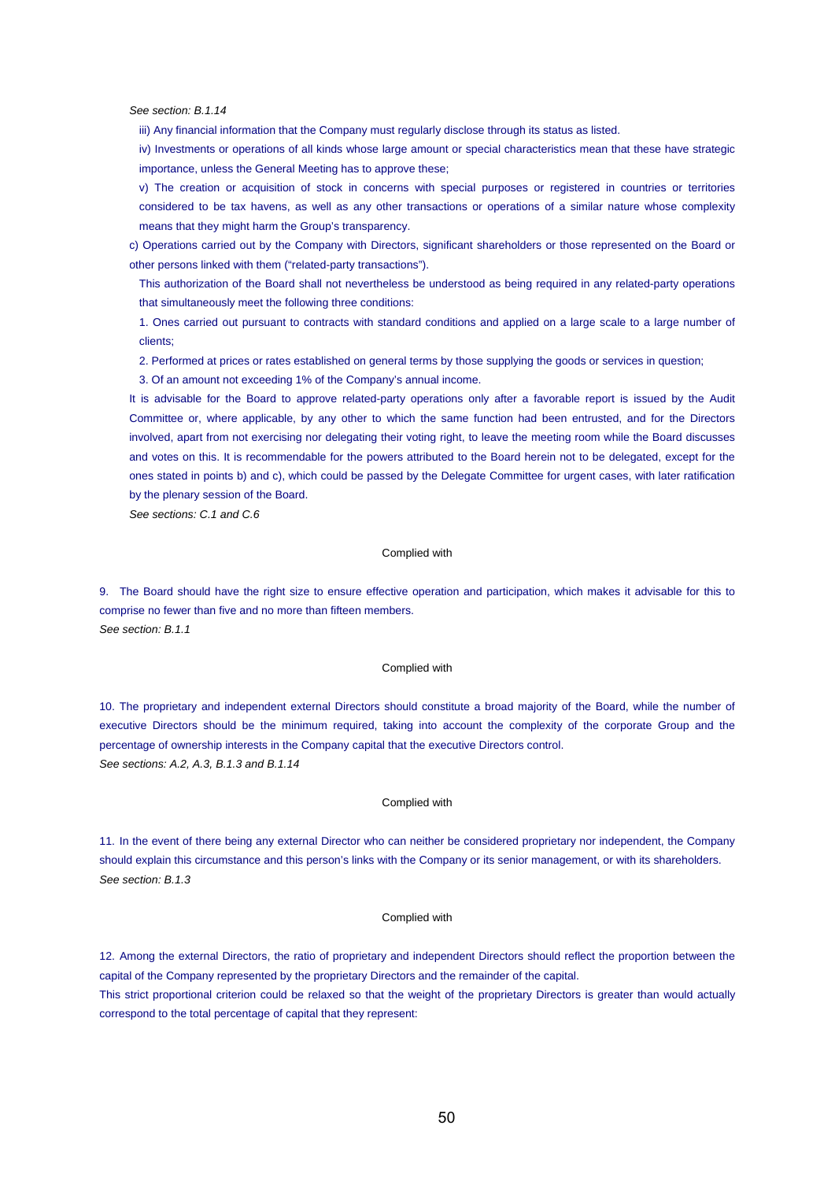*See section: B.1.14*

iii) Any financial information that the Company must regularly disclose through its status as listed.

iv) Investments or operations of all kinds whose large amount or special characteristics mean that these have strategic importance, unless the General Meeting has to approve these;

v) The creation or acquisition of stock in concerns with special purposes or registered in countries or territories considered to be tax havens, as well as any other transactions or operations of a similar nature whose complexity means that they might harm the Group's transparency.

c) Operations carried out by the Company with Directors, significant shareholders or those represented on the Board or other persons linked with them ("related-party transactions").

This authorization of the Board shall not nevertheless be understood as being required in any related-party operations that simultaneously meet the following three conditions:

1. Ones carried out pursuant to contracts with standard conditions and applied on a large scale to a large number of clients;

2. Performed at prices or rates established on general terms by those supplying the goods or services in question;

3. Of an amount not exceeding 1% of the Company's annual income.

It is advisable for the Board to approve related-party operations only after a favorable report is issued by the Audit Committee or, where applicable, by any other to which the same function had been entrusted, and for the Directors involved, apart from not exercising nor delegating their voting right, to leave the meeting room while the Board discusses and votes on this. It is recommendable for the powers attributed to the Board herein not to be delegated, except for the ones stated in points b) and c), which could be passed by the Delegate Committee for urgent cases, with later ratification by the plenary session of the Board.

*See sections: C.1 and C.6*

## Complied with

9. The Board should have the right size to ensure effective operation and participation, which makes it advisable for this to comprise no fewer than five and no more than fifteen members. *See section: B.1.1*

#### Complied with

10. The proprietary and independent external Directors should constitute a broad majority of the Board, while the number of executive Directors should be the minimum required, taking into account the complexity of the corporate Group and the percentage of ownership interests in the Company capital that the executive Directors control. *See sections: A.2, A.3, B.1.3 and B.1.14*

#### Complied with

11. In the event of there being any external Director who can neither be considered proprietary nor independent, the Company should explain this circumstance and this person's links with the Company or its senior management, or with its shareholders. *See section: B.1.3*

## Complied with

12. Among the external Directors, the ratio of proprietary and independent Directors should reflect the proportion between the capital of the Company represented by the proprietary Directors and the remainder of the capital.

This strict proportional criterion could be relaxed so that the weight of the proprietary Directors is greater than would actually correspond to the total percentage of capital that they represent: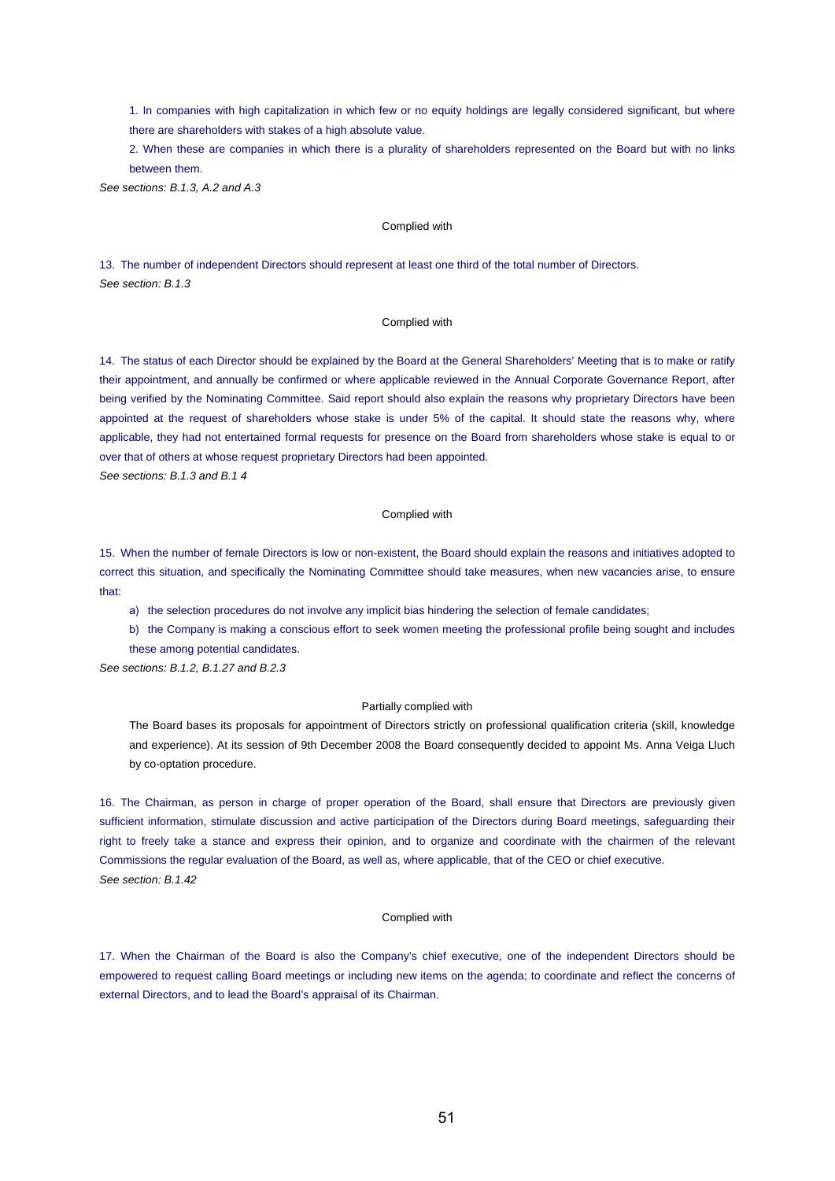1. In companies with high capitalization in which few or no equity holdings are legally considered significant, but where there are shareholders with stakes of a high absolute value.

2. When these are companies in which there is a plurality of shareholders represented on the Board but with no links between them.

*See sections: B.1.3, A.2 and A.3*

### Complied with

13. The number of independent Directors should represent at least one third of the total number of Directors. *See section: B.1.3*

#### Complied with

14. The status of each Director should be explained by the Board at the General Shareholders' Meeting that is to make or ratify their appointment, and annually be confirmed or where applicable reviewed in the Annual Corporate Governance Report, after being verified by the Nominating Committee. Said report should also explain the reasons why proprietary Directors have been appointed at the request of shareholders whose stake is under 5% of the capital. It should state the reasons why, where applicable, they had not entertained formal requests for presence on the Board from shareholders whose stake is equal to or over that of others at whose request proprietary Directors had been appointed.

*See sections: B.1.3 and B.1 4*

#### Complied with

15. When the number of female Directors is low or non-existent, the Board should explain the reasons and initiatives adopted to correct this situation, and specifically the Nominating Committee should take measures, when new vacancies arise, to ensure that:

a) the selection procedures do not involve any implicit bias hindering the selection of female candidates;

b) the Company is making a conscious effort to seek women meeting the professional profile being sought and includes these among potential candidates.

*See sections: B.1.2, B.1.27 and B.2.3*

#### Partially complied with

The Board bases its proposals for appointment of Directors strictly on professional qualification criteria (skill, knowledge and experience). At its session of 9th December 2008 the Board consequently decided to appoint Ms. Anna Veiga Lluch by co-optation procedure.

16. The Chairman, as person in charge of proper operation of the Board, shall ensure that Directors are previously given sufficient information, stimulate discussion and active participation of the Directors during Board meetings, safeguarding their right to freely take a stance and express their opinion, and to organize and coordinate with the chairmen of the relevant Commissions the regular evaluation of the Board, as well as, where applicable, that of the CEO or chief executive. *See section: B.1.42*

## Complied with

17. When the Chairman of the Board is also the Company's chief executive, one of the independent Directors should be empowered to request calling Board meetings or including new items on the agenda; to coordinate and reflect the concerns of external Directors, and to lead the Board's appraisal of its Chairman.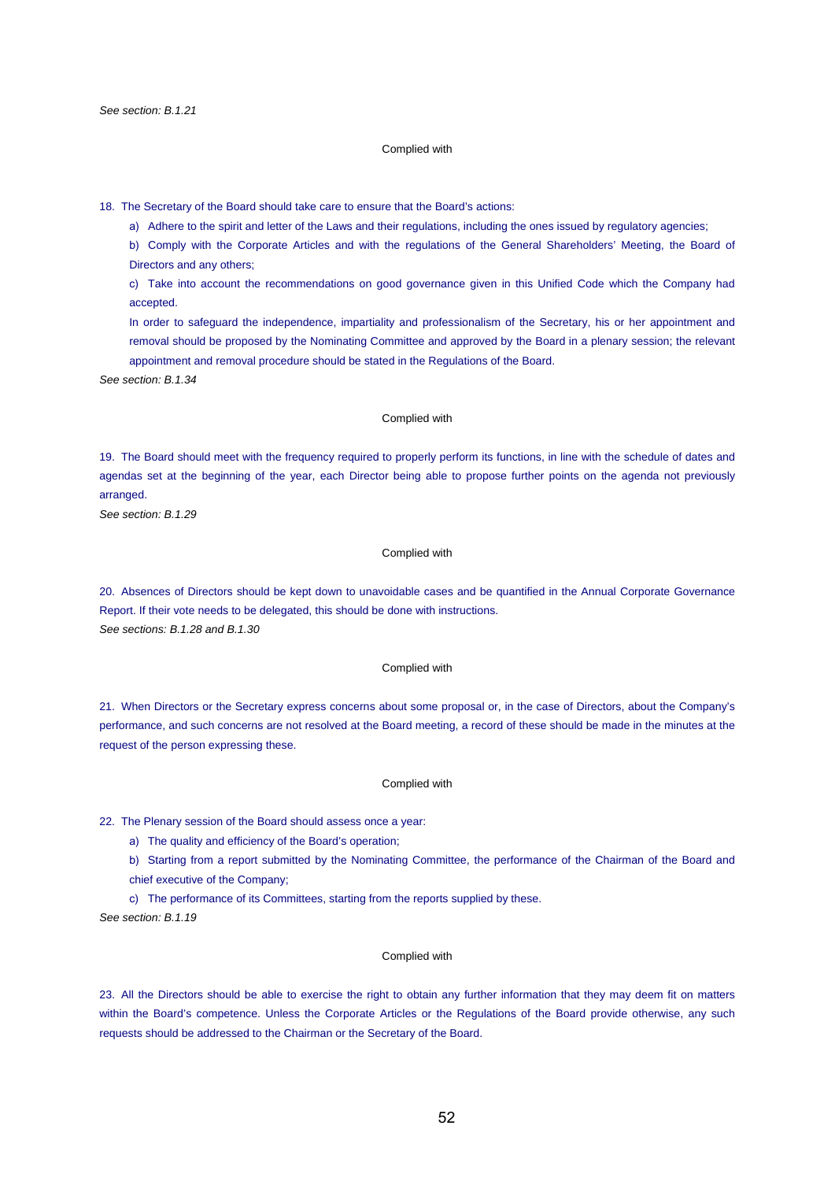#### Complied with

18. The Secretary of the Board should take care to ensure that the Board's actions:

a) Adhere to the spirit and letter of the Laws and their regulations, including the ones issued by regulatory agencies;

b) Comply with the Corporate Articles and with the regulations of the General Shareholders' Meeting, the Board of Directors and any others;

c) Take into account the recommendations on good governance given in this Unified Code which the Company had accepted.

In order to safeguard the independence, impartiality and professionalism of the Secretary, his or her appointment and removal should be proposed by the Nominating Committee and approved by the Board in a plenary session; the relevant appointment and removal procedure should be stated in the Regulations of the Board.

*See section: B.1.34*

### Complied with

19. The Board should meet with the frequency required to properly perform its functions, in line with the schedule of dates and agendas set at the beginning of the year, each Director being able to propose further points on the agenda not previously arranged.

*See section: B.1.29*

#### Complied with

20. Absences of Directors should be kept down to unavoidable cases and be quantified in the Annual Corporate Governance Report. If their vote needs to be delegated, this should be done with instructions. *See sections: B.1.28 and B.1.30*

## Complied with

21. When Directors or the Secretary express concerns about some proposal or, in the case of Directors, about the Company's performance, and such concerns are not resolved at the Board meeting, a record of these should be made in the minutes at the request of the person expressing these.

#### Complied with

22. The Plenary session of the Board should assess once a year:

a) The quality and efficiency of the Board's operation;

b) Starting from a report submitted by the Nominating Committee, the performance of the Chairman of the Board and chief executive of the Company;

c) The performance of its Committees, starting from the reports supplied by these.

*See section: B.1.19*

#### Complied with

23. All the Directors should be able to exercise the right to obtain any further information that they may deem fit on matters within the Board's competence. Unless the Corporate Articles or the Regulations of the Board provide otherwise, any such requests should be addressed to the Chairman or the Secretary of the Board.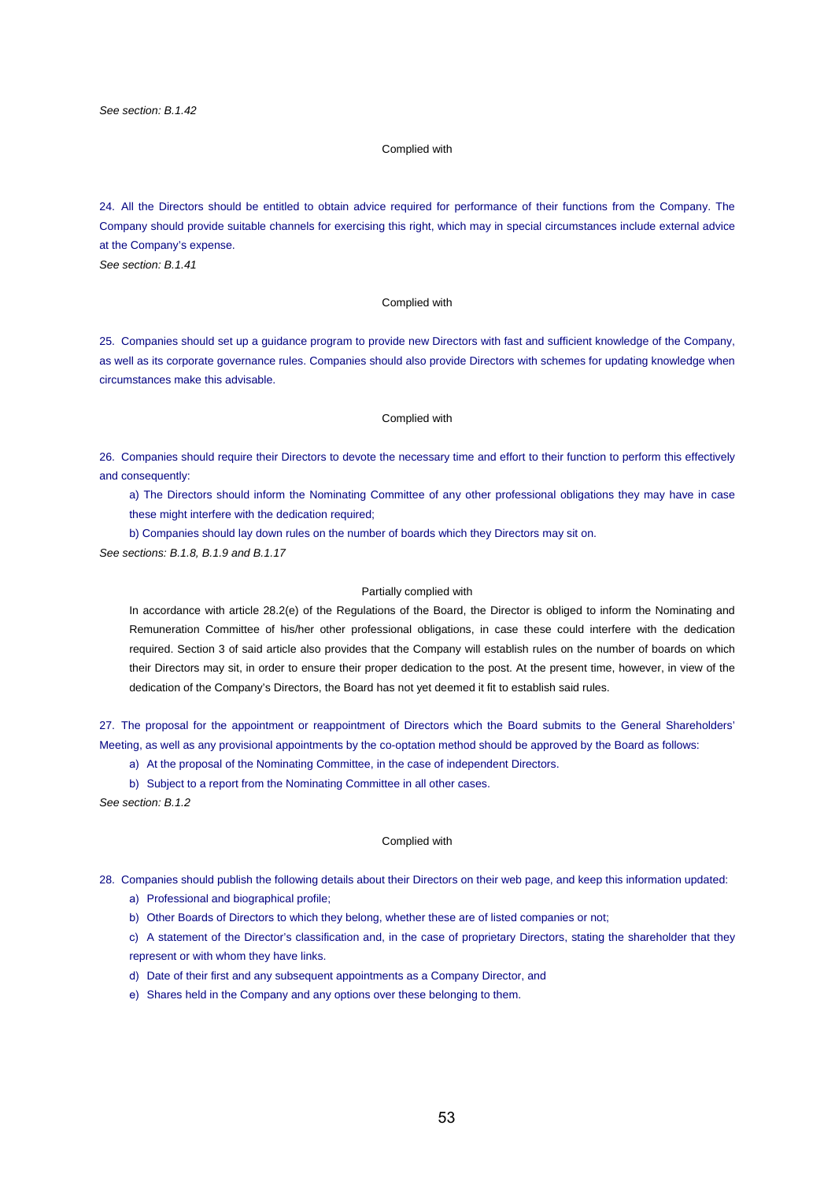## Complied with

24. All the Directors should be entitled to obtain advice required for performance of their functions from the Company. The Company should provide suitable channels for exercising this right, which may in special circumstances include external advice at the Company's expense.

*See section: B.1.41*

## Complied with

25. Companies should set up a guidance program to provide new Directors with fast and sufficient knowledge of the Company, as well as its corporate governance rules. Companies should also provide Directors with schemes for updating knowledge when circumstances make this advisable.

#### Complied with

26. Companies should require their Directors to devote the necessary time and effort to their function to perform this effectively and consequently:

a) The Directors should inform the Nominating Committee of any other professional obligations they may have in case these might interfere with the dedication required;

b) Companies should lay down rules on the number of boards which they Directors may sit on.

*See sections: B.1.8, B.1.9 and B.1.17*

## Partially complied with

In accordance with article 28.2(e) of the Regulations of the Board, the Director is obliged to inform the Nominating and Remuneration Committee of his/her other professional obligations, in case these could interfere with the dedication required. Section 3 of said article also provides that the Company will establish rules on the number of boards on which their Directors may sit, in order to ensure their proper dedication to the post. At the present time, however, in view of the dedication of the Company's Directors, the Board has not yet deemed it fit to establish said rules.

27. The proposal for the appointment or reappointment of Directors which the Board submits to the General Shareholders' Meeting, as well as any provisional appointments by the co-optation method should be approved by the Board as follows:

a) At the proposal of the Nominating Committee, in the case of independent Directors.

b) Subject to a report from the Nominating Committee in all other cases.

*See section: B.1.2*

#### Complied with

- 28. Companies should publish the following details about their Directors on their web page, and keep this information updated: a) Professional and biographical profile;
	- b) Other Boards of Directors to which they belong, whether these are of listed companies or not;
	- c) A statement of the Director's classification and, in the case of proprietary Directors, stating the shareholder that they represent or with whom they have links.
	- d) Date of their first and any subsequent appointments as a Company Director, and
	- e) Shares held in the Company and any options over these belonging to them.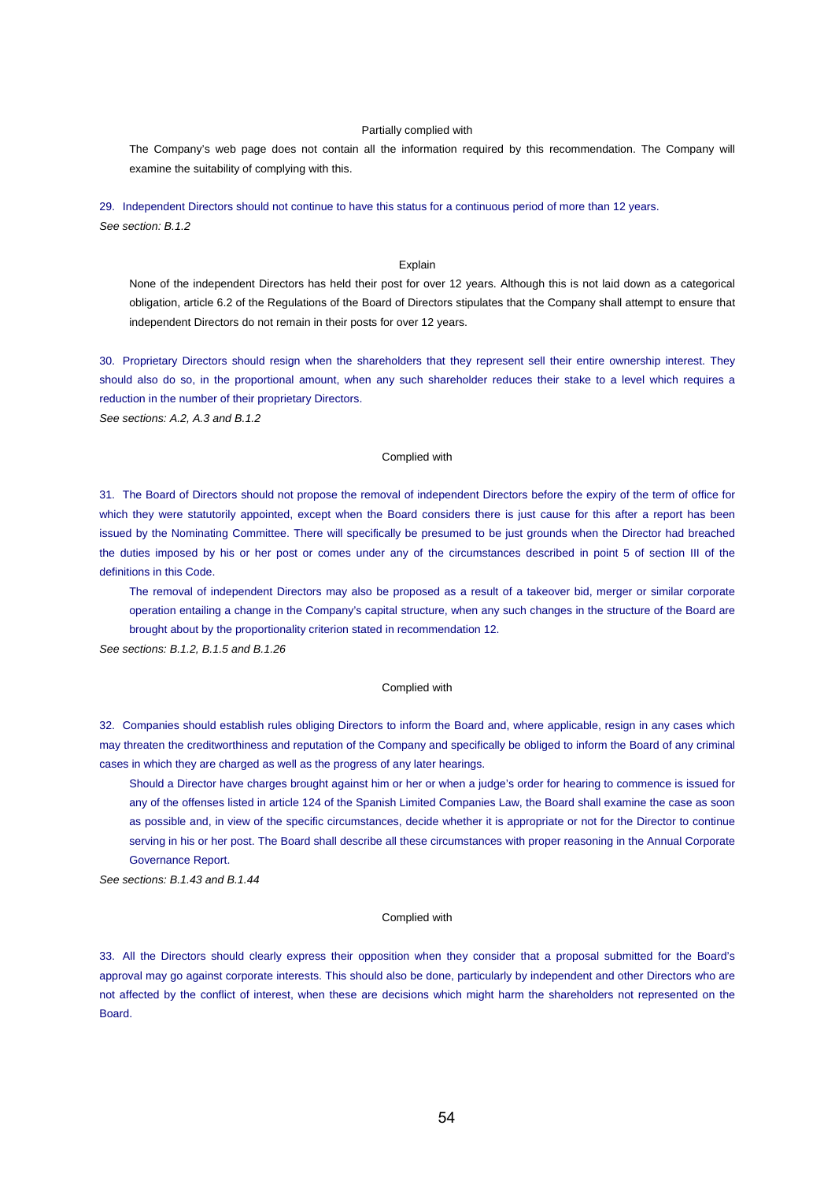## Partially complied with

The Company's web page does not contain all the information required by this recommendation. The Company will examine the suitability of complying with this.

29. Independent Directors should not continue to have this status for a continuous period of more than 12 years. *See section: B.1.2*

## Explain

None of the independent Directors has held their post for over 12 years. Although this is not laid down as a categorical obligation, article 6.2 of the Regulations of the Board of Directors stipulates that the Company shall attempt to ensure that independent Directors do not remain in their posts for over 12 years.

30. Proprietary Directors should resign when the shareholders that they represent sell their entire ownership interest. They should also do so, in the proportional amount, when any such shareholder reduces their stake to a level which requires a reduction in the number of their proprietary Directors.

*See sections: A.2, A.3 and B.1.2*

## Complied with

31. The Board of Directors should not propose the removal of independent Directors before the expiry of the term of office for which they were statutorily appointed, except when the Board considers there is just cause for this after a report has been issued by the Nominating Committee. There will specifically be presumed to be just grounds when the Director had breached the duties imposed by his or her post or comes under any of the circumstances described in point 5 of section III of the definitions in this Code.

The removal of independent Directors may also be proposed as a result of a takeover bid, merger or similar corporate operation entailing a change in the Company's capital structure, when any such changes in the structure of the Board are brought about by the proportionality criterion stated in recommendation 12.

*See sections: B.1.2, B.1.5 and B.1.26*

#### Complied with

32. Companies should establish rules obliging Directors to inform the Board and, where applicable, resign in any cases which may threaten the creditworthiness and reputation of the Company and specifically be obliged to inform the Board of any criminal cases in which they are charged as well as the progress of any later hearings.

Should a Director have charges brought against him or her or when a judge's order for hearing to commence is issued for any of the offenses listed in article 124 of the Spanish Limited Companies Law, the Board shall examine the case as soon as possible and, in view of the specific circumstances, decide whether it is appropriate or not for the Director to continue serving in his or her post. The Board shall describe all these circumstances with proper reasoning in the Annual Corporate Governance Report.

*See sections: B.1.43 and B.1.44*

#### Complied with

33. All the Directors should clearly express their opposition when they consider that a proposal submitted for the Board's approval may go against corporate interests. This should also be done, particularly by independent and other Directors who are not affected by the conflict of interest, when these are decisions which might harm the shareholders not represented on the Board.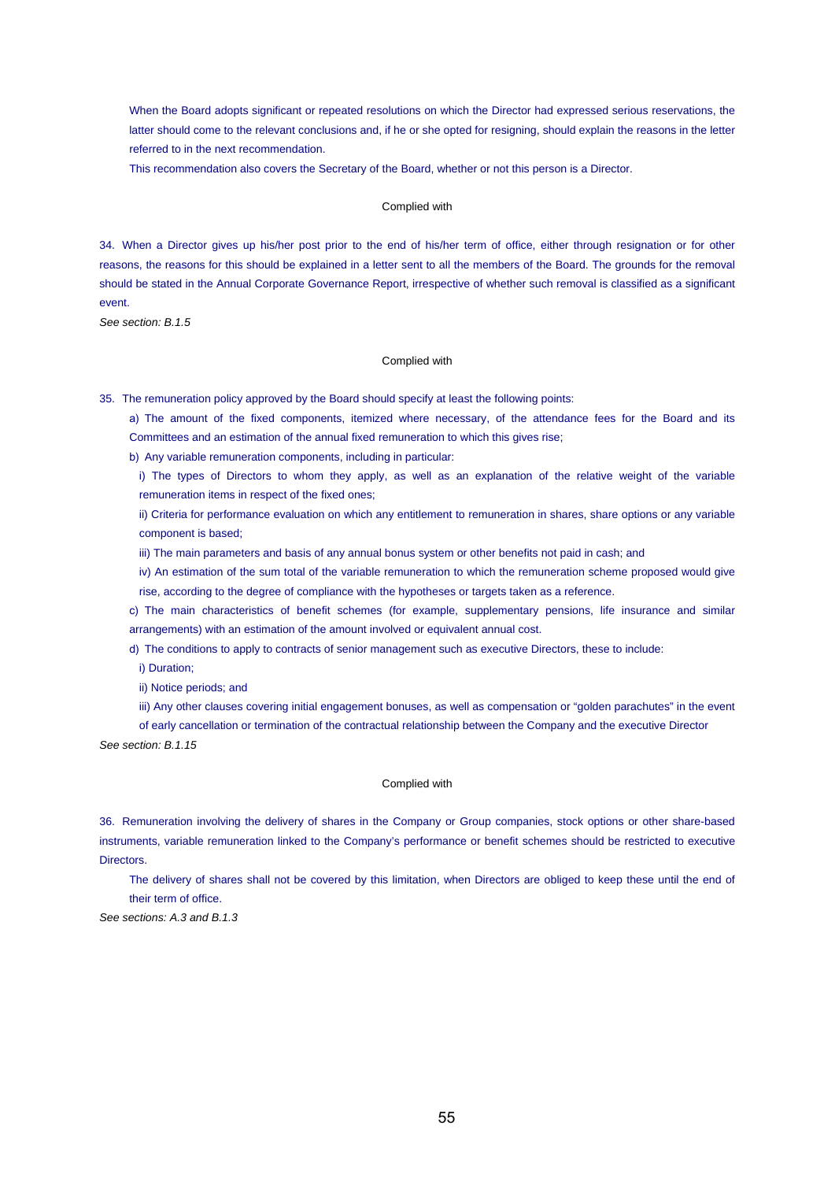When the Board adopts significant or repeated resolutions on which the Director had expressed serious reservations, the latter should come to the relevant conclusions and, if he or she opted for resigning, should explain the reasons in the letter referred to in the next recommendation.

This recommendation also covers the Secretary of the Board, whether or not this person is a Director.

## Complied with

34. When a Director gives up his/her post prior to the end of his/her term of office, either through resignation or for other reasons, the reasons for this should be explained in a letter sent to all the members of the Board. The grounds for the removal should be stated in the Annual Corporate Governance Report, irrespective of whether such removal is classified as a significant event.

*See section: B.1.5*

## Complied with

35. The remuneration policy approved by the Board should specify at least the following points:

a) The amount of the fixed components, itemized where necessary, of the attendance fees for the Board and its Committees and an estimation of the annual fixed remuneration to which this gives rise;

b) Any variable remuneration components, including in particular:

i) The types of Directors to whom they apply, as well as an explanation of the relative weight of the variable remuneration items in respect of the fixed ones;

ii) Criteria for performance evaluation on which any entitlement to remuneration in shares, share options or any variable component is based;

iii) The main parameters and basis of any annual bonus system or other benefits not paid in cash; and

iv) An estimation of the sum total of the variable remuneration to which the remuneration scheme proposed would give rise, according to the degree of compliance with the hypotheses or targets taken as a reference.

c) The main characteristics of benefit schemes (for example, supplementary pensions, life insurance and similar arrangements) with an estimation of the amount involved or equivalent annual cost.

d) The conditions to apply to contracts of senior management such as executive Directors, these to include:

i) Duration;

ii) Notice periods; and

iii) Any other clauses covering initial engagement bonuses, as well as compensation or "golden parachutes" in the event

of early cancellation or termination of the contractual relationship between the Company and the executive Director

*See section: B.1.15*

#### Complied with

36. Remuneration involving the delivery of shares in the Company or Group companies, stock options or other share-based instruments, variable remuneration linked to the Company's performance or benefit schemes should be restricted to executive **Directors** 

The delivery of shares shall not be covered by this limitation, when Directors are obliged to keep these until the end of their term of office.

*See sections: A.3 and B.1.3*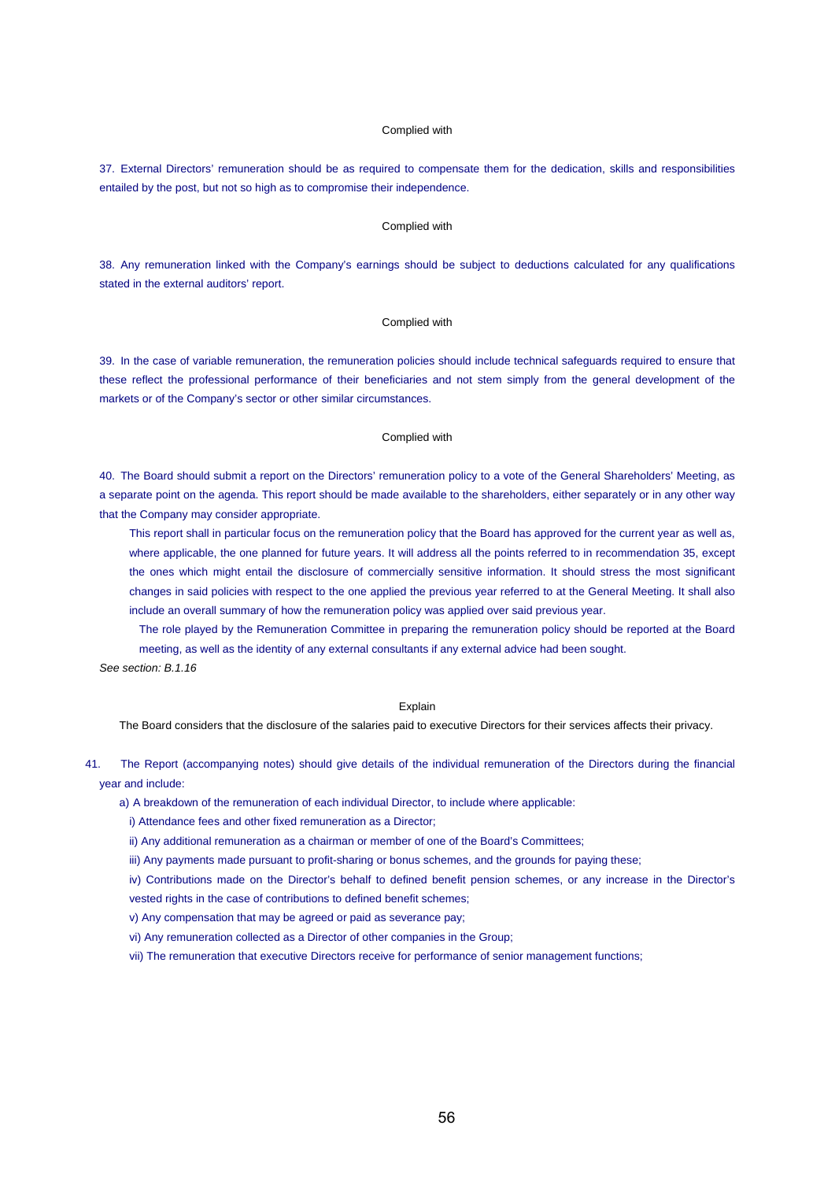## Complied with

37. External Directors' remuneration should be as required to compensate them for the dedication, skills and responsibilities entailed by the post, but not so high as to compromise their independence.

#### Complied with

38. Any remuneration linked with the Company's earnings should be subject to deductions calculated for any qualifications stated in the external auditors' report.

#### Complied with

39. In the case of variable remuneration, the remuneration policies should include technical safeguards required to ensure that these reflect the professional performance of their beneficiaries and not stem simply from the general development of the markets or of the Company's sector or other similar circumstances.

## Complied with

40. The Board should submit a report on the Directors' remuneration policy to a vote of the General Shareholders' Meeting, as a separate point on the agenda. This report should be made available to the shareholders, either separately or in any other way that the Company may consider appropriate.

This report shall in particular focus on the remuneration policy that the Board has approved for the current year as well as, where applicable, the one planned for future years. It will address all the points referred to in recommendation 35, except the ones which might entail the disclosure of commercially sensitive information. It should stress the most significant changes in said policies with respect to the one applied the previous year referred to at the General Meeting. It shall also include an overall summary of how the remuneration policy was applied over said previous year.

The role played by the Remuneration Committee in preparing the remuneration policy should be reported at the Board meeting, as well as the identity of any external consultants if any external advice had been sought.

*See section: B.1.16*

#### Explain

The Board considers that the disclosure of the salaries paid to executive Directors for their services affects their privacy.

41. The Report (accompanying notes) should give details of the individual remuneration of the Directors during the financial year and include:

a) A breakdown of the remuneration of each individual Director, to include where applicable:

i) Attendance fees and other fixed remuneration as a Director;

ii) Any additional remuneration as a chairman or member of one of the Board's Committees;

iii) Any payments made pursuant to profit-sharing or bonus schemes, and the grounds for paying these;

iv) Contributions made on the Director's behalf to defined benefit pension schemes, or any increase in the Director's vested rights in the case of contributions to defined benefit schemes;

v) Any compensation that may be agreed or paid as severance pay;

vi) Any remuneration collected as a Director of other companies in the Group;

vii) The remuneration that executive Directors receive for performance of senior management functions;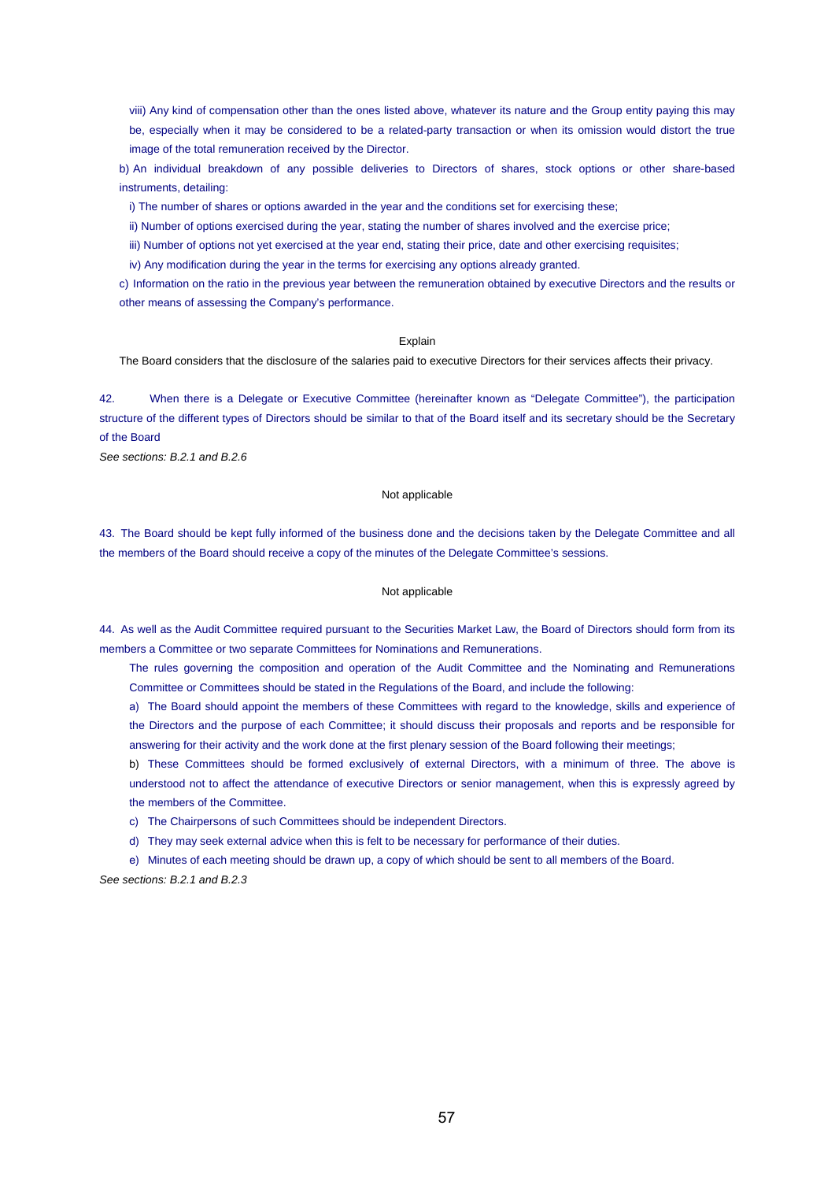viii) Any kind of compensation other than the ones listed above, whatever its nature and the Group entity paying this may be, especially when it may be considered to be a related-party transaction or when its omission would distort the true image of the total remuneration received by the Director.

b) An individual breakdown of any possible deliveries to Directors of shares, stock options or other share-based instruments, detailing:

i) The number of shares or options awarded in the year and the conditions set for exercising these;

ii) Number of options exercised during the year, stating the number of shares involved and the exercise price;

iii) Number of options not yet exercised at the year end, stating their price, date and other exercising requisites;

iv) Any modification during the year in the terms for exercising any options already granted.

c) Information on the ratio in the previous year between the remuneration obtained by executive Directors and the results or other means of assessing the Company's performance.

#### **Explain**

The Board considers that the disclosure of the salaries paid to executive Directors for their services affects their privacy.

42. When there is a Delegate or Executive Committee (hereinafter known as "Delegate Committee"), the participation structure of the different types of Directors should be similar to that of the Board itself and its secretary should be the Secretary of the Board

*See sections: B.2.1 and B.2.6*

## Not applicable

43. The Board should be kept fully informed of the business done and the decisions taken by the Delegate Committee and all the members of the Board should receive a copy of the minutes of the Delegate Committee's sessions.

# Not applicable

44. As well as the Audit Committee required pursuant to the Securities Market Law, the Board of Directors should form from its members a Committee or two separate Committees for Nominations and Remunerations.

The rules governing the composition and operation of the Audit Committee and the Nominating and Remunerations Committee or Committees should be stated in the Regulations of the Board, and include the following:

a) The Board should appoint the members of these Committees with regard to the knowledge, skills and experience of the Directors and the purpose of each Committee; it should discuss their proposals and reports and be responsible for answering for their activity and the work done at the first plenary session of the Board following their meetings;

b) These Committees should be formed exclusively of external Directors, with a minimum of three. The above is understood not to affect the attendance of executive Directors or senior management, when this is expressly agreed by the members of the Committee.

c) The Chairpersons of such Committees should be independent Directors.

d) They may seek external advice when this is felt to be necessary for performance of their duties.

e) Minutes of each meeting should be drawn up, a copy of which should be sent to all members of the Board.

*See sections: B.2.1 and B.2.3*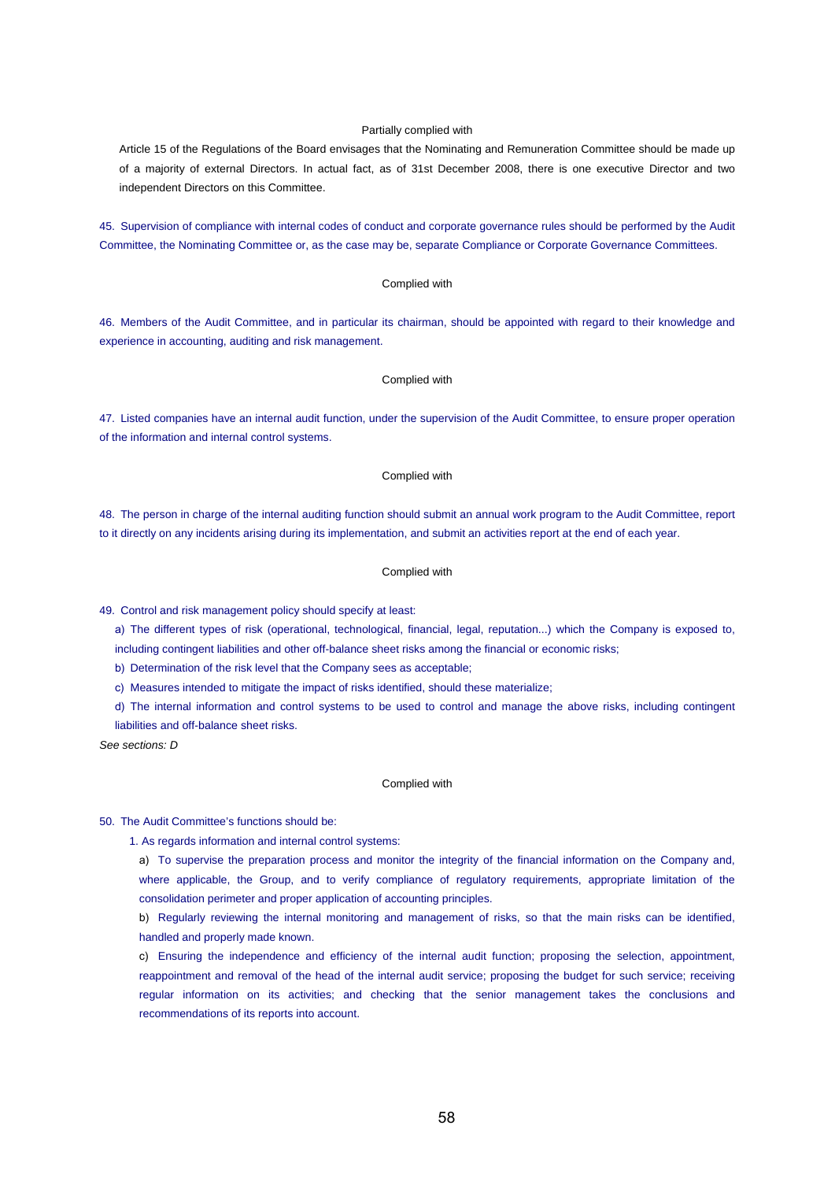## Partially complied with

Article 15 of the Regulations of the Board envisages that the Nominating and Remuneration Committee should be made up of a majority of external Directors. In actual fact, as of 31st December 2008, there is one executive Director and two independent Directors on this Committee.

45. Supervision of compliance with internal codes of conduct and corporate governance rules should be performed by the Audit Committee, the Nominating Committee or, as the case may be, separate Compliance or Corporate Governance Committees.

## Complied with

46. Members of the Audit Committee, and in particular its chairman, should be appointed with regard to their knowledge and experience in accounting, auditing and risk management.

# Complied with

47. Listed companies have an internal audit function, under the supervision of the Audit Committee, to ensure proper operation of the information and internal control systems.

#### Complied with

48. The person in charge of the internal auditing function should submit an annual work program to the Audit Committee, report to it directly on any incidents arising during its implementation, and submit an activities report at the end of each year.

#### Complied with

49. Control and risk management policy should specify at least:

a) The different types of risk (operational, technological, financial, legal, reputation...) which the Company is exposed to, including contingent liabilities and other off-balance sheet risks among the financial or economic risks;

b) Determination of the risk level that the Company sees as acceptable;

c) Measures intended to mitigate the impact of risks identified, should these materialize;

d) The internal information and control systems to be used to control and manage the above risks, including contingent liabilities and off-balance sheet risks.

*See sections: D*

#### Complied with

### 50. The Audit Committee's functions should be:

1. As regards information and internal control systems:

a) To supervise the preparation process and monitor the integrity of the financial information on the Company and, where applicable, the Group, and to verify compliance of regulatory requirements, appropriate limitation of the consolidation perimeter and proper application of accounting principles.

b) Regularly reviewing the internal monitoring and management of risks, so that the main risks can be identified, handled and properly made known.

c) Ensuring the independence and efficiency of the internal audit function; proposing the selection, appointment, reappointment and removal of the head of the internal audit service; proposing the budget for such service; receiving regular information on its activities; and checking that the senior management takes the conclusions and recommendations of its reports into account.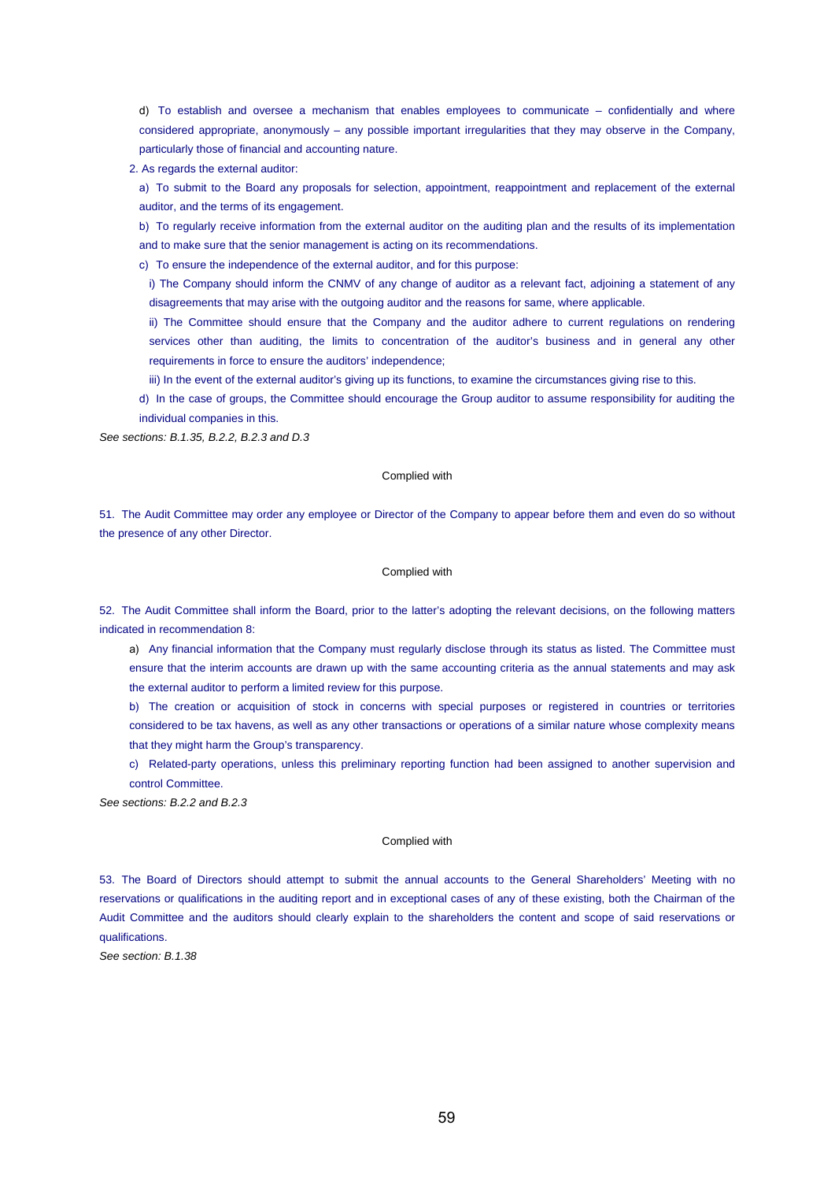d) To establish and oversee a mechanism that enables employees to communicate – confidentially and where considered appropriate, anonymously – any possible important irregularities that they may observe in the Company, particularly those of financial and accounting nature.

2. As regards the external auditor:

a) To submit to the Board any proposals for selection, appointment, reappointment and replacement of the external auditor, and the terms of its engagement.

b) To regularly receive information from the external auditor on the auditing plan and the results of its implementation and to make sure that the senior management is acting on its recommendations.

c) To ensure the independence of the external auditor, and for this purpose:

i) The Company should inform the CNMV of any change of auditor as a relevant fact, adjoining a statement of any disagreements that may arise with the outgoing auditor and the reasons for same, where applicable.

ii) The Committee should ensure that the Company and the auditor adhere to current regulations on rendering services other than auditing, the limits to concentration of the auditor's business and in general any other requirements in force to ensure the auditors' independence;

iii) In the event of the external auditor's giving up its functions, to examine the circumstances giving rise to this.

d) In the case of groups, the Committee should encourage the Group auditor to assume responsibility for auditing the individual companies in this.

*See sections: B.1.35, B.2.2, B.2.3 and D.3*

#### Complied with

51. The Audit Committee may order any employee or Director of the Company to appear before them and even do so without the presence of any other Director.

#### Complied with

52. The Audit Committee shall inform the Board, prior to the latter's adopting the relevant decisions, on the following matters indicated in recommendation 8:

a) Any financial information that the Company must regularly disclose through its status as listed. The Committee must ensure that the interim accounts are drawn up with the same accounting criteria as the annual statements and may ask the external auditor to perform a limited review for this purpose.

b) The creation or acquisition of stock in concerns with special purposes or registered in countries or territories considered to be tax havens, as well as any other transactions or operations of a similar nature whose complexity means that they might harm the Group's transparency.

c) Related-party operations, unless this preliminary reporting function had been assigned to another supervision and control Committee.

*See sections: B.2.2 and B.2.3*

#### Complied with

53. The Board of Directors should attempt to submit the annual accounts to the General Shareholders' Meeting with no reservations or qualifications in the auditing report and in exceptional cases of any of these existing, both the Chairman of the Audit Committee and the auditors should clearly explain to the shareholders the content and scope of said reservations or qualifications.

*See section: B.1.38*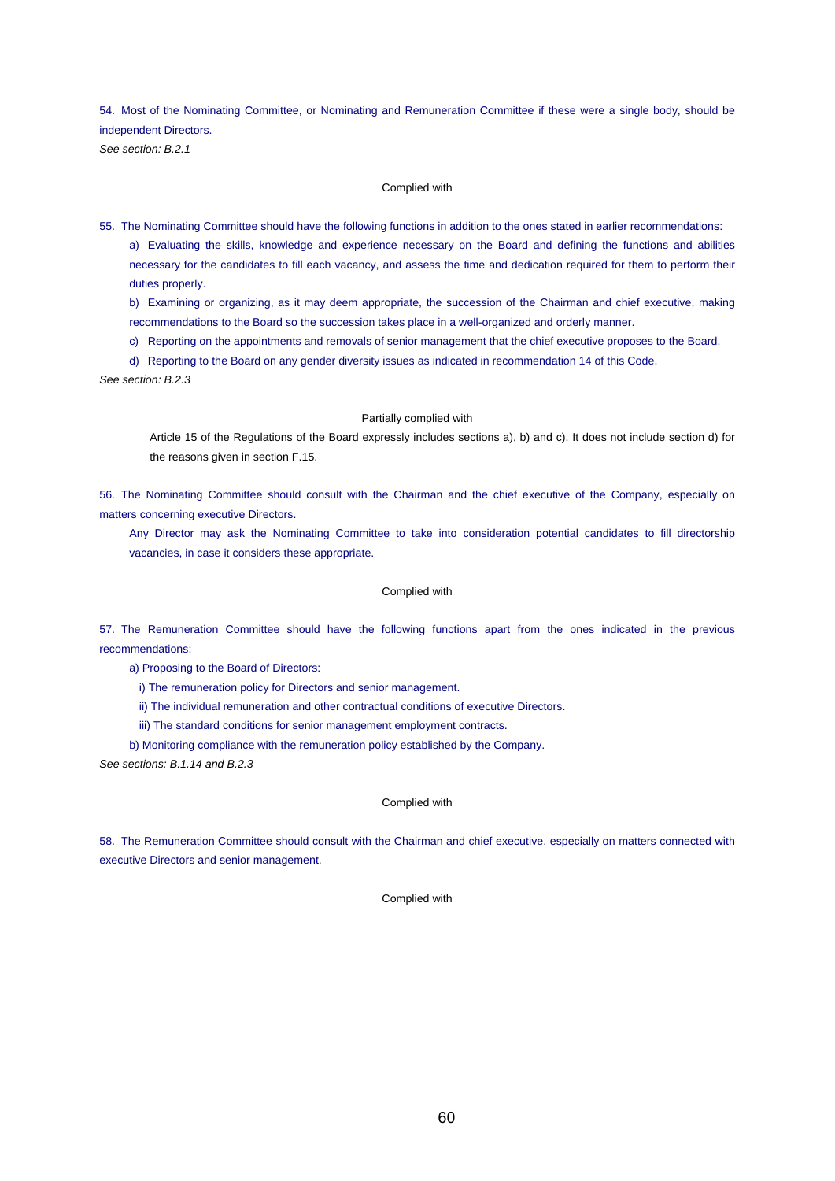54. Most of the Nominating Committee, or Nominating and Remuneration Committee if these were a single body, should be independent Directors.

*See section: B.2.1*

#### Complied with

55. The Nominating Committee should have the following functions in addition to the ones stated in earlier recommendations: a) Evaluating the skills, knowledge and experience necessary on the Board and defining the functions and abilities necessary for the candidates to fill each vacancy, and assess the time and dedication required for them to perform their duties properly.

b) Examining or organizing, as it may deem appropriate, the succession of the Chairman and chief executive, making recommendations to the Board so the succession takes place in a well-organized and orderly manner.

c) Reporting on the appointments and removals of senior management that the chief executive proposes to the Board.

d) Reporting to the Board on any gender diversity issues as indicated in recommendation 14 of this Code.

*See section: B.2.3*

## Partially complied with

Article 15 of the Regulations of the Board expressly includes sections a), b) and c). It does not include section d) for the reasons given in section F.15.

56. The Nominating Committee should consult with the Chairman and the chief executive of the Company, especially on matters concerning executive Directors.

Any Director may ask the Nominating Committee to take into consideration potential candidates to fill directorship vacancies, in case it considers these appropriate.

# Complied with

57. The Remuneration Committee should have the following functions apart from the ones indicated in the previous recommendations:

a) Proposing to the Board of Directors:

i) The remuneration policy for Directors and senior management.

ii) The individual remuneration and other contractual conditions of executive Directors.

iii) The standard conditions for senior management employment contracts.

b) Monitoring compliance with the remuneration policy established by the Company.

*See sections: B.1.14 and B.2.3*

#### Complied with

58. The Remuneration Committee should consult with the Chairman and chief executive, especially on matters connected with executive Directors and senior management.

## Complied with